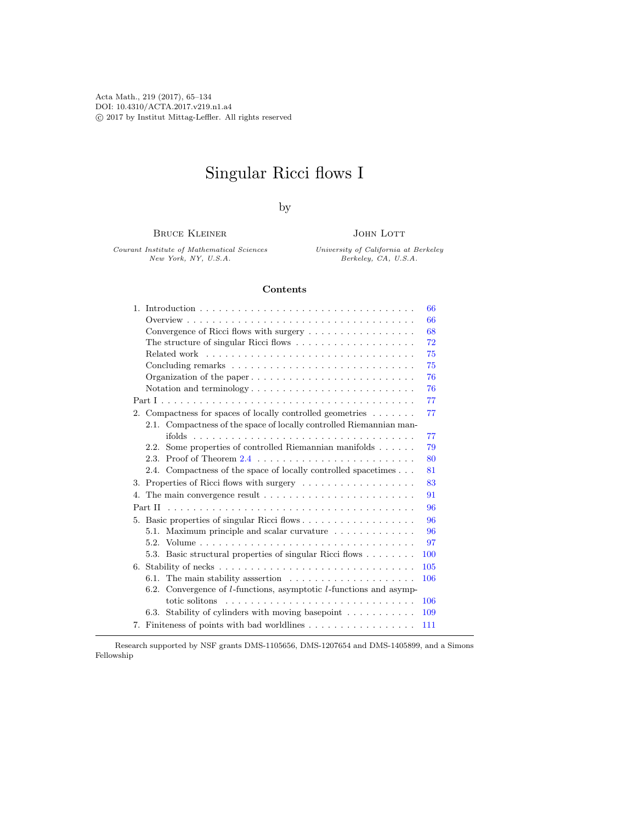Acta Math., 219 (2017), 65–134 DOI: 10.4310/ACTA.2017.v219.n1.a4 c 2017 by Institut Mittag-Leffler. All rights reserved

# Singular Ricci flows I

by

Bruce Kleiner

Courant Institute of Mathematical Sciences New York, NY, U.S.A.

JOHN LOTT

University of California at Berkeley Berkeley, CA, U.S.A.

# Contents

| 66                                                                                   |  |
|--------------------------------------------------------------------------------------|--|
| 66                                                                                   |  |
| Convergence of Ricci flows with surgery<br>68                                        |  |
| 72                                                                                   |  |
| 75                                                                                   |  |
| 75                                                                                   |  |
| 76                                                                                   |  |
| 76                                                                                   |  |
| 77                                                                                   |  |
| 2. Compactness for spaces of locally controlled geometries $\dots \dots$<br>77       |  |
| 2.1. Compactness of the space of locally controlled Riemannian man-                  |  |
| 77                                                                                   |  |
| 2.2. Some properties of controlled Riemannian manifolds<br>79                        |  |
| 80                                                                                   |  |
| 2.4. Compactness of the space of locally controlled spacetimes<br>81                 |  |
| 3. Properties of Ricci flows with surgery<br>83                                      |  |
| 91<br>4.                                                                             |  |
| 96                                                                                   |  |
| 96                                                                                   |  |
| 5.1. Maximum principle and scalar curvature $\dots \dots \dots \dots$<br>96          |  |
| 97                                                                                   |  |
| 5.3. Basic structural properties of singular Ricci flows<br>100                      |  |
| 105                                                                                  |  |
| 6.1. The main stability assertion $\ldots \ldots \ldots \ldots \ldots \ldots$<br>106 |  |
| 6.2. Convergence of $l$ -functions, asymptotic $l$ -functions and asymp-             |  |
| 106                                                                                  |  |
| 6.3. Stability of cylinders with moving basepoint $\dots \dots \dots$<br>109         |  |
| 7. Finiteness of points with bad worldlines<br>111                                   |  |
|                                                                                      |  |

Research supported by NSF grants DMS-1105656, DMS-1207654 and DMS-1405899, and a Simons Fellowship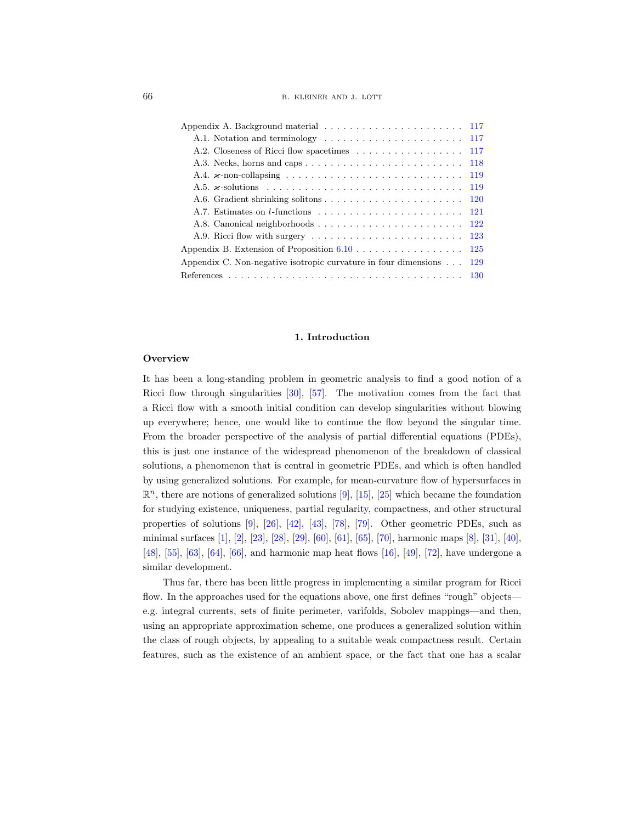| 66 | B. KLEINER AND J. LOTT |  |
|----|------------------------|--|
|    |                        |  |

| A.2. Closeness of Ricci flow spacetimes<br>117                                               |  |
|----------------------------------------------------------------------------------------------|--|
| A.3. Necks, horns and caps $\dots \dots \dots \dots \dots \dots \dots \dots \dots$<br>118    |  |
| 119                                                                                          |  |
| 119                                                                                          |  |
| 120                                                                                          |  |
| 121                                                                                          |  |
| A.8. Canonical neighborhoods<br><b>122</b>                                                   |  |
| A.9. Ricci flow with surgery $\dots \dots \dots \dots \dots \dots \dots \dots \dots$<br>-123 |  |
| Appendix B. Extension of Proposition $6.10$<br>125                                           |  |
| Appendix C. Non-negative isotropic curvature in four dimensions $\dots$<br>129               |  |
|                                                                                              |  |

## 1. Introduction

#### <span id="page-1-1"></span><span id="page-1-0"></span>**Overview**

It has been a long-standing problem in geometric analysis to find a good notion of a Ricci flow through singularities  $[30]$ ,  $[57]$ . The motivation comes from the fact that a Ricci flow with a smooth initial condition can develop singularities without blowing up everywhere; hence, one would like to continue the flow beyond the singular time. From the broader perspective of the analysis of partial differential equations (PDEs), this is just one instance of the widespread phenomenon of the breakdown of classical solutions, a phenomenon that is central in geometric PDEs, and which is often handled by using generalized solutions. For example, for mean-curvature flow of hypersurfaces in  $\mathbb{R}^n$ , there are notions of generalized solutions [\[9\]](#page-65-0), [\[15\]](#page-66-1), [\[25\]](#page-66-2) which became the foundation for studying existence, uniqueness, partial regularity, compactness, and other structural properties of solutions [\[9\]](#page-65-0), [\[26\]](#page-66-3), [\[42\]](#page-67-1), [\[43\]](#page-67-2), [\[78\]](#page-68-0), [\[79\]](#page-68-1). Other geometric PDEs, such as minimal surfaces [\[1\]](#page-65-1), [\[2\]](#page-65-2), [\[23\]](#page-66-4), [\[28\]](#page-66-5), [\[29\]](#page-66-6), [\[60\]](#page-68-2), [\[61\]](#page-68-3), [\[65\]](#page-68-4), [\[70\]](#page-68-5), harmonic maps [\[8\]](#page-65-3), [\[31\]](#page-66-7), [\[40\]](#page-67-3), [\[48\]](#page-67-4), [\[55\]](#page-67-5), [\[63\]](#page-68-6), [\[64\]](#page-68-7), [\[66\]](#page-68-8), and harmonic map heat flows [\[16\]](#page-66-8), [\[49\]](#page-67-6), [\[72\]](#page-68-9), have undergone a similar development.

Thus far, there has been little progress in implementing a similar program for Ricci flow. In the approaches used for the equations above, one first defines "rough" objects e.g. integral currents, sets of finite perimeter, varifolds, Sobolev mappings—and then, using an appropriate approximation scheme, one produces a generalized solution within the class of rough objects, by appealing to a suitable weak compactness result. Certain features, such as the existence of an ambient space, or the fact that one has a scalar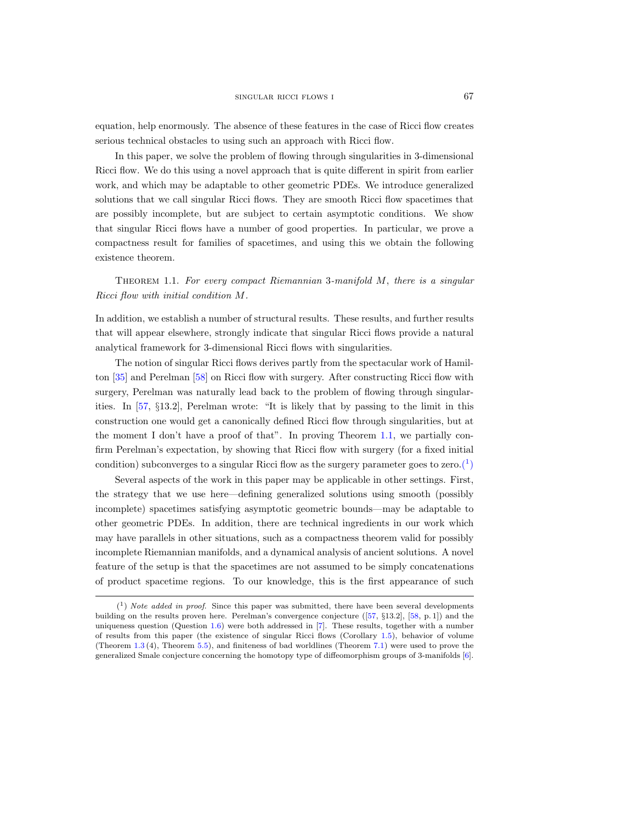equation, help enormously. The absence of these features in the case of Ricci flow creates serious technical obstacles to using such an approach with Ricci flow.

In this paper, we solve the problem of flowing through singularities in 3-dimensional Ricci flow. We do this using a novel approach that is quite different in spirit from earlier work, and which may be adaptable to other geometric PDEs. We introduce generalized solutions that we call singular Ricci flows. They are smooth Ricci flow spacetimes that are possibly incomplete, but are subject to certain asymptotic conditions. We show that singular Ricci flows have a number of good properties. In particular, we prove a compactness result for families of spacetimes, and using this we obtain the following existence theorem.

<span id="page-2-0"></span>THEOREM 1.1. For every compact Riemannian 3-manifold  $M$ , there is a singular Ricci flow with initial condition M.

In addition, we establish a number of structural results. These results, and further results that will appear elsewhere, strongly indicate that singular Ricci flows provide a natural analytical framework for 3-dimensional Ricci flows with singularities.

The notion of singular Ricci flows derives partly from the spectacular work of Hamilton [\[35\]](#page-67-7) and Perelman [\[58\]](#page-67-8) on Ricci flow with surgery. After constructing Ricci flow with surgery, Perelman was naturally lead back to the problem of flowing through singularities. In [\[57,](#page-67-0) §13.2], Perelman wrote: "It is likely that by passing to the limit in this construction one would get a canonically defined Ricci flow through singularities, but at the moment I don't have a proof of that". In proving Theorem [1.1,](#page-2-0) we partially confirm Perelman's expectation, by showing that Ricci flow with surgery (for a fixed initial condition) subconverges to a singular Ricci flow as the surgery parameter goes to zero.<sup>(1</sup>)

Several aspects of the work in this paper may be applicable in other settings. First, the strategy that we use here—defining generalized solutions using smooth (possibly incomplete) spacetimes satisfying asymptotic geometric bounds—may be adaptable to other geometric PDEs. In addition, there are technical ingredients in our work which may have parallels in other situations, such as a compactness theorem valid for possibly incomplete Riemannian manifolds, and a dynamical analysis of ancient solutions. A novel feature of the setup is that the spacetimes are not assumed to be simply concatenations of product spacetime regions. To our knowledge, this is the first appearance of such

<span id="page-2-1"></span> $(1)$  Note added in proof. Since this paper was submitted, there have been several developments building on the results proven here. Perelman's convergence conjecture ([\[57,](#page-67-0) §13.2], [\[58,](#page-67-8) p. 1]) and the uniqueness question (Question [1.6\)](#page-6-0) were both addressed in [\[7\]](#page-65-4). These results, together with a number of results from this paper (the existence of singular Ricci flows (Corollary [1.5\)](#page-6-1), behavior of volume (Theorem [1.3](#page-4-0) (4), Theorem [5.5\)](#page-33-0), and finiteness of bad worldlines (Theorem [7.1\)](#page-46-1) were used to prove the generalized Smale conjecture concerning the homotopy type of diffeomorphism groups of 3-manifolds [\[6\]](#page-65-5).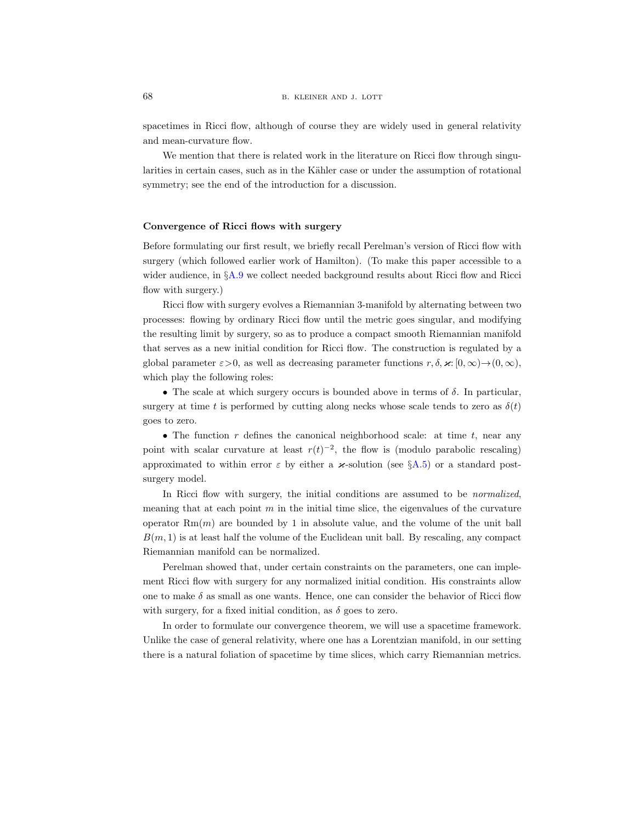spacetimes in Ricci flow, although of course they are widely used in general relativity and mean-curvature flow.

We mention that there is related work in the literature on Ricci flow through singularities in certain cases, such as in the Kähler case or under the assumption of rotational symmetry; see the end of the introduction for a discussion.

## Convergence of Ricci flows with surgery

Before formulating our first result, we briefly recall Perelman's version of Ricci flow with surgery (which followed earlier work of Hamilton). (To make this paper accessible to a wider audience, in §[A.9](#page-58-0) we collect needed background results about Ricci flow and Ricci flow with surgery.)

Ricci flow with surgery evolves a Riemannian 3-manifold by alternating between two processes: flowing by ordinary Ricci flow until the metric goes singular, and modifying the resulting limit by surgery, so as to produce a compact smooth Riemannian manifold that serves as a new initial condition for Ricci flow. The construction is regulated by a global parameter  $\varepsilon > 0$ , as well as decreasing parameter functions  $r, \delta, \varkappa : [0, \infty) \rightarrow (0, \infty)$ , which play the following roles:

• The scale at which surgery occurs is bounded above in terms of  $\delta$ . In particular, surgery at time t is performed by cutting along necks whose scale tends to zero as  $\delta(t)$ goes to zero.

• The function r defines the canonical neighborhood scale: at time  $t$ , near any point with scalar curvature at least  $r(t)^{-2}$ , the flow is (modulo parabolic rescaling) approximated to within error  $\varepsilon$  by either a  $\varkappa$ -solution (see §[A.5\)](#page-54-1) or a standard postsurgery model.

In Ricci flow with surgery, the initial conditions are assumed to be *normalized*, meaning that at each point  $m$  in the initial time slice, the eigenvalues of the curvature operator  $Rm(m)$  are bounded by 1 in absolute value, and the volume of the unit ball  $B(m, 1)$  is at least half the volume of the Euclidean unit ball. By rescaling, any compact Riemannian manifold can be normalized.

Perelman showed that, under certain constraints on the parameters, one can implement Ricci flow with surgery for any normalized initial condition. His constraints allow one to make  $\delta$  as small as one wants. Hence, one can consider the behavior of Ricci flow with surgery, for a fixed initial condition, as  $\delta$  goes to zero.

In order to formulate our convergence theorem, we will use a spacetime framework. Unlike the case of general relativity, where one has a Lorentzian manifold, in our setting there is a natural foliation of spacetime by time slices, which carry Riemannian metrics.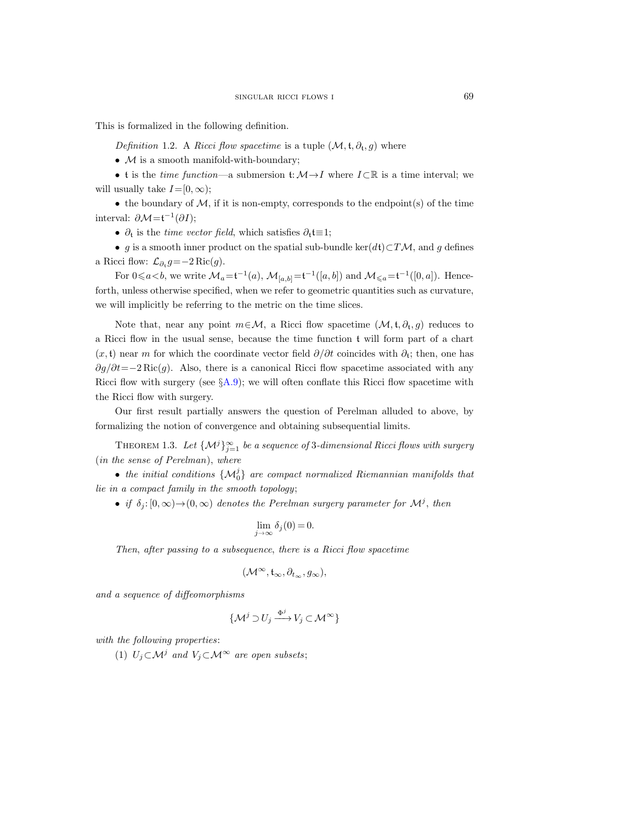<span id="page-4-1"></span>This is formalized in the following definition.

Definition 1.2. A Ricci flow spacetime is a tuple  $(\mathcal{M}, \mathfrak{t}, \partial_{\mathfrak{t}}, g)$  where

•  $M$  is a smooth manifold-with-boundary;

• t is the time function—a submersion t:  $\mathcal{M} \rightarrow I$  where  $I \subset \mathbb{R}$  is a time interval; we will usually take  $I=[0, \infty)$ :

• the boundary of  $M$ , if it is non-empty, corresponds to the endpoint(s) of the time interval:  $\partial \mathcal{M} = f^{-1}(\partial I);$ 

•  $\partial_t$  is the *time vector field*, which satisfies  $\partial_t t \equiv 1$ ;

• g is a smooth inner product on the spatial sub-bundle ker(dt)⊂TM, and g defines a Ricci flow:  $\mathcal{L}_{\partial_t} g = -2 \operatorname{Ric}(g)$ .

For  $0 \le a < b$ , we write  $\mathcal{M}_a = \mathfrak{t}^{-1}(a)$ ,  $\mathcal{M}_{[a,b]} = \mathfrak{t}^{-1}([a,b])$  and  $\mathcal{M}_{\le a} = \mathfrak{t}^{-1}([0,a])$ . Henceforth, unless otherwise specified, when we refer to geometric quantities such as curvature, we will implicitly be referring to the metric on the time slices.

Note that, near any point  $m \in \mathcal{M}$ , a Ricci flow spacetime  $(\mathcal{M}, \mathfrak{t}, \partial_{\mathfrak{t}}, g)$  reduces to a Ricci flow in the usual sense, because the time function t will form part of a chart  $(x, t)$  near m for which the coordinate vector field  $\partial/\partial t$  coincides with  $\partial_t$ ; then, one has  $\partial g/\partial t = -2$  Ric $(g)$ . Also, there is a canonical Ricci flow spacetime associated with any Ricci flow with surgery (see  $\S$ [A.9\)](#page-58-0); we will often conflate this Ricci flow spacetime with the Ricci flow with surgery.

Our first result partially answers the question of Perelman alluded to above, by formalizing the notion of convergence and obtaining subsequential limits.

<span id="page-4-0"></span>THEOREM 1.3. Let  $\{\mathcal{M}^j\}_{j=1}^{\infty}$  be a sequence of 3-dimensional Ricci flows with surgery (in the sense of Perelman), where

• the initial conditions  $\{M_0^j\}$  are compact normalized Riemannian manifolds that lie in a compact family in the smooth topology;

• if  $\delta_j: [0, \infty) \to (0, \infty)$  denotes the Perelman surgery parameter for  $\mathcal{M}^j$ , then

$$
\lim_{j \to \infty} \delta_j(0) = 0.
$$

Then, after passing to a subsequence, there is a Ricci flow spacetime

$$
(\mathcal{M}^\infty, \mathfrak{t}_\infty, \partial_{t_\infty}, g_\infty),
$$

and a sequence of diffeomorphisms

$$
\{\mathcal{M}^j \supset U_j \xrightarrow{\Phi^j} V_j \subset \mathcal{M}^\infty\}
$$

with the following properties:

(1)  $U_i \subset \mathcal{M}^j$  and  $V_i \subset \mathcal{M}^{\infty}$  are open subsets;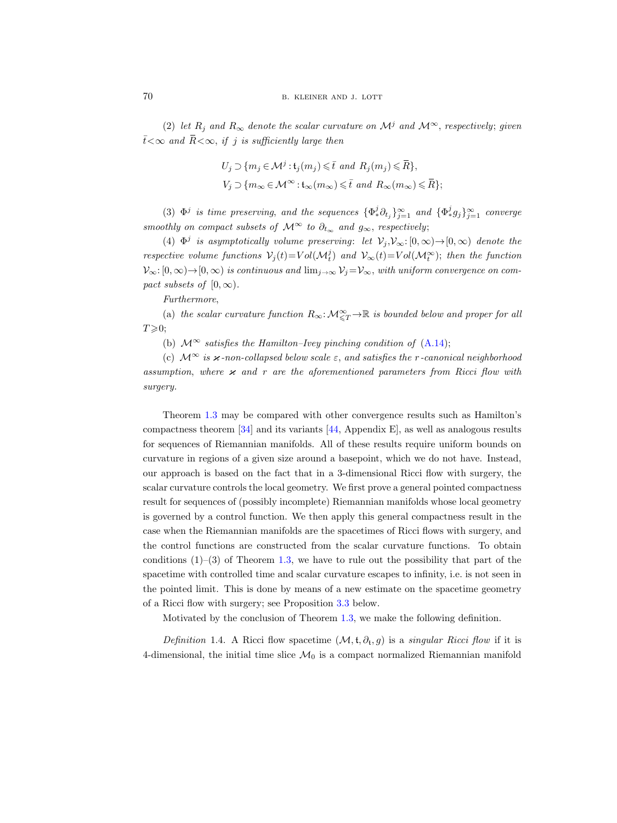(2) let  $R_i$  and  $R_\infty$  denote the scalar curvature on  $\mathcal{M}^j$  and  $\mathcal{M}^\infty$ , respectively; given  $\bar{t} < \infty$  and  $\bar{R} < \infty$ , if j is sufficiently large then

$$
U_j \supset \{m_j \in \mathcal{M}^j : \mathfrak{t}_j(m_j) \leq \bar{t} \text{ and } R_j(m_j) \leq \bar{R}\},\
$$
  

$$
V_j \supset \{m_\infty \in \mathcal{M}^\infty : \mathfrak{t}_\infty(m_\infty) \leq \bar{t} \text{ and } R_\infty(m_\infty) \leq \bar{R}\};
$$

(3)  $\Phi^j$  is time preserving, and the sequences  $\{\Phi^j_*\partial_{t_j}\}_{j=1}^\infty$  and  $\{\Phi^j_*g_j\}_{j=1}^\infty$  converge smoothly on compact subsets of  $\mathcal{M}^{\infty}$  to  $\partial_{t_{\infty}}$  and  $g_{\infty}$ , respectively;

(4)  $\Phi^j$  is asymptotically volume preserving: let  $\mathcal{V}_j, \mathcal{V}_{\infty} : [0, \infty) \to [0, \infty)$  denote the respective volume functions  $V_j(t) = Vol(\mathcal{M}_t^j)$  and  $V_\infty(t) = Vol(\mathcal{M}_t^\infty)$ ; then the function  $\mathcal{V}_{\infty}:[0,\infty)\to[0,\infty)$  is continuous and  $\lim_{j\to\infty}\mathcal{V}_j=\mathcal{V}_{\infty}$ , with uniform convergence on compact subsets of  $[0, \infty)$ .

Furthermore,

(a) the scalar curvature function  $R_{\infty} : \mathcal{M}^{\infty}_{\leq T} \to \mathbb{R}$  is bounded below and proper for all  $T \geqslant 0$ ;

(b)  $\mathcal{M}^{\infty}$  satisfies the Hamilton–Ivey pinching condition of [\(A.14\)](#page-60-1);

(c)  $\mathcal{M}^{\infty}$  is  $\varkappa$ -non-collapsed below scale  $\varepsilon$ , and satisfies the r-canonical neighborhood assumption, where  $\varkappa$  and r are the aforementioned parameters from Ricci flow with surgery.

Theorem [1.3](#page-4-0) may be compared with other convergence results such as Hamilton's compactness theorem [\[34\]](#page-67-9) and its variants [\[44,](#page-67-10) Appendix E], as well as analogous results for sequences of Riemannian manifolds. All of these results require uniform bounds on curvature in regions of a given size around a basepoint, which we do not have. Instead, our approach is based on the fact that in a 3-dimensional Ricci flow with surgery, the scalar curvature controls the local geometry. We first prove a general pointed compactness result for sequences of (possibly incomplete) Riemannian manifolds whose local geometry is governed by a control function. We then apply this general compactness result in the case when the Riemannian manifolds are the spacetimes of Ricci flows with surgery, and the control functions are constructed from the scalar curvature functions. To obtain conditions  $(1)$ – $(3)$  of Theorem [1.3,](#page-4-0) we have to rule out the possibility that part of the spacetime with controlled time and scalar curvature escapes to infinity, i.e. is not seen in the pointed limit. This is done by means of a new estimate on the spacetime geometry of a Ricci flow with surgery; see Proposition [3.3](#page-21-0) below.

Motivated by the conclusion of Theorem [1.3,](#page-4-0) we make the following definition.

<span id="page-5-0"></span>Definition 1.4. A Ricci flow spacetime  $(\mathcal{M}, t, \partial_t, g)$  is a *singular Ricci flow* if it is 4-dimensional, the initial time slice  $\mathcal{M}_0$  is a compact normalized Riemannian manifold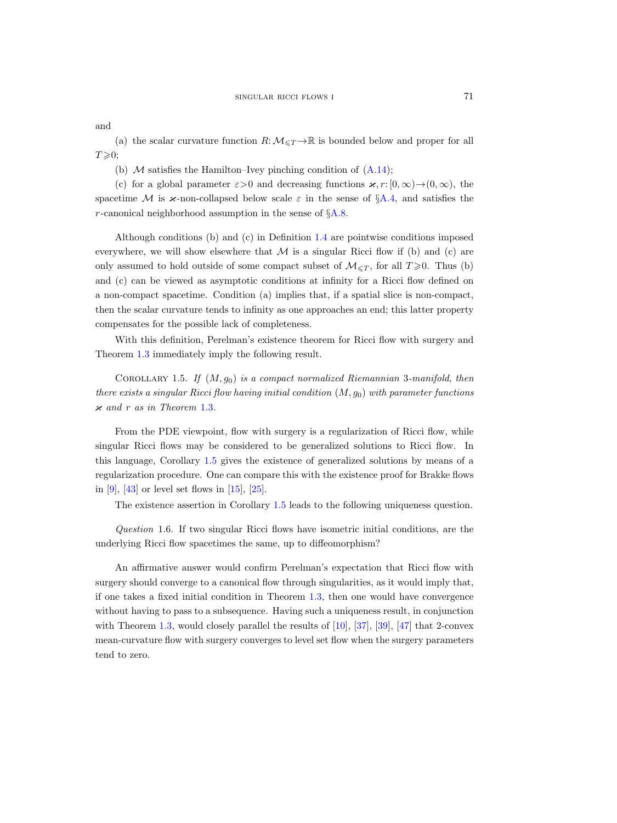and

(a) the scalar curvature function  $R:\mathcal{M}_{\leq T}\to\mathbb{R}$  is bounded below and proper for all  $T\!\geqslant\!0;$ 

(b)  $\mathcal M$  satisfies the Hamilton–Ivey pinching condition of  $(A.14)$ ;

(c) for a global parameter  $\varepsilon > 0$  and decreasing functions  $\varkappa$ , r:  $[0, \infty) \rightarrow (0, \infty)$ , the spacetime M is  $\varkappa$ -non-collapsed below scale  $\varepsilon$  in the sense of §[A.4,](#page-54-0) and satisfies the r-canonical neighborhood assumption in the sense of  $\S A.8$ .

Although conditions (b) and (c) in Definition [1.4](#page-5-0) are pointwise conditions imposed everywhere, we will show elsewhere that  $\mathcal M$  is a singular Ricci flow if (b) and (c) are only assumed to hold outside of some compact subset of  $\mathcal{M}_{\leq T}$ , for all  $T \geq 0$ . Thus (b) and (c) can be viewed as asymptotic conditions at infinity for a Ricci flow defined on a non-compact spacetime. Condition (a) implies that, if a spatial slice is non-compact, then the scalar curvature tends to infinity as one approaches an end; this latter property compensates for the possible lack of completeness.

With this definition, Perelman's existence theorem for Ricci flow with surgery and Theorem [1.3](#page-4-0) immediately imply the following result.

<span id="page-6-1"></span>COROLLARY 1.5. If  $(M, g_0)$  is a compact normalized Riemannian 3-manifold, then there exists a singular Ricci flow having initial condition  $(M, g_0)$  with parameter functions  $x$  and r as in Theorem [1.3](#page-4-0).

From the PDE viewpoint, flow with surgery is a regularization of Ricci flow, while singular Ricci flows may be considered to be generalized solutions to Ricci flow. In this language, Corollary [1.5](#page-6-1) gives the existence of generalized solutions by means of a regularization procedure. One can compare this with the existence proof for Brakke flows in [\[9\]](#page-65-0), [\[43\]](#page-67-2) or level set flows in [\[15\]](#page-66-1), [\[25\]](#page-66-2).

The existence assertion in Corollary [1.5](#page-6-1) leads to the following uniqueness question.

<span id="page-6-0"></span>Question 1.6. If two singular Ricci flows have isometric initial conditions, are the underlying Ricci flow spacetimes the same, up to diffeomorphism?

An affirmative answer would confirm Perelman's expectation that Ricci flow with surgery should converge to a canonical flow through singularities, as it would imply that, if one takes a fixed initial condition in Theorem [1.3,](#page-4-0) then one would have convergence without having to pass to a subsequence. Having such a uniqueness result, in conjunction with Theorem [1.3,](#page-4-0) would closely parallel the results of [\[10\]](#page-65-6), [\[37\]](#page-67-11), [\[39\]](#page-67-12), [\[47\]](#page-67-13) that 2-convex mean-curvature flow with surgery converges to level set flow when the surgery parameters tend to zero.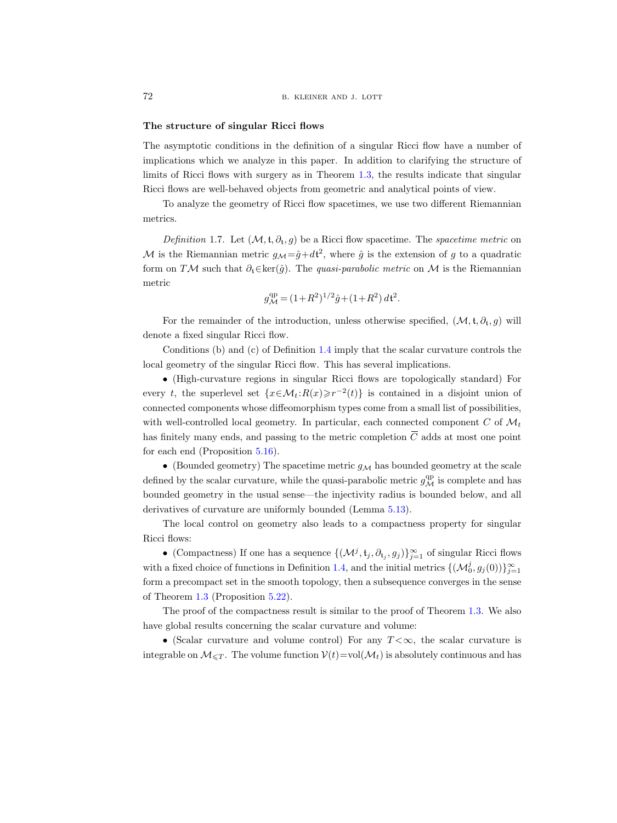### The structure of singular Ricci flows

The asymptotic conditions in the definition of a singular Ricci flow have a number of implications which we analyze in this paper. In addition to clarifying the structure of limits of Ricci flows with surgery as in Theorem [1.3,](#page-4-0) the results indicate that singular Ricci flows are well-behaved objects from geometric and analytical points of view.

To analyze the geometry of Ricci flow spacetimes, we use two different Riemannian metrics.

<span id="page-7-0"></span>Definition 1.7. Let  $(\mathcal{M}, \mathfrak{t}, \partial_{\mathfrak{t}}, g)$  be a Ricci flow spacetime. The spacetime metric on M is the Riemannian metric  $g_{\mathcal{M}} = \hat{g} + dt^2$ , where  $\hat{g}$  is the extension of g to a quadratic form on TM such that  $\partial_t \in \text{ker}(\hat{g})$ . The *quasi-parabolic metric* on M is the Riemannian metric

$$
g^{\text{qp}}_{\mathcal{M}}\,{=}\,(1\,{+}\,R^2)^{1/2}\hat{g}\,{+}\,(1\,{+}\,R^2)\,d{\mathfrak t}^2.
$$

For the remainder of the introduction, unless otherwise specified,  $(\mathcal{M}, \mathfrak{t}, \partial_{\mathfrak{t}}, g)$  will denote a fixed singular Ricci flow.

Conditions (b) and (c) of Definition [1.4](#page-5-0) imply that the scalar curvature controls the local geometry of the singular Ricci flow. This has several implications.

• (High-curvature regions in singular Ricci flows are topologically standard) For every t, the superlevel set  $\{x \in \mathcal{M}_t : R(x) \ge r^{-2}(t)\}$  is contained in a disjoint union of connected components whose diffeomorphism types come from a small list of possibilities, with well-controlled local geometry. In particular, each connected component C of  $\mathcal{M}_t$ has finitely many ends, and passing to the metric completion  $\overline{C}$  adds at most one point for each end (Proposition [5.16\)](#page-37-0).

• (Bounded geometry) The spacetime metric  $g_M$  has bounded geometry at the scale defined by the scalar curvature, while the quasi-parabolic metric  $g^{\text{qp}}_{\mathcal{M}}$  is complete and has bounded geometry in the usual sense—the injectivity radius is bounded below, and all derivatives of curvature are uniformly bounded (Lemma [5.13\)](#page-35-1).

The local control on geometry also leads to a compactness property for singular Ricci flows:

• (Compactness) If one has a sequence  $\{(\mathcal{M}^j, \mathfrak{t}_j, \partial_{\mathfrak{t}_j}, g_j)\}_{j=1}^\infty$  of singular Ricci flows with a fixed choice of functions in Definition [1.4,](#page-5-0) and the initial metrics  $\{(\mathcal{M}_0^j, g_j(0))\}_{j=1}^\infty$ form a precompact set in the smooth topology, then a subsequence converges in the sense of Theorem [1.3](#page-4-0) (Proposition [5.22\)](#page-40-1).

The proof of the compactness result is similar to the proof of Theorem [1.3.](#page-4-0) We also have global results concerning the scalar curvature and volume:

• (Scalar curvature and volume control) For any  $T < \infty$ , the scalar curvature is integrable on  $\mathcal{M}_{\leq T}$ . The volume function  $\mathcal{V}(t)$ =vol $(\mathcal{M}_t)$  is absolutely continuous and has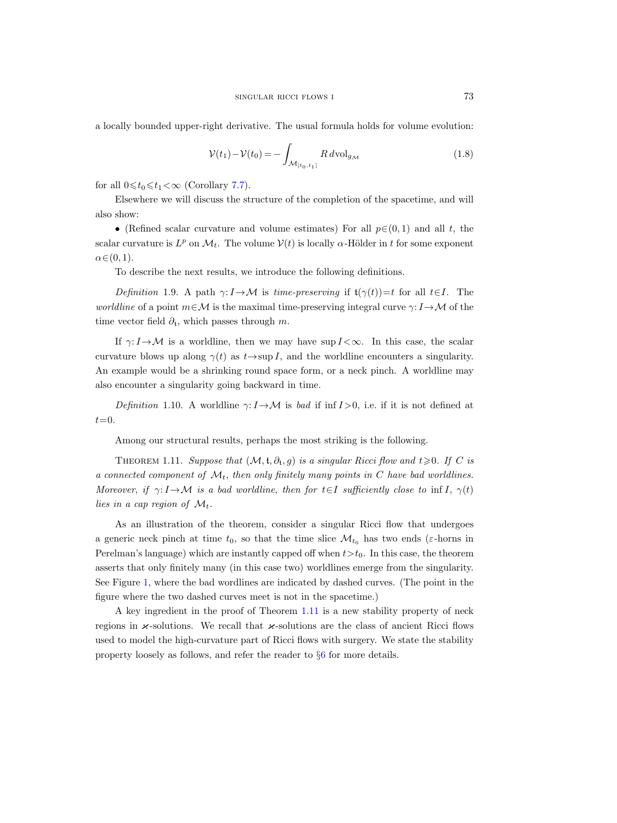a locally bounded upper-right derivative. The usual formula holds for volume evolution:

<span id="page-8-1"></span>
$$
\mathcal{V}(t_1) - \mathcal{V}(t_0) = -\int_{\mathcal{M}_{[t_0, t_1]}} R \, d\text{vol}_{g_{\mathcal{M}}} \tag{1.8}
$$

for all  $0 \leq t_0 \leq t_1 < \infty$  (Corollary [7.7\)](#page-51-0).

Elsewhere we will discuss the structure of the completion of the spacetime, and will also show:

• (Refined scalar curvature and volume estimates) For all  $p \in (0, 1)$  and all t, the scalar curvature is  $L^p$  on  $\mathcal{M}_t$ . The volume  $\mathcal{V}(t)$  is locally  $\alpha$ -Hölder in t for some exponent  $\alpha \in (0, 1)$ .

To describe the next results, we introduce the following definitions.

<span id="page-8-2"></span>Definition 1.9. A path  $\gamma: I \to \mathcal{M}$  is time-preserving if  $\mathfrak{t}(\gamma(t))=t$  for all  $t\in I$ . The worldline of a point  $m \in \mathcal{M}$  is the maximal time-preserving integral curve  $\gamma: I \rightarrow \mathcal{M}$  of the time vector field  $\partial_t$ , which passes through m.

If  $\gamma: I \to M$  is a worldline, then we may have sup  $I < \infty$ . In this case, the scalar curvature blows up along  $\gamma(t)$  as  $t \rightarrow \sup I$ , and the worldline encounters a singularity. An example would be a shrinking round space form, or a neck pinch. A worldline may also encounter a singularity going backward in time.

Definition 1.10. A worldline  $\gamma: I \rightarrow M$  is bad if inf  $I > 0$ , i.e. if it is not defined at  $t=0$ .

Among our structural results, perhaps the most striking is the following.

<span id="page-8-0"></span>THEOREM 1.11. Suppose that  $(M, t, \partial_t, g)$  is a singular Ricci flow and  $t \geq 0$ . If C is a connected component of  $\mathcal{M}_t$ , then only finitely many points in C have bad worldlines. Moreover, if  $\gamma: I \to \mathcal{M}$  is a bad worldline, then for  $t \in I$  sufficiently close to inf I,  $\gamma(t)$ lies in a cap region of  $\mathcal{M}_t$ .

As an illustration of the theorem, consider a singular Ricci flow that undergoes a generic neck pinch at time  $t_0$ , so that the time slice  $\mathcal{M}_{t_0}$  has two ends ( $\varepsilon$ -horns in Perelman's language) which are instantly capped off when  $t>t_0$ . In this case, the theorem asserts that only finitely many (in this case two) worldlines emerge from the singularity. See Figure [1,](#page-9-1) where the bad wordlines are indicated by dashed curves. (The point in the figure where the two dashed curves meet is not in the spacetime.)

A key ingredient in the proof of Theorem [1.11](#page-8-0) is a new stability property of neck regions in  $\varkappa$ -solutions. We recall that  $\varkappa$ -solutions are the class of ancient Ricci flows used to model the high-curvature part of Ricci flows with surgery. We state the stability property loosely as follows, and refer the reader to §[6](#page-40-0) for more details.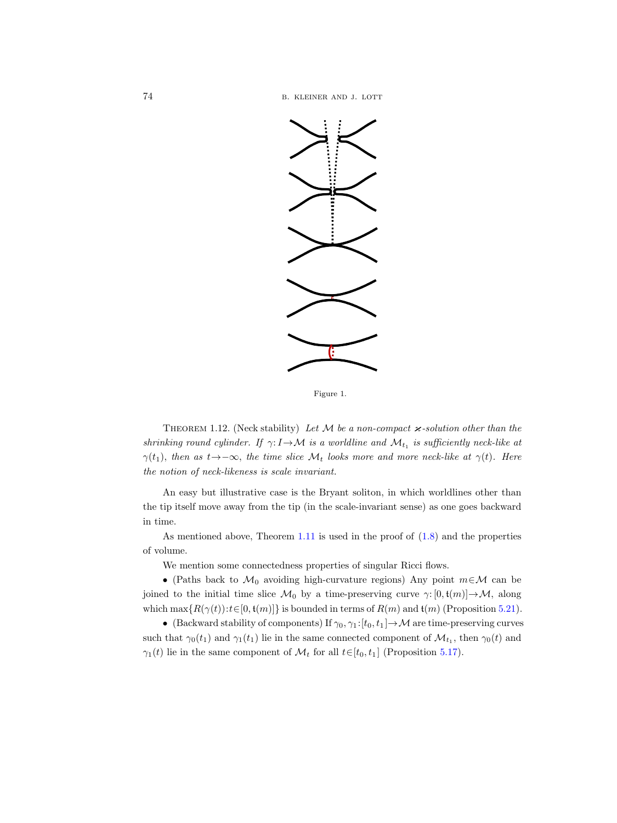

<span id="page-9-1"></span>Figure 1.

<span id="page-9-0"></span>THEOREM 1.12. (Neck stability) Let  $M$  be a non-compact  $\varkappa$ -solution other than the shrinking round cylinder. If  $\gamma: I \to \mathcal{M}$  is a worldline and  $\mathcal{M}_{t_1}$  is sufficiently neck-like at  $\gamma(t_1)$ , then as  $t \rightarrow -\infty$ , the time slice  $\mathcal{M}_t$  looks more and more neck-like at  $\gamma(t)$ . Here the notion of neck-likeness is scale invariant.

An easy but illustrative case is the Bryant soliton, in which worldlines other than the tip itself move away from the tip (in the scale-invariant sense) as one goes backward in time.

As mentioned above, Theorem [1.11](#page-8-0) is used in the proof of [\(1.8\)](#page-8-1) and the properties of volume.

We mention some connectedness properties of singular Ricci flows.

• (Paths back to  $\mathcal{M}_0$  avoiding high-curvature regions) Any point  $m \in \mathcal{M}$  can be joined to the initial time slice  $\mathcal{M}_0$  by a time-preserving curve  $\gamma: [0, t(m)] \to \mathcal{M}$ , along which  $\max\{R(\gamma(t)) : t \in [0, t(m)]\}$  is bounded in terms of  $R(m)$  and  $t(m)$  (Proposition [5.21\)](#page-40-2).

• (Backward stability of components) If  $\gamma_0, \gamma_1:[t_0, t_1] \to M$  are time-preserving curves such that  $\gamma_0(t_1)$  and  $\gamma_1(t_1)$  lie in the same connected component of  $\mathcal{M}_{t_1}$ , then  $\gamma_0(t)$  and  $\gamma_1(t)$  lie in the same component of  $\mathcal{M}_t$  for all  $t \in [t_0, t_1]$  (Proposition [5.17\)](#page-38-0).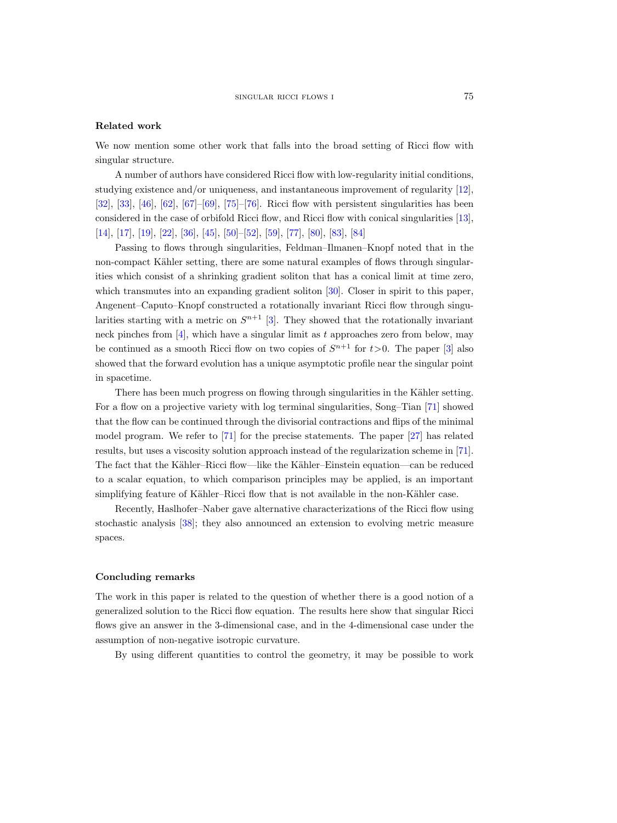# Related work

We now mention some other work that falls into the broad setting of Ricci flow with singular structure.

A number of authors have considered Ricci flow with low-regularity initial conditions, studying existence and/or uniqueness, and instantaneous improvement of regularity [\[12\]](#page-66-9), [\[32\]](#page-66-10), [\[33\]](#page-66-11), [\[46\]](#page-67-14), [\[62\]](#page-68-10), [\[67\]](#page-68-11)–[\[69\]](#page-68-12), [\[75\]](#page-68-13)–[\[76\]](#page-68-14). Ricci flow with persistent singularities has been considered in the case of orbifold Ricci flow, and Ricci flow with conical singularities [\[13\]](#page-66-12), [\[14\]](#page-66-13), [\[17\]](#page-66-14), [\[19\]](#page-66-15), [\[22\]](#page-66-16), [\[36\]](#page-67-15), [\[45\]](#page-67-16), [\[50\]](#page-67-17)–[\[52\]](#page-67-18), [\[59\]](#page-68-15), [\[77\]](#page-68-16), [\[80\]](#page-68-17), [\[83\]](#page-69-0), [\[84\]](#page-69-1)

Passing to flows through singularities, Feldman–Ilmanen–Knopf noted that in the non-compact Kähler setting, there are some natural examples of flows through singularities which consist of a shrinking gradient soliton that has a conical limit at time zero, which transmutes into an expanding gradient soliton [\[30\]](#page-66-0). Closer in spirit to this paper, Angenent–Caputo–Knopf constructed a rotationally invariant Ricci flow through singularities starting with a metric on  $S^{n+1}$  [\[3\]](#page-65-7). They showed that the rotationally invariant neck pinches from  $[4]$ , which have a singular limit as t approaches zero from below, may be continued as a smooth Ricci flow on two copies of  $S^{n+1}$  for  $t>0$ . The paper [\[3\]](#page-65-7) also showed that the forward evolution has a unique asymptotic profile near the singular point in spacetime.

There has been much progress on flowing through singularities in the Kähler setting. For a flow on a projective variety with log terminal singularities, Song–Tian [\[71\]](#page-68-18) showed that the flow can be continued through the divisorial contractions and flips of the minimal model program. We refer to [\[71\]](#page-68-18) for the precise statements. The paper [\[27\]](#page-66-17) has related results, but uses a viscosity solution approach instead of the regularization scheme in [\[71\]](#page-68-18). The fact that the Kähler–Ricci flow—like the Kähler–Einstein equation—can be reduced to a scalar equation, to which comparison principles may be applied, is an important simplifying feature of Kähler–Ricci flow that is not available in the non-Kähler case.

Recently, Haslhofer–Naber gave alternative characterizations of the Ricci flow using stochastic analysis [\[38\]](#page-67-19); they also announced an extension to evolving metric measure spaces.

# Concluding remarks

The work in this paper is related to the question of whether there is a good notion of a generalized solution to the Ricci flow equation. The results here show that singular Ricci flows give an answer in the 3-dimensional case, and in the 4-dimensional case under the assumption of non-negative isotropic curvature.

By using different quantities to control the geometry, it may be possible to work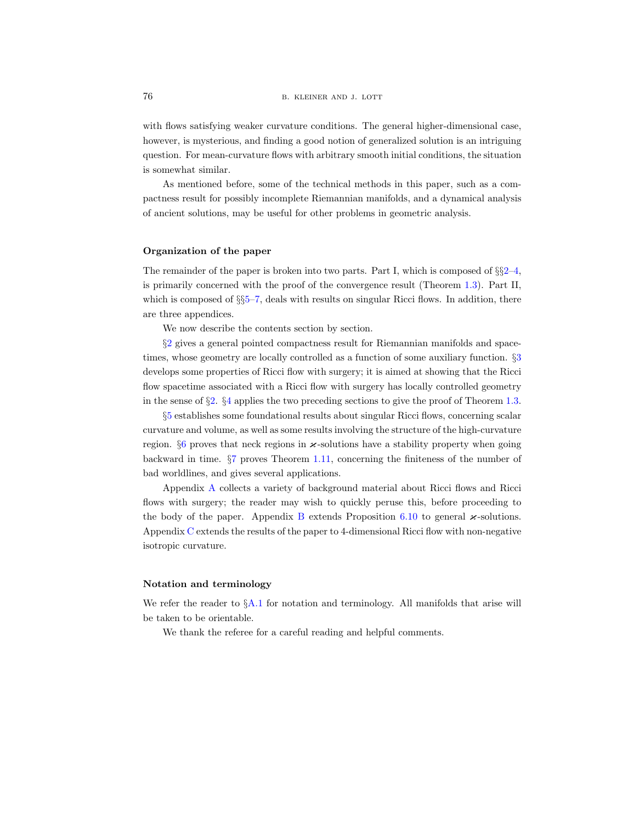with flows satisfying weaker curvature conditions. The general higher-dimensional case, however, is mysterious, and finding a good notion of generalized solution is an intriguing question. For mean-curvature flows with arbitrary smooth initial conditions, the situation is somewhat similar.

As mentioned before, some of the technical methods in this paper, such as a compactness result for possibly incomplete Riemannian manifolds, and a dynamical analysis of ancient solutions, may be useful for other problems in geometric analysis.

#### Organization of the paper

The remainder of the paper is broken into two parts. Part I, which is composed of  $\S_2-4$  $\S_2-4$  $\S_2-4$ , is primarily concerned with the proof of the convergence result (Theorem [1.3\)](#page-4-0). Part II, which is composed of  $\S65$ –[7,](#page-46-0) deals with results on singular Ricci flows. In addition, there are three appendices.

We now describe the contents section by section.

§[2](#page-12-0) gives a general pointed compactness result for Riemannian manifolds and spacetimes, whose geometry are locally controlled as a function of some auxiliary function. §[3](#page-18-0) develops some properties of Ricci flow with surgery; it is aimed at showing that the Ricci flow spacetime associated with a Ricci flow with surgery has locally controlled geometry in the sense of §[2.](#page-12-0) §[4](#page-26-0) applies the two preceding sections to give the proof of Theorem [1.3.](#page-4-0)

§[5](#page-31-0) establishes some foundational results about singular Ricci flows, concerning scalar curvature and volume, as well as some results involving the structure of the high-curvature region.  $\S6$  $\S6$  proves that neck regions in  $\varkappa$ -solutions have a stability property when going backward in time. §[7](#page-46-0) proves Theorem [1.11,](#page-8-0) concerning the finiteness of the number of bad worldlines, and gives several applications.

[A](#page-52-0)ppendix A collects a variety of background material about Ricci flows and Ricci flows with surgery; the reader may wish to quickly peruse this, before proceeding to the body of the paper. Appendix [B](#page-60-0) extends Proposition [6.10](#page-44-1) to general  $\varkappa$ -solutions. Appendix [C](#page-64-0) extends the results of the paper to 4-dimensional Ricci flow with non-negative isotropic curvature.

#### Notation and terminology

We refer the reader to  $\S$ [A.1](#page-52-1) for notation and terminology. All manifolds that arise will be taken to be orientable.

We thank the referee for a careful reading and helpful comments.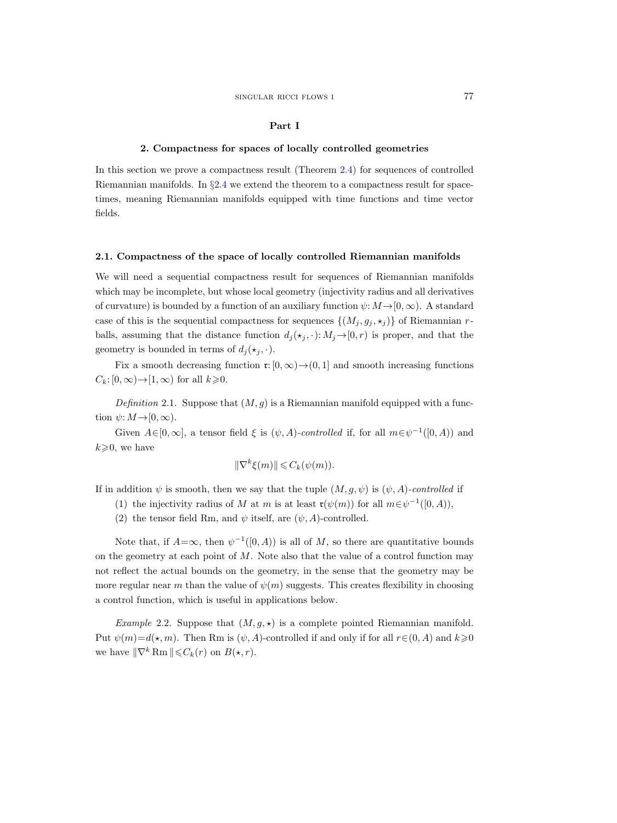#### Part I

# 2. Compactness for spaces of locally controlled geometries

<span id="page-12-0"></span>In this section we prove a compactness result (Theorem [2.4\)](#page-13-0) for sequences of controlled Riemannian manifolds. In  $\S 2.4$  $\S 2.4$  we extend the theorem to a compactness result for spacetimes, meaning Riemannian manifolds equipped with time functions and time vector fields.

#### <span id="page-12-1"></span>2.1. Compactness of the space of locally controlled Riemannian manifolds

We will need a sequential compactness result for sequences of Riemannian manifolds which may be incomplete, but whose local geometry (injectivity radius and all derivatives of curvature) is bounded by a function of an auxiliary function  $\psi: M \to [0, \infty)$ . A standard case of this is the sequential compactness for sequences  $\{(M_j, g_j, \star_j)\}\)$  of Riemannian rballs, assuming that the distance function  $d_j(\star_j, \cdot): M_j \to [0, r)$  is proper, and that the geometry is bounded in terms of  $d_i(\star_i, \cdot)$ .

Fix a smooth decreasing function  $\mathfrak{r}: [0, \infty) \to (0, 1]$  and smooth increasing functions  $C_k: [0, \infty) \rightarrow [1, \infty)$  for all  $k \geq 0$ .

<span id="page-12-2"></span>Definition 2.1. Suppose that  $(M, g)$  is a Riemannian manifold equipped with a function  $\psi: M \to [0, \infty)$ .

Given  $A\in[0,\infty]$ , a tensor field  $\xi$  is  $(\psi,A)$ -controlled if, for all  $m\in\psi^{-1}([0,A))$  and  $k\geqslant 0$ , we have

$$
\|\nabla^k \xi(m)\| \leqslant C_k(\psi(m)).
$$

If in addition  $\psi$  is smooth, then we say that the tuple  $(M, g, \psi)$  is  $(\psi, A)$ -controlled if

- (1) the injectivity radius of M at m is at least  $\mathfrak{r}(\psi(m))$  for all  $m \in \psi^{-1}([0, A)),$
- (2) the tensor field Rm, and  $\psi$  itself, are  $(\psi, A)$ -controlled.

Note that, if  $A=\infty$ , then  $\psi^{-1}([0, A))$  is all of M, so there are quantitative bounds on the geometry at each point of  $M$ . Note also that the value of a control function may not reflect the actual bounds on the geometry, in the sense that the geometry may be more regular near m than the value of  $\psi(m)$  suggests. This creates flexibility in choosing a control function, which is useful in applications below.

Example 2.2. Suppose that  $(M, g, \star)$  is a complete pointed Riemannian manifold. Put  $\psi(m)=d(\star, m)$ . Then Rm is  $(\psi, A)$ -controlled if and only if for all  $r\in (0, A)$  and  $k\geqslant 0$ we have  $\|\nabla^k \text{Rm}\| \leqslant C_k(r)$  on  $B(\star, r)$ .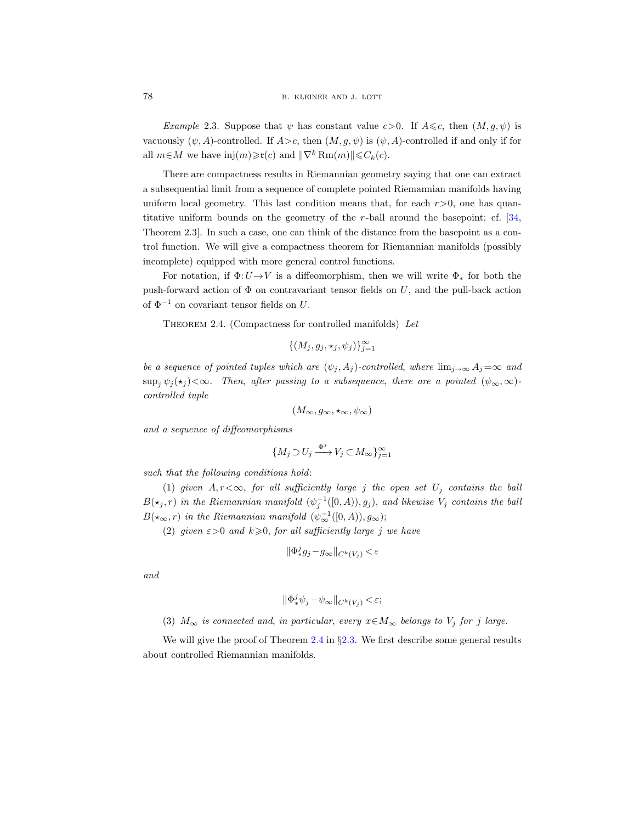*Example* 2.3. Suppose that  $\psi$  has constant value c > 0. If  $A \leq c$ , then  $(M, q, \psi)$  is vacuously  $(\psi, A)$ -controlled. If  $A>c$ , then  $(M, g, \psi)$  is  $(\psi, A)$ -controlled if and only if for all  $m \in M$  we have inj $(m) \ge \mathfrak{r}(c)$  and  $\|\nabla^k \text{Rm}(m)\| \le C_k(c)$ .

There are compactness results in Riemannian geometry saying that one can extract a subsequential limit from a sequence of complete pointed Riemannian manifolds having uniform local geometry. This last condition means that, for each  $r>0$ , one has quantitative uniform bounds on the geometry of the r-ball around the basepoint; cf. [\[34,](#page-67-9) Theorem 2.3]. In such a case, one can think of the distance from the basepoint as a control function. We will give a compactness theorem for Riemannian manifolds (possibly incomplete) equipped with more general control functions.

For notation, if  $\Phi: U \to V$  is a diffeomorphism, then we will write  $\Phi_*$  for both the push-forward action of  $\Phi$  on contravariant tensor fields on U, and the pull-back action of  $\Phi^{-1}$  on covariant tensor fields on U.

<span id="page-13-0"></span>THEOREM 2.4. (Compactness for controlled manifolds) Let

$$
\{(M_j, g_j, \star_j, \psi_j)\}_{j=1}^{\infty}
$$

be a sequence of pointed tuples which are  $(\psi_j, A_j)$ -controlled, where  $\lim_{j\to\infty} A_j = \infty$  and  $\sup_i \psi_i(\star_i) < \infty$ . Then, after passing to a subsequence, there are a pointed  $(\psi_\infty, \infty)$ controlled tuple

$$
(M_{\infty}, g_{\infty}, \star_{\infty}, \psi_{\infty})
$$

and a sequence of diffeomorphisms

$$
\{M_j \supset U_j \xrightarrow{\Phi^j} V_j \subset M_\infty\}_{j=1}^\infty
$$

such that the following conditions hold:

(1) given  $A, r<\infty$ , for all sufficiently large j the open set  $U_j$  contains the ball  $B(\star_j, r)$  in the Riemannian manifold  $(\psi_j^{-1}([0, A)), g_j)$ , and likewise  $V_j$  contains the ball  $B(\star_\infty,r)$  in the Riemannian manifold  $(\psi_\infty^{-1}([0,A)),g_\infty);$ 

(2) given  $\varepsilon > 0$  and  $k \geq 0$ , for all sufficiently large j we have

$$
\|\Phi^j_*g_j-g_\infty\|_{C^k(V_j)}<\varepsilon
$$

and

$$
\|\Phi^j_*\psi_j - \psi_\infty\|_{C^k(V_j)} < \varepsilon;
$$

(3)  $M_{\infty}$  is connected and, in particular, every  $x \in M_{\infty}$  belongs to  $V_j$  for j large.

We will give the proof of Theorem [2.4](#page-13-0) in  $\S 2.3$ . We first describe some general results about controlled Riemannian manifolds.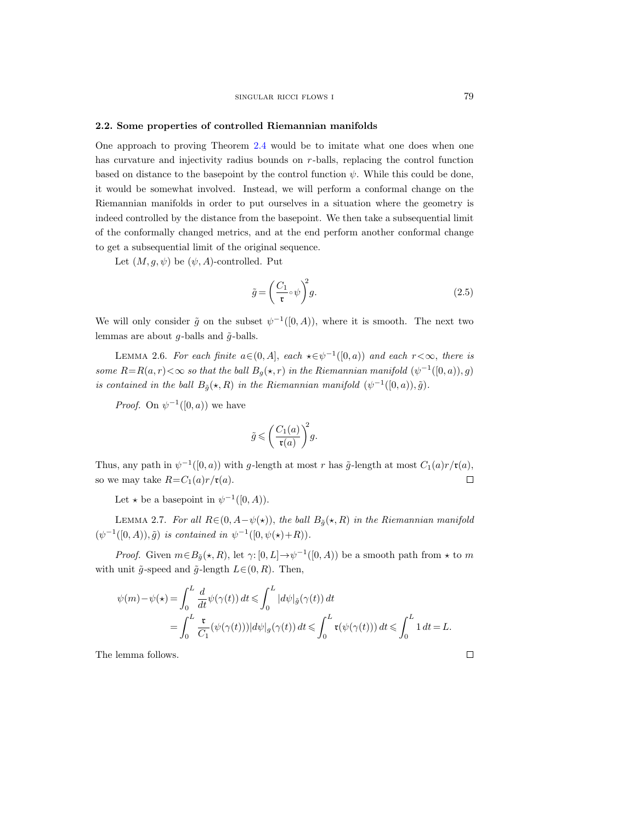#### <span id="page-14-0"></span>2.2. Some properties of controlled Riemannian manifolds

One approach to proving Theorem [2.4](#page-13-0) would be to imitate what one does when one has curvature and injectivity radius bounds on r-balls, replacing the control function based on distance to the basepoint by the control function  $\psi$ . While this could be done, it would be somewhat involved. Instead, we will perform a conformal change on the Riemannian manifolds in order to put ourselves in a situation where the geometry is indeed controlled by the distance from the basepoint. We then take a subsequential limit of the conformally changed metrics, and at the end perform another conformal change to get a subsequential limit of the original sequence.

Let  $(M, g, \psi)$  be  $(\psi, A)$ -controlled. Put

$$
\tilde{g} = \left(\frac{C_1}{\mathfrak{r}} \circ \psi\right)^2 g. \tag{2.5}
$$

We will only consider  $\tilde{g}$  on the subset  $\psi^{-1}([0, A))$ , where it is smooth. The next two lemmas are about  $q$ -balls and  $\tilde{q}$ -balls.

<span id="page-14-2"></span>LEMMA 2.6. For each finite  $a \in (0, A]$ , each  $\star \in \psi^{-1}([0, a))$  and each  $r < \infty$ , there is some  $R=R(a,r)<\infty$  so that the ball  $B_g(\star,r)$  in the Riemannian manifold  $(\psi^{-1}([0,a)),g)$ is contained in the ball  $B_{\tilde{g}}(\star, R)$  in the Riemannian manifold  $(\psi^{-1}([0, a)), \tilde{g})$ .

*Proof.* On  $\psi^{-1}([0, a))$  we have

$$
\tilde{g} \leqslant \bigg( \frac{C_1(a)}{\mathfrak r(a)} \bigg)^{\! 2} g.
$$

Thus, any path in  $\psi^{-1}([0, a))$  with g-length at most r has  $\tilde{g}$ -length at most  $C_1(a)r/\mathfrak{r}(a)$ , so we may take  $R=C_1(a)r/\mathfrak{r}(a)$ .  $\Box$ 

Let  $\star$  be a basepoint in  $\psi^{-1}([0, A)).$ 

<span id="page-14-1"></span>LEMMA 2.7. For all  $R\in (0, A-\psi(\star))$ , the ball  $B_{\tilde{g}}(\star, R)$  in the Riemannian manifold  $(\psi^{-1}([0, A)), \tilde{g})$  is contained in  $\psi^{-1}([0, \psi(\star) + R)).$ 

*Proof.* Given  $m \in B_{\tilde{g}}(\star, R)$ , let  $\gamma: [0, L] \to \psi^{-1}([0, A))$  be a smooth path from  $\star$  to m with unit  $\tilde{q}$ -speed and  $\tilde{q}$ -length  $L \in (0, R)$ . Then,

$$
\psi(m) - \psi(\star) = \int_0^L \frac{d}{dt} \psi(\gamma(t)) dt \le \int_0^L |d\psi|_{\tilde{g}}(\gamma(t)) dt
$$
  
= 
$$
\int_0^L \frac{\mathfrak{r}}{C_1} (\psi(\gamma(t))) |d\psi|_{g}(\gamma(t)) dt \le \int_0^L \mathfrak{r}(\psi(\gamma(t))) dt \le \int_0^L 1 dt = L.
$$

The lemma follows.

 $\Box$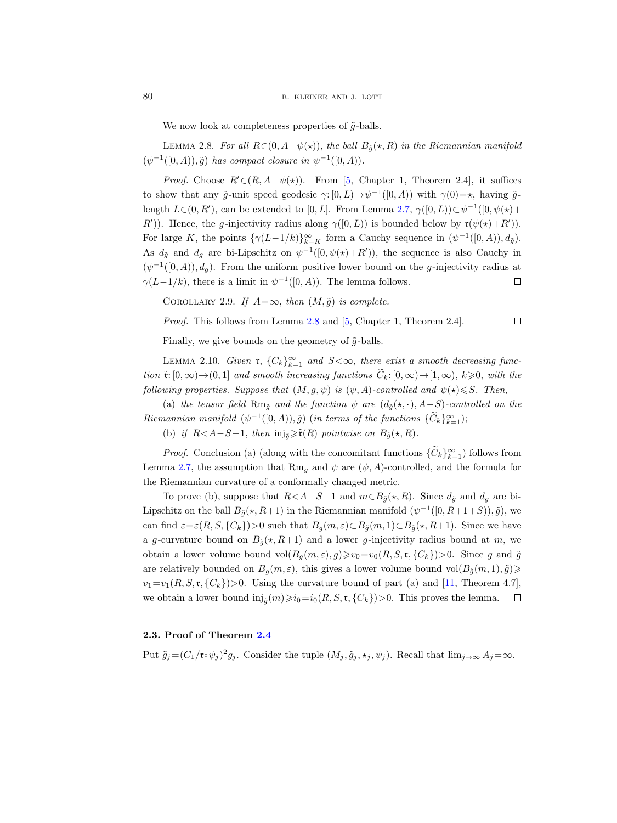We now look at completeness properties of  $\tilde{q}$ -balls.

<span id="page-15-1"></span>LEMMA 2.8. For all  $R\in (0, A-\psi(\star))$ , the ball  $B_{\tilde{a}}(\star, R)$  in the Riemannian manifold  $(\psi^{-1}([0, A)), \tilde{g})$  has compact closure in  $\psi^{-1}([0, A)).$ 

*Proof.* Choose  $R' \in (R, A - \psi(\star))$ . From [\[5,](#page-65-9) Chapter 1, Theorem 2.4], it suffices to show that any  $\tilde{g}$ -unit speed geodesic  $\gamma: [0, L) \to \psi^{-1}([0, A))$  with  $\gamma(0) = \star$ , having  $\tilde{g}$ length  $L\in (0, R')$ , can be extended to [0, L]. From Lemma [2.7,](#page-14-1)  $\gamma([0, L)) \subset \psi^{-1}([0, \psi(\star) +$ R')). Hence, the g-injectivity radius along  $\gamma([0, L))$  is bounded below by  $\mathfrak{r}(\psi(\star) + R')$ . For large K, the points  $\{\gamma(L-1/k)\}_{k=K}^{\infty}$  form a Cauchy sequence in  $(\psi^{-1}([0, A)), d_{\tilde{g}})$ . As  $d_{\tilde{g}}$  and  $d_g$  are bi-Lipschitz on  $\psi^{-1}([0, \psi(\star)+R'))$ , the sequence is also Cauchy in  $(\psi^{-1}([0,A)), d_g)$ . From the uniform positive lower bound on the g-injectivity radius at  $\gamma(L-1/k)$ , there is a limit in  $\psi^{-1}([0, A))$ . The lemma follows.  $\Box$ 

COROLLARY 2.9. If  $A=\infty$ , then  $(M, \tilde{g})$  is complete.

Proof. This follows from Lemma [2.8](#page-15-1) and [\[5,](#page-65-9) Chapter 1, Theorem 2.4].  $\Box$ 

Finally, we give bounds on the geometry of  $\tilde{g}$ -balls.

<span id="page-15-2"></span>LEMMA 2.10. Given  $\mathfrak{r}, \{C_k\}_{k=1}^{\infty}$  and  $S<\infty$ , there exist a smooth decreasing function  $\tilde{\mathbf{r}}:[0,\infty)\to(0,1]$  and smooth increasing functions  $\tilde{C}_k:[0,\infty)\to[1,\infty)$ ,  $k\geqslant 0$ , with the following properties. Suppose that  $(M, g, \psi)$  is  $(\psi, A)$ -controlled and  $\psi(\star) \leq S$ . Then,

(a) the tensor field Rm<sub> $\tilde{q}$ </sub> and the function  $\psi$  are  $(d_{\tilde{q}}(\star, \cdot), A-S)$ -controlled on the Riemannian manifold  $(\psi^{-1}([0, A)), \tilde{g})$  (in terms of the functions  $\{\tilde{C}_k\}_{k=1}^{\infty}$ );

(b) if  $R < A-S-1$ , then  $\text{inj}_{\tilde{g}} \geq \tilde{\mathfrak{r}}(R)$  pointwise on  $B_{\tilde{g}}(\star, R)$ .

*Proof.* Conclusion (a) (along with the concomitant functions  $\{C_k\}_{k=1}^{\infty}$ ) follows from Lemma [2.7,](#page-14-1) the assumption that Rm<sub>q</sub> and  $\psi$  are  $(\psi, A)$ -controlled, and the formula for the Riemannian curvature of a conformally changed metric.

To prove (b), suppose that  $R < A-S-1$  and  $m \in B_{\tilde{g}}(\star, R)$ . Since  $d_{\tilde{g}}$  and  $d_g$  are bi-Lipschitz on the ball  $B_{\tilde{g}}(\star, R+1)$  in the Riemannian manifold  $(\psi^{-1}([0, R+1+S)), \tilde{g})$ , we can find  $\varepsilon = \varepsilon(R, S, \{C_k\}) > 0$  such that  $B_q(m, \varepsilon) \subset B_{\tilde{q}}(m, 1) \subset B_{\tilde{q}}(\star, R+1)$ . Since we have a g-curvature bound on  $B_{\tilde{q}}(\star, R+1)$  and a lower g-injectivity radius bound at m, we obtain a lower volume bound  $vol(B_q(m, \varepsilon), g) \geq v_0 = v_0(R, S, \mathfrak{r}, \{C_k\}) > 0$ . Since g and  $\tilde{g}$ are relatively bounded on  $B_g(m, \varepsilon)$ , this gives a lower volume bound vol $(B_{\tilde{g}}(m, 1), \tilde{g}) \geq$  $v_1=v_1(R, S, \mathfrak{r}, \{C_k\})>0$ . Using the curvature bound of part (a) and [\[11,](#page-66-18) Theorem 4.7], we obtain a lower bound  $\text{inj}_{\tilde{g}}(m) \geq i_0 = i_0(R, S, \mathfrak{r}, \{C_k\}) > 0$ . This proves the lemma.  $\Box$ 

# <span id="page-15-0"></span>2.3. Proof of Theorem [2.4](#page-13-0)

Put  $\tilde{g}_j = (C_1/\mathfrak{r} \circ \psi_j)^2 g_j$ . Consider the tuple  $(M_j, \tilde{g}_j, \star_j, \psi_j)$ . Recall that  $\lim_{j\to\infty} A_j = \infty$ .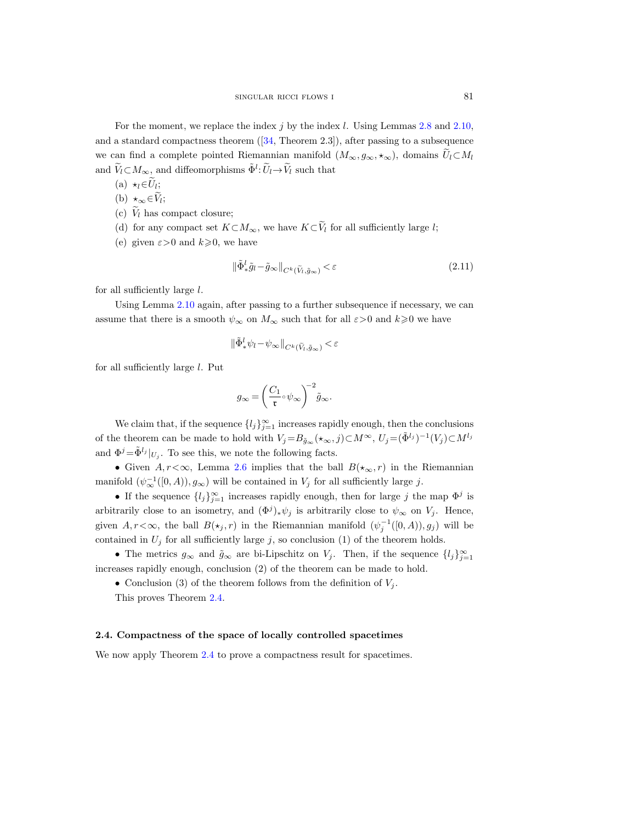For the moment, we replace the index j by the index l. Using Lemmas  $2.8$  and  $2.10$ , anda standard compactness theorem  $([34, \text{ Theorem } 2.3])$  $([34, \text{ Theorem } 2.3])$  $([34, \text{ Theorem } 2.3])$ , after passing to a subsequence we can find a complete pointed Riemannian manifold  $(M_{\infty}, g_{\infty}, \star_{\infty})$ , domains  $\tilde{U}_l \subset M_l$ and  $\widetilde{V}_l \subset M_\infty$ , and diffeomorphisms  $\tilde{\Phi}^l$ :  $\widetilde{U}_l \to \widetilde{V}_l$  such that

- (a)  $\star_l \in U_l$ ;
- (b)  $\star_{\infty} \in V_l$ ;
- (c)  $\widetilde{V}_l$  has compact closure;
- (d) for any compact set  $K\subset M_{\infty}$ , we have  $K\subset \widetilde{V}_l$  for all sufficiently large l;
- (e) given  $\varepsilon > 0$  and  $k \geq 0$ , we have

$$
\|\tilde{\Phi}^l_* \tilde{g}_l - \tilde{g}_{\infty}\|_{C^k(\tilde{V}_l, \tilde{g}_{\infty})} < \varepsilon \tag{2.11}
$$

for all sufficiently large  $l$ .

Using Lemma [2.10](#page-15-2) again, after passing to a further subsequence if necessary, we can assume that there is a smooth  $\psi_{\infty}$  on  $M_{\infty}$  such that for all  $\varepsilon > 0$  and  $k \geq 0$  we have

$$
\|\tilde{\Phi}^l_* \psi_l - \psi_\infty\|_{C^k(\tilde{V}_l, \tilde{g}_\infty)} < \varepsilon
$$

for all sufficiently large l. Put

$$
g_{\infty} = \left(\frac{C_1}{\mathfrak{r}} \circ \psi_{\infty}\right)^{-2} \tilde{g}_{\infty}.
$$

We claim that, if the sequence  ${l_j}_{j=1}^{\infty}$  increases rapidly enough, then the conclusions of the theorem can be made to hold with  $V_j = B_{\tilde{g}_\infty}(\star_\infty, j) \subset M^\infty$ ,  $U_j = (\tilde{\Phi}^{l_j})^{-1}(V_j) \subset M^{l_j}$ and  $\Phi^j = \tilde{\Phi}^{l_j} \vert_{U_j}$ . To see this, we note the following facts.

• Given  $A, r < \infty$ , Lemma [2.6](#page-14-2) implies that the ball  $B(\star_\infty, r)$  in the Riemannian manifold  $(\psi_{\infty}^{-1}([0, A)), g_{\infty})$  will be contained in  $V_j$  for all sufficiently large j.

• If the sequence  $\{l_j\}_{j=1}^{\infty}$  increases rapidly enough, then for large j the map  $\Phi^j$  is arbitrarily close to an isometry, and  $(\Phi^j)_*\psi_j$  is arbitrarily close to  $\psi_\infty$  on  $V_j$ . Hence, given  $A, r < \infty$ , the ball  $B(\star_j, r)$  in the Riemannian manifold  $(\psi_j^{-1}([0, A)), g_j)$  will be contained in  $U_j$  for all sufficiently large j, so conclusion (1) of the theorem holds.

• The metrics  $g_{\infty}$  and  $\tilde{g}_{\infty}$  are bi-Lipschitz on  $V_j$ . Then, if the sequence  $\{l_j\}_{j=1}^{\infty}$ increases rapidly enough, conclusion (2) of the theorem can be made to hold.

• Conclusion (3) of the theorem follows from the definition of  $V_i$ .

This proves Theorem [2.4.](#page-13-0)

# <span id="page-16-0"></span>2.4. Compactness of the space of locally controlled spacetimes

We now apply Theorem [2.4](#page-13-0) to prove a compactness result for spacetimes.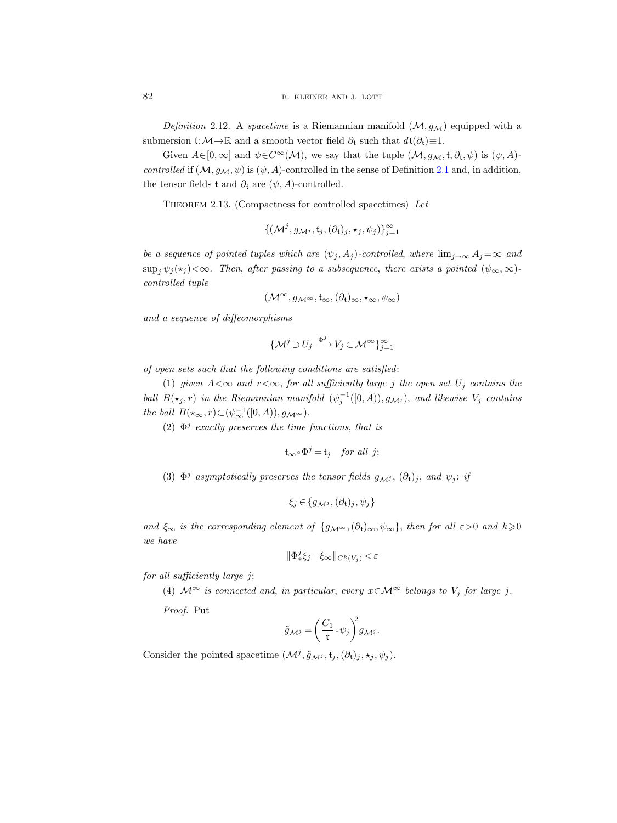<span id="page-17-1"></span>Definition 2.12. A spacetime is a Riemannian manifold  $(\mathcal{M}, q_{\mathcal{M}})$  equipped with a submersion  $t: \mathcal{M} \to \mathbb{R}$  and a smooth vector field  $\partial_t$  such that  $d t(\partial_t) \equiv 1$ .

Given  $A\in[0,\infty]$  and  $\psi\in C^{\infty}(\mathcal{M})$ , we say that the tuple  $(\mathcal{M}, g_{\mathcal{M}}, t, \partial_t, \psi)$  is  $(\psi, A)$ controlled if  $(M, g_M, \psi)$  is  $(\psi, A)$ -controlled in the sense of Definition [2.1](#page-12-2) and, in addition, the tensor fields t and  $\partial_t$  are  $(\psi, A)$ -controlled.

<span id="page-17-0"></span>THEOREM 2.13. (Compactness for controlled spacetimes) Let

$$
\{(\mathcal{M}^j, g_{\mathcal{M}^j}, \mathfrak{t}_j, (\partial_{\mathfrak{t}})_j, \star_j, \psi_j)\}_{j=1}^{\infty}
$$

be a sequence of pointed tuples which are  $(\psi_j, A_j)$ -controlled, where  $\lim_{j\to\infty} A_j = \infty$  and  $\sup_j \psi_j(\star_j) < \infty$ . Then, after passing to a subsequence, there exists a pointed  $(\psi_\infty, \infty)$ controlled tuple

$$
(\mathcal{M}^\infty,g_{\mathcal{M}^\infty},\mathfrak{t}_\infty,(\partial_\mathfrak{t})_\infty,\star_\infty,\psi_\infty)
$$

and a sequence of diffeomorphisms

$$
\{\mathcal{M}^j \supset U_j \xrightarrow{\Phi^j} V_j \subset \mathcal{M}^\infty\}_{j=1}^\infty
$$

of open sets such that the following conditions are satisfied:

(1) given  $A<\infty$  and  $r<\infty$ , for all sufficiently large j the open set  $U_j$  contains the ball  $B(\star_j , r)$  in the Riemannian manifold  $(\psi_j^{-1}([0, A)), g_{\mathcal{M}^j})$ , and likewise  $V_j$  contains the ball  $B(\star_\infty, r) \subset (\psi_\infty^{-1}([0, A)), g_{\mathcal{M}^\infty}).$ 

(2)  $\Phi^j$  exactly preserves the time functions, that is

$$
\mathfrak{t}_{\infty} \circ \Phi^j = \mathfrak{t}_j \quad \text{for all } j;
$$

(3)  $\Phi^j$  asymptotically preserves the tensor fields  $g_{\mathcal{M}^j}$ ,  $(\partial_t)_j$ , and  $\psi_j$ : if

$$
\xi_j \in \{g_{\mathcal{M}^j}, (\partial_t)_j, \psi_j\}
$$

and  $\xi_{\infty}$  is the corresponding element of  $\{g_{\mathcal{M}^{\infty}},(\partial_t)_{\infty},\psi_{\infty}\}\)$ , then for all  $\varepsilon>0$  and  $k\geqslant 0$ we have

$$
\|\Phi_*^j \xi_j - \xi_\infty\|_{C^k(V_j)} < \varepsilon
$$

for all sufficiently large j;

(4)  $\mathcal{M}^{\infty}$  is connected and, in particular, every  $x \in \mathcal{M}^{\infty}$  belongs to  $V_j$  for large j.

Proof. Put

$$
\tilde{g}_{\mathcal{M}^j} = \left(\frac{C_1}{\mathfrak{r}} \circ \psi_j\right)^2 g_{\mathcal{M}^j}.
$$

Consider the pointed spacetime  $(\mathcal{M}^j, \tilde{g}_{\mathcal{M}^j}, \mathfrak{t}_j, (\partial_t)_j, \star_j, \psi_j)$ .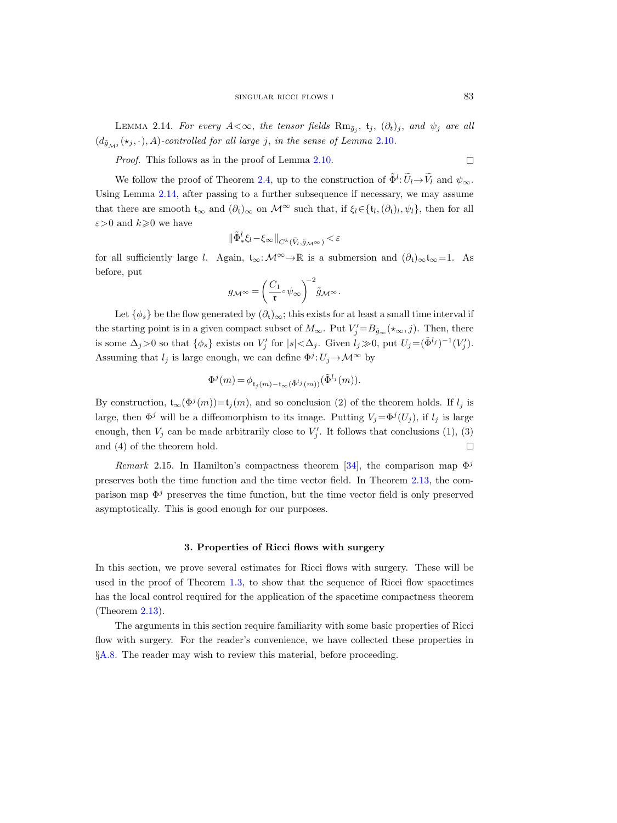<span id="page-18-1"></span>LEMMA 2.14. For every  $A<\infty$ , the tensor fields  $\text{Rm}_{\tilde{g}_j}$ ,  $\mathfrak{t}_j$ ,  $(\partial_t)_j$ , and  $\psi_j$  are all  $(d_{\tilde{g}_{\mathcal{M}j}}(\star_j, \cdot), A)$ -controlled for all large j, in the sense of Lemma [2.10](#page-15-2).

Proof. This follows as in the proof of Lemma [2.10.](#page-15-2)

We follow the proof of Theorem [2.4,](#page-13-0) up to the construction of  $\tilde{\Phi}^l: \widetilde{U}_l \to \widetilde{V}_l$  and  $\psi_{\infty}$ . Using Lemma [2.14,](#page-18-1) after passing to a further subsequence if necessary, we may assume that there are smooth  $t_{\infty}$  and  $(\partial_t)_{\infty}$  on  $\mathcal{M}^{\infty}$  such that, if  $\xi_l \in \{t_l, (\partial_t)_l, \psi_l\}$ , then for all  $\varepsilon$ >0 and  $k\geqslant$ 0 we have

$$
\|\tilde{\Phi}^l_*\xi_l-\xi_{\infty}\|_{C^k(\tilde{V}_l,\tilde{g}_{\mathcal{M}^{\infty}})}<\varepsilon
$$

for all sufficiently large l. Again,  $t_{\infty}: \mathcal{M}^{\infty} \to \mathbb{R}$  is a submersion and  $(\partial_{t})_{\infty} t_{\infty} = 1$ . As before, put

$$
g_{\mathcal{M}^{\infty}} = \left(\frac{C_1}{\mathfrak{r}} \circ \psi_{\infty}\right)^{-2} \tilde{g}_{\mathcal{M}^{\infty}}.
$$

Let  $\{\phi_s\}$  be the flow generated by  $(\partial_t)_{\infty}$ ; this exists for at least a small time interval if the starting point is in a given compact subset of  $M_{\infty}$ . Put  $V'_{j} = B_{\tilde{g}_{\infty}}(\star_{\infty}, j)$ . Then, there is some  $\Delta_j > 0$  so that  $\{\phi_s\}$  exists on  $V'_j$  for  $|s| < \Delta_j$ . Given  $l_j \gg 0$ , put  $U_j = (\tilde{\Phi}^{l_j})^{-1}(V'_j)$ . Assuming that  $l_j$  is large enough, we can define  $\Phi^j: U_j \to \mathcal{M}^\infty$  by

$$
\Phi^j(m) = \phi_{\mathfrak{t}_j(m) - \mathfrak{t}_\infty(\tilde{\Phi}^{l_j}(m))}(\tilde{\Phi}^{l_j}(m)).
$$

By construction,  $\mathfrak{t}_{\infty}(\Phi^j(m)) = \mathfrak{t}_j(m)$ , and so conclusion (2) of the theorem holds. If  $l_j$  is large, then  $\Phi^j$  will be a diffeomorphism to its image. Putting  $V_j = \Phi^j(U_j)$ , if  $l_j$  is large enough, then  $V_j$  can be made arbitrarily close to  $V'_j$ . It follows that conclusions (1), (3) and (4) of the theorem hold.  $\Box$ 

*Remark* 2.15. In Hamilton's compactness theorem [\[34\]](#page-67-9), the comparison map  $\Phi^j$ preserves both the time function and the time vector field. In Theorem [2.13,](#page-17-0) the comparison map  $\Phi^j$  preserves the time function, but the time vector field is only preserved asymptotically. This is good enough for our purposes.

#### 3. Properties of Ricci flows with surgery

<span id="page-18-0"></span>In this section, we prove several estimates for Ricci flows with surgery. These will be used in the proof of Theorem [1.3,](#page-4-0) to show that the sequence of Ricci flow spacetimes has the local control required for the application of the spacetime compactness theorem (Theorem [2.13\)](#page-17-0).

The arguments in this section require familiarity with some basic properties of Ricci flow with surgery. For the reader's convenience, we have collected these properties in §[A.8.](#page-57-0) The reader may wish to review this material, before proceeding.

 $\Box$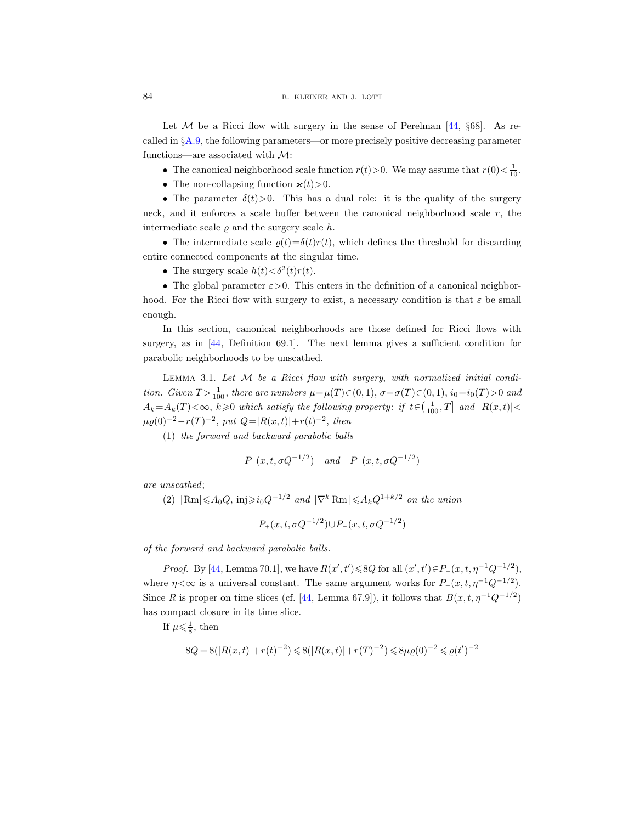Let  $M$  be a Ricci flow with surgery in the sense of Perelman [\[44,](#page-67-10)  $\delta$ 68]. As recalled in  $\S$ [A.9,](#page-58-0) the following parameters—or more precisely positive decreasing parameter functions—are associated with  $\mathcal{M}$ :

• The canonical neighborhood scale function  $r(t) > 0$ . We may assume that  $r(0) < \frac{1}{10}$ .

• The non-collapsing function  $\varkappa(t)$ >0.

• The parameter  $\delta(t) > 0$ . This has a dual role: it is the quality of the surgery neck, and it enforces a scale buffer between the canonical neighborhood scale  $r$ , the intermediate scale  $\rho$  and the surgery scale h.

• The intermediate scale  $\rho(t) = \delta(t)r(t)$ , which defines the threshold for discarding entire connected components at the singular time.

• The surgery scale  $h(t) < \delta^2(t)r(t)$ .

• The global parameter  $\varepsilon > 0$ . This enters in the definition of a canonical neighborhood. For the Ricci flow with surgery to exist, a necessary condition is that  $\varepsilon$  be small enough.

In this section, canonical neighborhoods are those defined for Ricci flows with surgery, as in [\[44,](#page-67-10) Definition 69.1]. The next lemma gives a sufficient condition for parabolic neighborhoods to be unscathed.

<span id="page-19-0"></span>LEMMA 3.1. Let  $M$  be a Ricci flow with surgery, with normalized initial condition. Given  $T > \frac{1}{100}$ , there are numbers  $\mu = \mu(T) \in (0, 1)$ ,  $\sigma = \sigma(T) \in (0, 1)$ ,  $i_0 = i_0(T) > 0$  and  $A_k = A_k(T) < \infty$ ,  $k \geqslant 0$  which satisfy the following property: if  $t \in (\frac{1}{100}, T]$  and  $|R(x, t)| <$  $\mu \varrho(0)^{-2} - r(T)^{-2}$ , put  $Q = |R(x,t)| + r(t)^{-2}$ , then

(1) the forward and backward parabolic balls

$$
P_+(x, t, \sigma Q^{-1/2})
$$
 and  $P_-(x, t, \sigma Q^{-1/2})$ 

are unscathed;

(2)  $|\text{Rm}| \leq A_0 Q$ , inj $\geq i_0 Q^{-1/2}$  and  $|\nabla^k \text{Rm}| \leq A_k Q^{1+k/2}$  on the union

 $P_+(x,t,\sigma Q^{-1/2}) \cup P_-(x,t,\sigma Q^{-1/2})$ 

of the forward and backward parabolic balls.

*Proof.* By [\[44,](#page-67-10) Lemma 70.1], we have  $R(x', t') \le 8Q$  for all  $(x', t') \in P_-(x, t, \eta^{-1}Q^{-1/2})$ , where  $\eta < \infty$  is a universal constant. The same argument works for  $P_+(x, t, \eta^{-1}Q^{-1/2})$ . Since R is proper on time slices (cf. [\[44,](#page-67-10) Lemma 67.9]), it follows that  $B(x, t, \eta^{-1}Q^{-1/2})$ has compact closure in its time slice.

If  $\mu \leq \frac{1}{8}$ , then

$$
8Q = 8(|R(x,t)| + r(t)^{-2}) \leq 8(|R(x,t)| + r(T)^{-2}) \leq 8\mu\varrho(0)^{-2} \leq \varrho(t')^{-2}
$$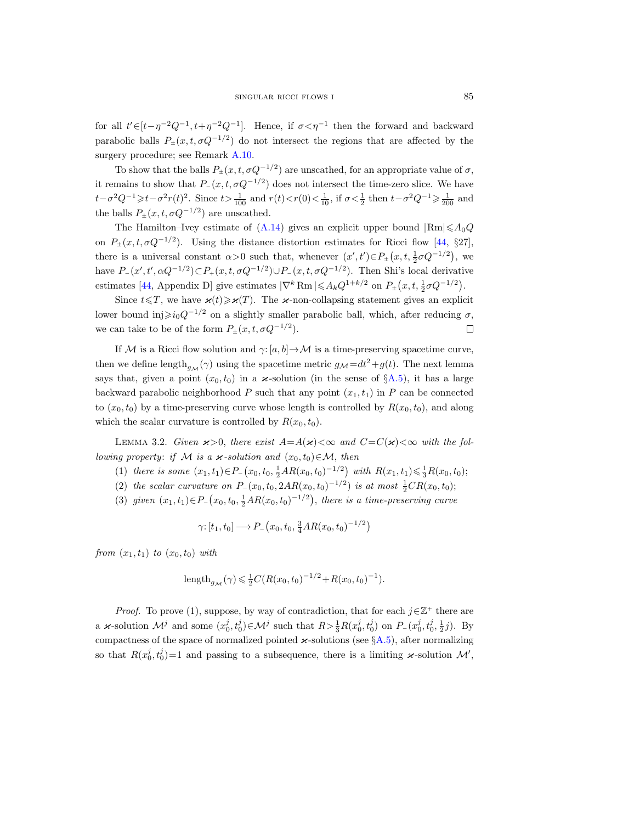for all  $t' \in [t - \eta^{-2} Q^{-1}, t + \eta^{-2} Q^{-1}]$ . Hence, if  $\sigma < \eta^{-1}$  then the forward and backward parabolic balls  $P_{\pm}(x, t, \sigma Q^{-1/2})$  do not intersect the regions that are affected by the surgery procedure; see Remark [A.10.](#page-58-1)

To show that the balls  $P_{\pm}(x, t, \sigma Q^{-1/2})$  are unscathed, for an appropriate value of  $\sigma$ , it remains to show that  $P_-(x, t, \sigma Q^{-1/2})$  does not intersect the time-zero slice. We have  $t-\sigma^2Q^{-1} \geq t-\sigma^2r(t)^2$ . Since  $t>\frac{1}{100}$  and  $r(t), if  $\sigma<\frac{1}{2}$  then  $t-\sigma^2Q^{-1}\geq \frac{1}{200}$  and$ the balls  $P_{\pm}(x, t, \sigma Q^{-1/2})$  are unscathed.

The Hamilton–Ivey estimate of  $(A.14)$  gives an explicit upper bound  $|Rm| \leq A_0Q$ on  $P_{\pm}(x,t,\sigma Q^{-1/2})$ . Using the distance distortion estimates for Ricci flow [\[44,](#page-67-10) §27], there is a universal constant  $\alpha > 0$  such that, whenever  $(x', t') \in P_{\pm}(x, t, \frac{1}{2}\sigma Q^{-1/2})$ , we have  $P_-(x', t', \alpha Q^{-1/2}) \subset P_+(x, t, \sigma Q^{-1/2}) \cup P_-(x, t, \sigma Q^{-1/2})$ . Then Shi's local derivative estimates [\[44,](#page-67-10) Appendix D] give estimates  $|\nabla^k \text{Rm}| \leq A_k Q^{1+k/2}$  on  $P_{\pm}(x, t, \frac{1}{2}\sigma Q^{-1/2})$ .

Since  $t \leq T$ , we have  $\varkappa(t) \geq \varkappa(T)$ . The  $\varkappa$ -non-collapsing statement gives an explicit lower bound inj $\geq i_0Q^{-1/2}$  on a slightly smaller parabolic ball, which, after reducing  $\sigma$ , we can take to be of the form  $P_{\pm}(x, t, \sigma Q^{-1/2})$ .  $\Box$ 

If M is a Ricci flow solution and  $\gamma: [a, b] \to \mathcal{M}$  is a time-preserving spacetime curve, then we define length $_{g_{\mathcal{M}}}(\gamma)$  using the spacetime metric  $g_{\mathcal{M}}=dt^2+g(t)$ . The next lemma says that, given a point  $(x_0, t_0)$  in a  $\varkappa$ -solution (in the sense of §[A.5\)](#page-54-1), it has a large backward parabolic neighborhood P such that any point  $(x_1, t_1)$  in P can be connected to  $(x_0, t_0)$  by a time-preserving curve whose length is controlled by  $R(x_0, t_0)$ , and along which the scalar curvature is controlled by  $R(x_0, t_0)$ .

<span id="page-20-0"></span>LEMMA 3.2. Given  $\varkappa > 0$ , there exist  $A = A(\varkappa) < \infty$  and  $C = C(\varkappa) < \infty$  with the following property: if M is a  $\varkappa$ -solution and  $(x_0, t_0) \in \mathcal{M}$ , then

- (1) there is some  $(x_1, t_1) \in P_-(x_0, t_0, \frac{1}{2}AR(x_0, t_0)^{-1/2})$  with  $R(x_1, t_1) \leq \frac{1}{3}R(x_0, t_0);$
- (2) the scalar curvature on  $P_-(x_0, t_0, 2AR(x_0, t_0)^{-1/2})$  is at most  $\frac{1}{2}CR(x_0, t_0)$ ;
- (3) given  $(x_1, t_1) \in P_-(x_0, t_0, \frac{1}{2}AR(x_0, t_0)^{-1/2})$ , there is a time-preserving curve

$$
\gamma: [t_1, t_0] \longrightarrow P_-(x_0, t_0, \frac{3}{4}AR(x_0, t_0)^{-1/2})
$$

from  $(x_1, t_1)$  to  $(x_0, t_0)$  with

length<sub>g<sub>M</sub></sub>(
$$
\gamma
$$
)  $\leq$   $\frac{1}{2}C(R(x_0, t_0)^{-1/2} + R(x_0, t_0)^{-1}).$ 

*Proof.* To prove (1), suppose, by way of contradiction, that for each  $j \in \mathbb{Z}^+$  there are a *x*-solution  $\mathcal{M}^j$  and some  $(x_0^j, t_0^j) \in \mathcal{M}^j$  such that  $R > \frac{1}{3}R(x_0^j, t_0^j)$  on  $P_-(x_0^j, t_0^j, \frac{1}{2}j)$ . By compactness of the space of normalized pointed  $\varkappa$ -solutions (see §[A.5\)](#page-54-1), after normalizing so that  $R(x_0^j, t_0^j) = 1$  and passing to a subsequence, there is a limiting  $\varkappa$ -solution  $\mathcal{M}'$ ,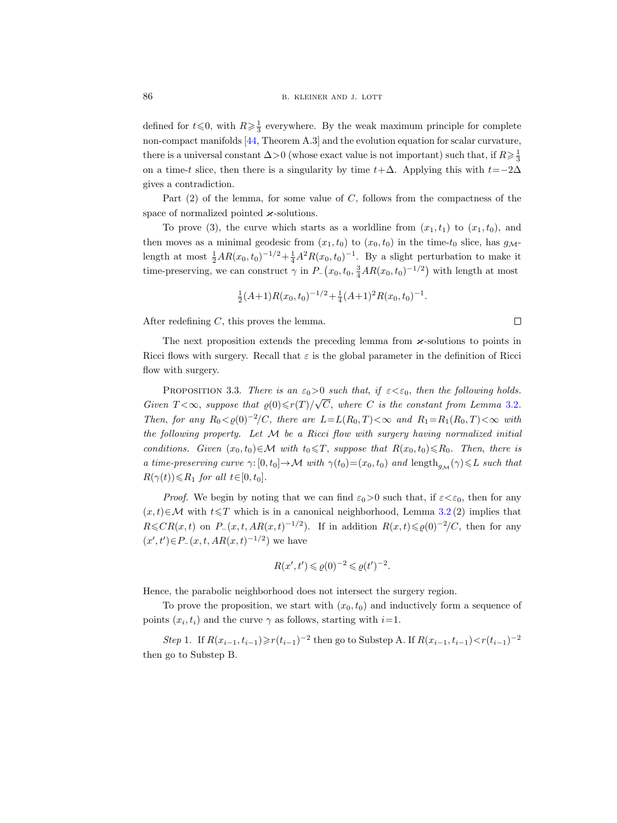defined for  $t \le 0$ , with  $R \ge \frac{1}{3}$  everywhere. By the weak maximum principle for complete non-compact manifolds [\[44,](#page-67-10) Theorem A.3] and the evolution equation for scalar curvature, there is a universal constant  $\Delta > 0$  (whose exact value is not important) such that, if  $R \geq \frac{1}{3}$ on a time-t slice, then there is a singularity by time  $t+\Delta$ . Applying this with  $t=-2\Delta$ gives a contradiction.

Part  $(2)$  of the lemma, for some value of C, follows from the compactness of the space of normalized pointed  $\varkappa$ -solutions.

To prove (3), the curve which starts as a worldline from  $(x_1, t_1)$  to  $(x_1, t_0)$ , and then moves as a minimal geodesic from  $(x_1, t_0)$  to  $(x_0, t_0)$  in the time- $t_0$  slice, has  $g_{\mathcal{M}}$ length at most  $\frac{1}{2}AR(x_0, t_0)^{-1/2} + \frac{1}{4}A^2R(x_0, t_0)^{-1}$ . By a slight perturbation to make it time-preserving, we can construct  $\gamma$  in  $P_-(x_0, t_0, \frac{3}{4}AR(x_0, t_0)^{-1/2})$  with length at most

$$
\frac{1}{2}(A+1)R(x_0,t_0)^{-1/2} + \frac{1}{4}(A+1)^2R(x_0,t_0)^{-1}.
$$

After redefining C, this proves the lemma.

 $\Box$ 

The next proposition extends the preceding lemma from  $\varkappa$ -solutions to points in Ricci flows with surgery. Recall that  $\varepsilon$  is the global parameter in the definition of Ricci flow with surgery.

<span id="page-21-0"></span>PROPOSITION 3.3. There is an  $\varepsilon_0 > 0$  such that, if  $\varepsilon < \varepsilon_0$ , then the following holds. Given  $T < \infty$ , suppose that  $\varrho(0) \leq r(T)/\sqrt{C}$ , where C is the constant from Lemma [3.2](#page-20-0). Then, for any  $R_0 < \varrho(0)^{-2}/C$ , there are  $L = L(R_0, T) < \infty$  and  $R_1 = R_1(R_0, T) < \infty$  with the following property. Let  $M$  be a Ricci flow with surgery having normalized initial conditions. Given  $(x_0, t_0) \in \mathcal{M}$  with  $t_0 \leq T$ , suppose that  $R(x_0, t_0) \leq R_0$ . Then, there is a time-preserving curve  $\gamma: [0, t_0] \to \mathcal{M}$  with  $\gamma(t_0)=(x_0, t_0)$  and length $_{g_M}(\gamma) \leq L$  such that  $R(\gamma(t))\leq R_1$  for all  $t\in[0,t_0]$ .

*Proof.* We begin by noting that we can find  $\varepsilon_0>0$  such that, if  $\varepsilon<\varepsilon_0$ , then for any  $(x, t) \in \mathcal{M}$  with  $t \leq T$  which is in a canonical neighborhood, Lemma [3.2](#page-20-0) (2) implies that  $R \leq C R(x,t)$  on  $P_-(x,t,AR(x,t)^{-1/2})$ . If in addition  $R(x,t) \leq \varrho(0)^{-2}/C$ , then for any  $(x', t') \in P_-(x, t, AR(x, t)^{-1/2})$  we have

$$
R(x',t') \leqslant \varrho(0)^{-2} \leqslant \varrho(t')^{-2}.
$$

Hence, the parabolic neighborhood does not intersect the surgery region.

To prove the proposition, we start with  $(x_0, t_0)$  and inductively form a sequence of points  $(x_i, t_i)$  and the curve  $\gamma$  as follows, starting with  $i=1$ .

Step 1. If  $R(x_{i-1}, t_{i-1}) \ge r(t_{i-1})^{-2}$  then go to Substep A. If  $R(x_{i-1}, t_{i-1}) < r(t_{i-1})^{-2}$ then go to Substep B.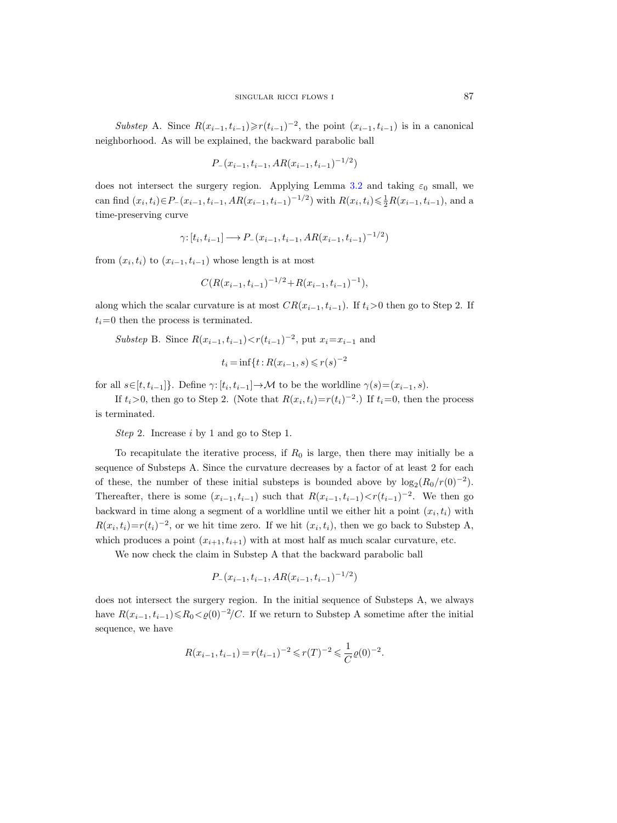Substep A. Since  $R(x_{i-1}, t_{i-1}) \ge r(t_{i-1})^{-2}$ , the point  $(x_{i-1}, t_{i-1})$  is in a canonical neighborhood. As will be explained, the backward parabolic ball

$$
P_{-}(x_{i-1}, t_{i-1}, AR(x_{i-1}, t_{i-1})^{-1/2})
$$

does not intersect the surgery region. Applying Lemma [3.2](#page-20-0) and taking  $\varepsilon_0$  small, we can find  $(x_i, t_i) \in P_-(x_{i-1}, t_{i-1}, AR(x_{i-1}, t_{i-1})^{-1/2})$  with  $R(x_i, t_i) \leq \frac{1}{2}R(x_{i-1}, t_{i-1})$ , and a time-preserving curve

$$
\gamma: [t_i, t_{i-1}] \longrightarrow P_-(x_{i-1}, t_{i-1}, AR(x_{i-1}, t_{i-1})^{-1/2})
$$

from  $(x_i, t_i)$  to  $(x_{i-1}, t_{i-1})$  whose length is at most

$$
C(R(x_{i-1}, t_{i-1})^{-1/2} + R(x_{i-1}, t_{i-1})^{-1}),
$$

along which the scalar curvature is at most  $CR(x_{i-1}, t_{i-1})$ . If  $t_i>0$  then go to Step 2. If  $t_i=0$  then the process is terminated.

Substep B. Since  $R(x_{i-1}, t_{i-1}) < r(t_{i-1})^{-2}$ , put  $x_i = x_{i-1}$  and

$$
t_i = \inf\{t : R(x_{i-1}, s) \le r(s)^{-2}\}\
$$

for all  $s \in [t, t_{i-1}]$ . Define  $\gamma: [t_i, t_{i-1}] \to M$  to be the worldline  $\gamma(s) = (x_{i-1}, s)$ .

If  $t_i > 0$ , then go to Step 2. (Note that  $R(x_i, t_i) = r(t_i)^{-2}$ .) If  $t_i = 0$ , then the process is terminated.

Step 2. Increase i by 1 and go to Step 1.

To recapitulate the iterative process, if  $R_0$  is large, then there may initially be a sequence of Substeps A. Since the curvature decreases by a factor of at least 2 for each of these, the number of these initial substeps is bounded above by  $\log_2(R_0/r(0)^{-2})$ . Thereafter, there is some  $(x_{i-1}, t_{i-1})$  such that  $R(x_{i-1}, t_{i-1}) < r(t_{i-1})^{-2}$ . We then go backward in time along a segment of a worldline until we either hit a point  $(x_i, t_i)$  with  $R(x_i, t_i)=r(t_i)^{-2}$ , or we hit time zero. If we hit  $(x_i, t_i)$ , then we go back to Substep A, which produces a point  $(x_{i+1}, t_{i+1})$  with at most half as much scalar curvature, etc.

We now check the claim in Substep A that the backward parabolic ball

$$
P_{-}(x_{i-1}, t_{i-1}, AR(x_{i-1}, t_{i-1})^{-1/2})
$$

does not intersect the surgery region. In the initial sequence of Substeps A, we always have  $R(x_{i-1}, t_{i-1}) \le R_0 < \varrho(0)^{-2}/C$ . If we return to Substep A sometime after the initial sequence, we have

$$
R(x_{i-1}, t_{i-1}) = r(t_{i-1})^{-2} \leqslant r(T)^{-2} \leqslant \frac{1}{C} \varrho(0)^{-2}.
$$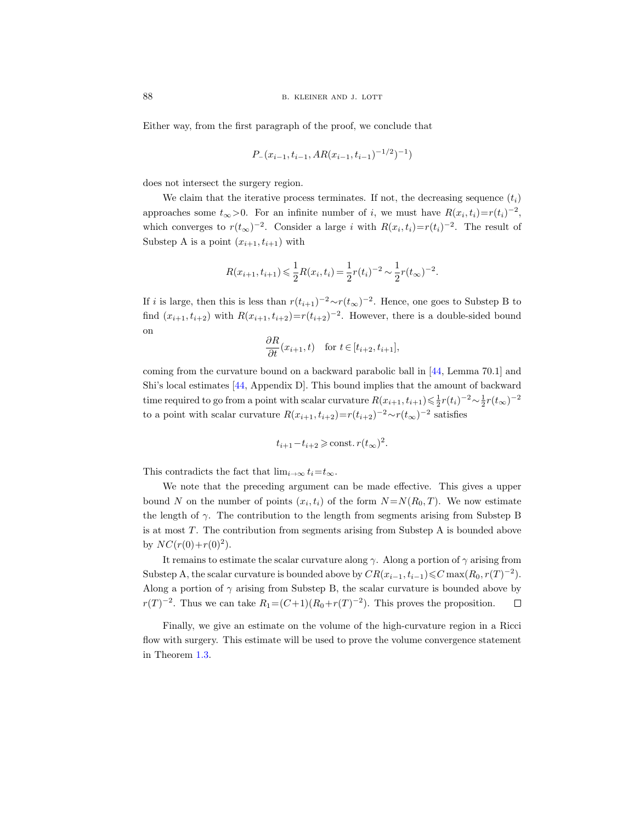Either way, from the first paragraph of the proof, we conclude that

$$
P_{-}(x_{i-1}, t_{i-1}, AR(x_{i-1}, t_{i-1})^{-1/2})^{-1})
$$

does not intersect the surgery region.

We claim that the iterative process terminates. If not, the decreasing sequence  $(t_i)$ approaches some  $t_{\infty} > 0$ . For an infinite number of i, we must have  $R(x_i, t_i) = r(t_i)^{-2}$ , which converges to  $r(t_{\infty})^{-2}$ . Consider a large i with  $R(x_i, t_i)=r(t_i)^{-2}$ . The result of Substep A is a point  $(x_{i+1}, t_{i+1})$  with

$$
R(x_{i+1}, t_{i+1}) \leq \frac{1}{2}R(x_i, t_i) = \frac{1}{2}r(t_i)^{-2} \sim \frac{1}{2}r(t_\infty)^{-2}.
$$

If i is large, then this is less than  $r(t_{i+1})^{-2} \sim r(t_{\infty})^{-2}$ . Hence, one goes to Substep B to find  $(x_{i+1}, t_{i+2})$  with  $R(x_{i+1}, t_{i+2}) = r(t_{i+2})^{-2}$ . However, there is a double-sided bound on

$$
\frac{\partial R}{\partial t}(x_{i+1},t) \quad \text{for } t \in [t_{i+2}, t_{i+1}],
$$

coming from the curvature bound on a backward parabolic ball in [\[44,](#page-67-10) Lemma 70.1] and Shi's local estimates [\[44,](#page-67-10) Appendix D]. This bound implies that the amount of backward time required to go from a point with scalar curvature  $R(x_{i+1}, t_{i+1}) \leq \frac{1}{2}r(t_i)^{-2} \sim \frac{1}{2}r(t_{\infty})^{-2}$ to a point with scalar curvature  $R(x_{i+1}, t_{i+2}) = r(t_{i+2})^{-2} \sim r(t_{\infty})^{-2}$  satisfies

$$
t_{i+1} - t_{i+2} \ge \text{const.} \, r(t_\infty)^2.
$$

This contradicts the fact that  $\lim_{i\to\infty} t_i=t_\infty$ .

We note that the preceding argument can be made effective. This gives a upper bound N on the number of points  $(x_i, t_i)$  of the form  $N = N(R_0, T)$ . We now estimate the length of  $\gamma$ . The contribution to the length from segments arising from Substep B is at most T. The contribution from segments arising from Substep A is bounded above by  $NC(r(0)+r(0)^2)$ .

It remains to estimate the scalar curvature along  $\gamma$ . Along a portion of  $\gamma$  arising from Substep A, the scalar curvature is bounded above by  $CR(x_{i-1}, t_{i-1}) \leq C \max(R_0, r(T)^{-2})$ . Along a portion of  $\gamma$  arising from Substep B, the scalar curvature is bounded above by  $r(T)^{-2}$ . Thus we can take  $R_1 = (C+1)(R_0+r(T)^{-2})$ . This proves the proposition.  $\Box$ 

Finally, we give an estimate on the volume of the high-curvature region in a Ricci flow with surgery. This estimate will be used to prove the volume convergence statement in Theorem [1.3.](#page-4-0)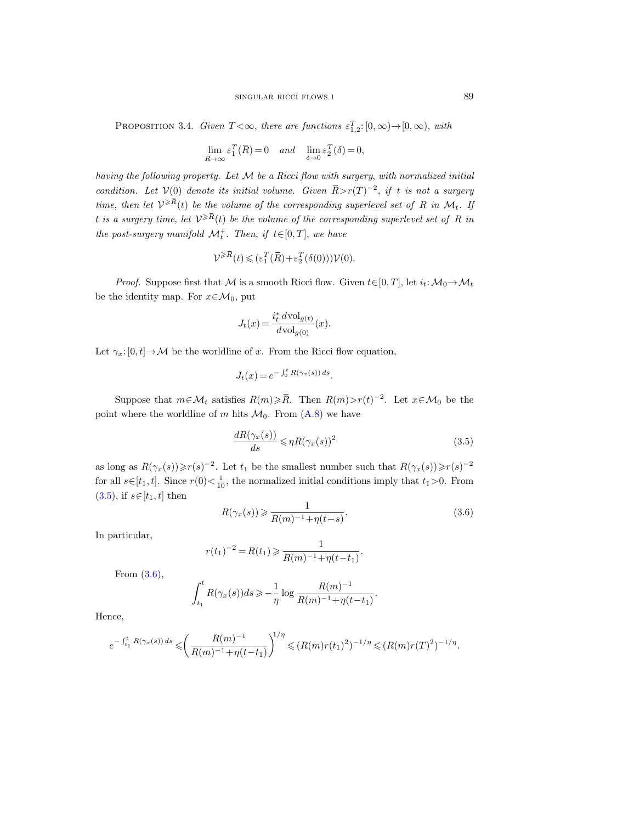<span id="page-24-2"></span>PROPOSITION 3.4. Given  $T < \infty$ , there are functions  $\varepsilon_{1,2}^T$ :  $[0,\infty) \rightarrow [0,\infty)$ , with

$$
\lim_{\overline{R}\to\infty}\varepsilon_1^T(\overline{R})=0 \quad and \quad \lim_{\delta\to 0}\varepsilon_2^T(\delta)=0,
$$

having the following property. Let M be a Ricci flow with surgery, with normalized initial condition. Let  $V(0)$  denote its initial volume. Given  $\overline{R} > r(T)^{-2}$ , if t is not a surgery time, then let  $V^{\geqslant \overline{R}}(t)$  be the volume of the corresponding superlevel set of R in  $\mathcal{M}_t$ . If t is a surgery time, let  $\mathcal{V}^{\geqslant \overline{R}}(t)$  be the volume of the corresponding superlevel set of R in the post-surgery manifold  $\mathcal{M}_t^+$ . Then, if  $t \in [0, T]$ , we have

$$
\mathcal{V}^{\geq R}(t) \leqslant (\varepsilon_1^T(\bar{R}) + \varepsilon_2^T(\delta(0)))\mathcal{V}(0).
$$

*Proof.* Suppose first that M is a smooth Ricci flow. Given  $t \in [0, T]$ , let  $i_t \colon \mathcal{M}_0 \to \mathcal{M}_t$ be the identity map. For  $x \in \mathcal{M}_0$ , put

$$
J_t(x) = \frac{i_t^* d \text{vol}_{g(t)}}{d \text{vol}_{g(0)}}(x).
$$

Let  $\gamma_x: [0, t] \to \mathcal{M}$  be the worldline of x. From the Ricci flow equation,

$$
J_t(x) = e^{-\int_0^t R(\gamma_x(s)) ds}.
$$

Suppose that  $m \in \mathcal{M}_t$  satisfies  $R(m) \geq R$ . Then  $R(m) > r(t)^{-2}$ . Let  $x \in \mathcal{M}_0$  be the point where the worldline of m hits  $\mathcal{M}_0$ . From  $(A.8)$  we have

<span id="page-24-0"></span>
$$
\frac{dR(\gamma_x(s))}{ds} \leqslant \eta R(\gamma_x(s))^2\tag{3.5}
$$

as long as  $R(\gamma_x(s)) \ge r(s)^{-2}$ . Let  $t_1$  be the smallest number such that  $R(\gamma_x(s)) \ge r(s)^{-2}$ for all  $s \in [t_1, t]$ . Since  $r(0) < \frac{1}{10}$ , the normalized initial conditions imply that  $t_1 > 0$ . From  $(3.5)$ , if  $s \in [t_1, t]$  then

<span id="page-24-1"></span>
$$
R(\gamma_x(s)) \geqslant \frac{1}{R(m)^{-1} + \eta(t-s)}.\tag{3.6}
$$

In particular,

$$
r(t_1)^{-2} = R(t_1) \geqslant \frac{1}{R(m)^{-1} + \eta(t - t_1)}.
$$

From [\(3.6\)](#page-24-1),

$$
\int_{t_1}^t R(\gamma_x(s))ds \geqslant -\frac{1}{\eta} \log \frac{R(m)^{-1}}{R(m)^{-1} + \eta(t - t_1)}.
$$

Hence,

$$
e^{-\int_{t_1}^t R(\gamma_x(s))ds} \leqslant \left(\frac{R(m)^{-1}}{R(m)^{-1} + \eta(t-t_1)}\right)^{1/\eta} \leqslant (R(m)r(t_1)^2)^{-1/\eta} \leqslant (R(m)r(T)^2)^{-1/\eta}.
$$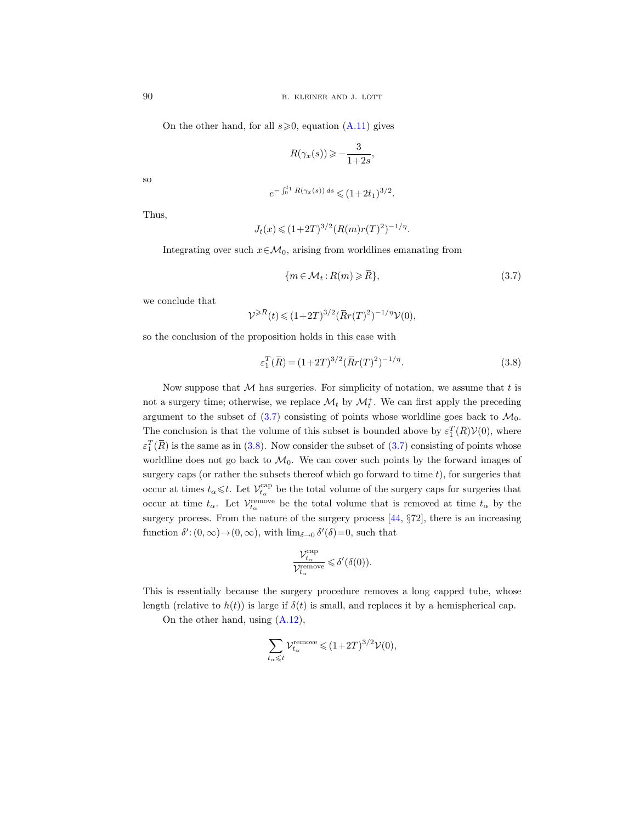On the other hand, for all  $s \ge 0$ , equation  $(A.11)$  gives

$$
R(\gamma_x(s)) \geqslant -\frac{3}{1+2s},
$$

so

$$
e^{-\int_0^{t_1} R(\gamma_x(s)) ds} \leq (1+2t_1)^{3/2}.
$$

Thus,

$$
J_t(x) \leq (1+2T)^{3/2} (R(m)r(T)^2)^{-1/\eta}.
$$

Integrating over such  $x \in \mathcal{M}_0$ , arising from worldlines emanating from

<span id="page-25-0"></span>
$$
\{m \in \mathcal{M}_t : R(m) \geqslant \bar{R}\},\tag{3.7}
$$

we conclude that

$$
\mathcal{V}^{\geqslant \overline{R}}(t) \leqslant (1+2T)^{3/2} (\bar{R}r(T)^2)^{-1/\eta}\mathcal{V}(0),
$$

so the conclusion of the proposition holds in this case with

<span id="page-25-1"></span>
$$
\varepsilon_1^T(\bar{R}) = (1+2T)^{3/2} (\bar{R}r(T)^2)^{-1/\eta}.
$$
\n(3.8)

Now suppose that  $M$  has surgeries. For simplicity of notation, we assume that  $t$  is not a surgery time; otherwise, we replace  $\mathcal{M}_t$  by  $\mathcal{M}_t^+$ . We can first apply the preceding argument to the subset of  $(3.7)$  consisting of points whose worldline goes back to  $\mathcal{M}_0$ . The conclusion is that the volume of this subset is bounded above by  $\varepsilon_1^T(\overline{R})\mathcal{V}(0)$ , where  $\varepsilon_1^T(\bar{R})$  is the same as in [\(3.8\)](#page-25-1). Now consider the subset of [\(3.7\)](#page-25-0) consisting of points whose worldline does not go back to  $\mathcal{M}_0$ . We can cover such points by the forward images of surgery caps (or rather the subsets thereof which go forward to time  $t$ ), for surgeries that occur at times  $t_{\alpha} \leq t$ . Let  $\mathcal{V}^{\text{cap}}_{t_{\alpha}}$  be the total volume of the surgery caps for surgeries that occur at time  $t_{\alpha}$ . Let  $\mathcal{V}^{\text{remove}}_{t_{\alpha}}$  be the total volume that is removed at time  $t_{\alpha}$  by the surgery process. From the nature of the surgery process [\[44,](#page-67-10) §72], there is an increasing function  $\delta'$ :  $(0, \infty) \rightarrow (0, \infty)$ , with  $\lim_{\delta \to 0} \delta'(\delta) = 0$ , such that

$$
\frac{{\cal V}^{\text{cap}}_{t_\alpha}}{{\cal V}^{\text{remove}}_{t_\alpha}} \leqslant \delta'(\delta(0)).
$$

This is essentially because the surgery procedure removes a long capped tube, whose length (relative to  $h(t)$ ) is large if  $\delta(t)$  is small, and replaces it by a hemispherical cap.

On the other hand, using [\(A.12\)](#page-60-3),

$$
\sum_{t_{\alpha}\leqslant t}\mathcal{V}^{\text{remove}}_{t_{\alpha}}\leqslant (1+2T)^{3/2}\mathcal{V}(0),
$$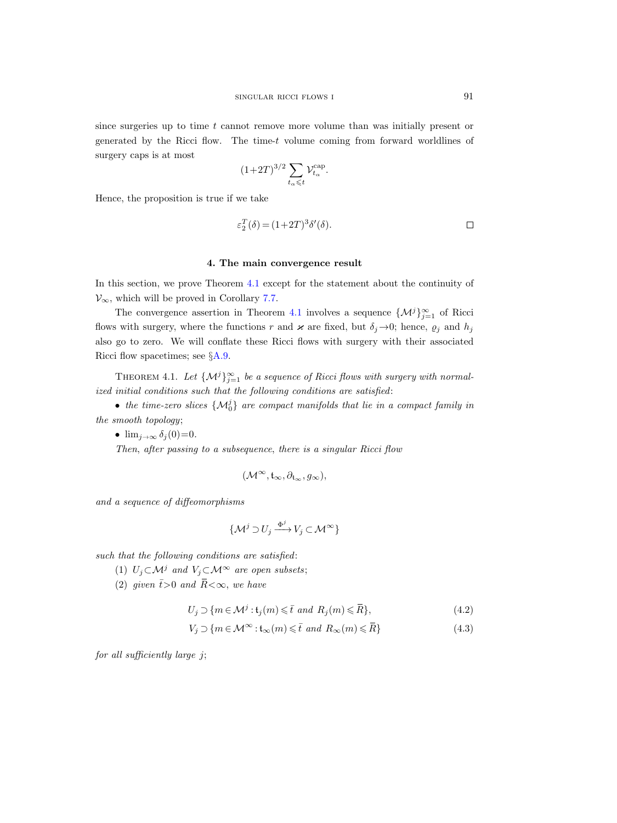since surgeries up to time t cannot remove more volume than was initially present or generated by the Ricci flow. The time-t volume coming from forward worldlines of surgery caps is at most

$$
(1+2T)^{3/2}\sum_{t_\alpha\leqslant t}\mathcal{V}_{t_\alpha}^{\text{cap}}.
$$

Hence, the proposition is true if we take

$$
\varepsilon_2^T(\delta) = (1+2T)^3 \delta'(\delta). \qquad \qquad \Box
$$

#### 4. The main convergence result

<span id="page-26-0"></span>In this section, we prove Theorem [4.1](#page-26-1) except for the statement about the continuity of  $\mathcal{V}_{\infty}$ , which will be proved in Corollary [7.7.](#page-51-0)

The convergence assertion in Theorem [4.1](#page-26-1) involves a sequence  $\{\mathcal{M}^j\}_{j=1}^{\infty}$  of Ricci flows with surgery, where the functions r and  $\varkappa$  are fixed, but  $\delta_j \rightarrow 0$ ; hence,  $\varrho_j$  and  $h_j$ also go to zero. We will conflate these Ricci flows with surgery with their associated Ricci flow spacetimes; see §[A.9.](#page-58-0)

<span id="page-26-1"></span>THEOREM 4.1. Let  $\{\mathcal{M}^j\}_{j=1}^{\infty}$  be a sequence of Ricci flows with surgery with normalized initial conditions such that the following conditions are satisfied:

• the time-zero slices  $\{\mathcal{M}_0^j\}$  are compact manifolds that lie in a compact family in the smooth topology;

•  $\lim_{j \to \infty} \delta_j(0) = 0$ .

Then, after passing to a subsequence, there is a singular Ricci flow

$$
(\mathcal{M}^\infty, \mathfrak{t}_\infty, \partial_{\mathfrak{t}_\infty}, g_\infty),
$$

and a sequence of diffeomorphisms

<span id="page-26-3"></span><span id="page-26-2"></span>
$$
\{\mathcal{M}^j \supset U_j \xrightarrow{\Phi^j} V_j \subset \mathcal{M}^\infty\}
$$

such that the following conditions are satisfied:

(1)  $U_i \subset \mathcal{M}^j$  and  $V_i \subset \mathcal{M}^{\infty}$  are open subsets;

(2) given  $\bar{t} > 0$  and  $\bar{R} < \infty$ , we have

$$
U_j \supset \{ m \in \mathcal{M}^j : \mathfrak{t}_j(m) \leq \bar{t} \text{ and } R_j(m) \leq \bar{R} \},\tag{4.2}
$$

$$
V_j \supset \{ m \in \mathcal{M}^\infty : t_\infty(m) \leq \bar{t} \text{ and } R_\infty(m) \leq \bar{R} \}
$$
(4.3)

for all sufficiently large j;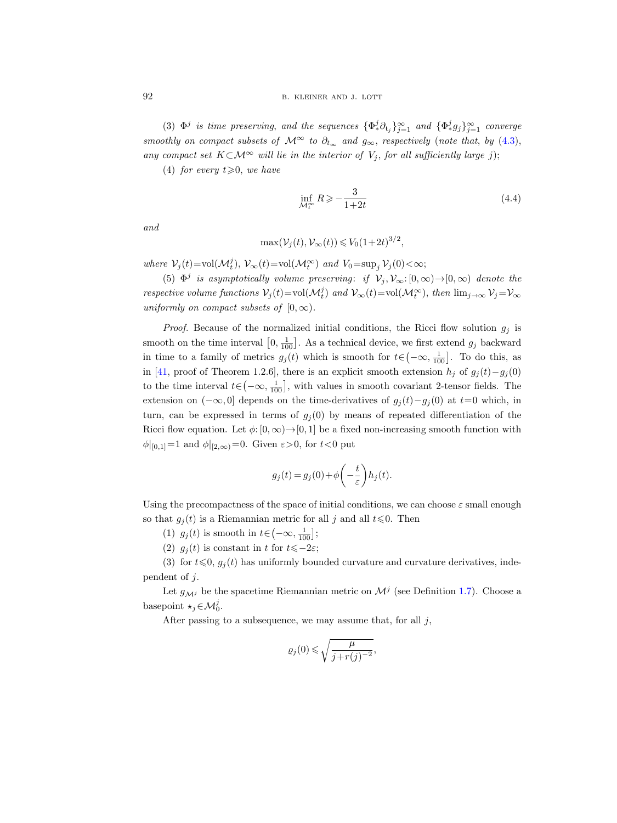(3)  $\Phi^j$  is time preserving, and the sequences  $\{\Phi^j_*\partial_{t_j}\}_{j=1}^\infty$  and  $\{\Phi^j_*g_j\}_{j=1}^\infty$  converge smoothly on compact subsets of  $\mathcal{M}^{\infty}$  to  $\partial_{t_{\infty}}$  and  $g_{\infty}$ , respectively (note that, by [\(4.3\)](#page-26-2), any compact set  $K\subset\mathcal{M}^{\infty}$  will lie in the interior of  $V_j$ , for all sufficiently large j);

(4) for every  $t \ge 0$ , we have

<span id="page-27-0"></span>
$$
\inf_{\mathcal{M}_t^{\infty}} R \geqslant -\frac{3}{1+2t} \tag{4.4}
$$

and

$$
\max(\mathcal{V}_j(t), \mathcal{V}_\infty(t)) \leq V_0(1+2t)^{3/2},
$$

where  $\mathcal{V}_j(t) = \text{vol}(\mathcal{M}_t^j)$ ,  $\mathcal{V}_{\infty}(t) = \text{vol}(\mathcal{M}_t^{\infty})$  and  $V_0 = \text{sup}_j \mathcal{V}_j(0) < \infty$ ;

(5)  $\Phi^j$  is asymptotically volume preserving: if  $\mathcal{V}_j, \mathcal{V}_{\infty}:[0,\infty) \to [0,\infty)$  denote the respective volume functions  $V_j(t) = vol(M_t^j)$  and  $V_\infty(t) = vol(M_t^\infty)$ , then  $\lim_{j \to \infty} V_j = V_\infty$ uniformly on compact subsets of  $[0, \infty)$ .

*Proof.* Because of the normalized initial conditions, the Ricci flow solution  $g_j$  is smooth on the time interval  $[0, \frac{1}{100}]$ . As a technical device, we first extend  $g_j$  backward in time to a family of metrics  $g_j(t)$  which is smooth for  $t \in (-\infty, \frac{1}{100}]$ . To do this, as in [\[41,](#page-67-20) proof of Theorem 1.2.6], there is an explicit smooth extension  $h_j$  of  $g_j(t)-g_j(0)$ to the time interval  $t \in (-\infty, \frac{1}{100}]$ , with values in smooth covariant 2-tensor fields. The extension on  $(-\infty, 0]$  depends on the time-derivatives of  $g_i(t)-g_i(0)$  at  $t=0$  which, in turn, can be expressed in terms of  $g_i(0)$  by means of repeated differentiation of the Ricci flow equation. Let  $\phi: [0, \infty) \to [0, 1]$  be a fixed non-increasing smooth function with  $\phi|_{[0,1]}=1$  and  $\phi|_{[2,\infty)}=0$ . Given  $\varepsilon>0$ , for  $t<0$  put

$$
g_j(t) = g_j(0) + \phi\left(-\frac{t}{\varepsilon}\right)h_j(t).
$$

Using the precompactness of the space of initial conditions, we can choose  $\varepsilon$  small enough so that  $g_i(t)$  is a Riemannian metric for all j and all  $t \leq 0$ . Then

(1)  $g_j(t)$  is smooth in  $t \in \left(-\infty, \frac{1}{100}\right]$ ;

(2)  $g_i(t)$  is constant in t for  $t\leqslant-2\varepsilon$ ;

(3) for  $t \leq 0$ ,  $g_i(t)$  has uniformly bounded curvature and curvature derivatives, independent of j.

Let  $g_{\mathcal{M}^j}$  be the spacetime Riemannian metric on  $\mathcal{M}^j$  (see Definition [1.7\)](#page-7-0). Choose a basepoint  $\star_j \in \mathcal{M}_0^j$ .

After passing to a subsequence, we may assume that, for all  $j$ ,

$$
\varrho_j(0)\leqslant\sqrt{\frac{\mu}{j+r(j)^{-2}}},
$$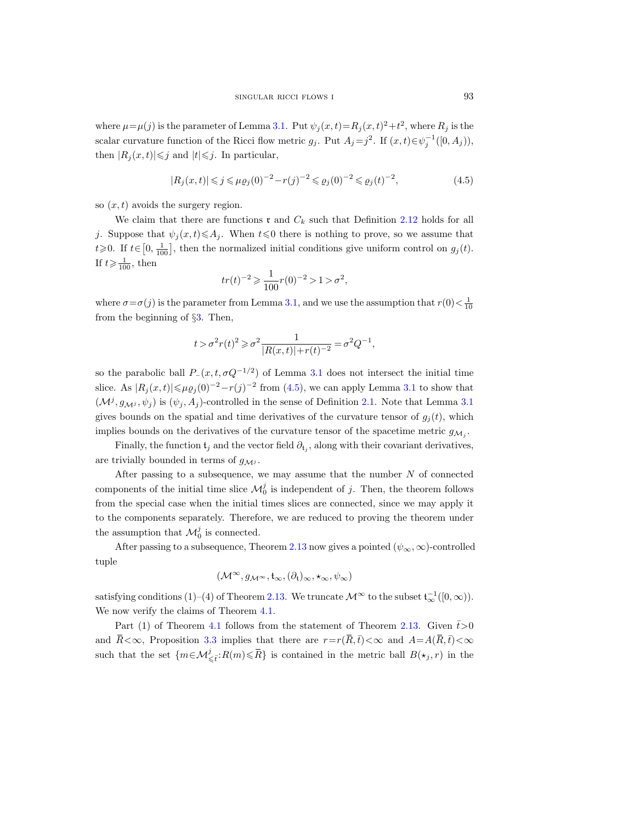where  $\mu = \mu(j)$  is the parameter of Lemma [3.1.](#page-19-0) Put  $\psi_j(x,t) = R_j(x,t)^2 + t^2$ , where  $R_j$  is the scalar curvature function of the Ricci flow metric  $g_j$ . Put  $A_j = j^2$ . If  $(x, t) \in \psi_j^{-1}([0, A_j)),$ then  $|R_j(x,t)| \leq j$  and  $|t| \leq j$ . In particular,

<span id="page-28-0"></span>
$$
|R_j(x,t)| \le j \le \mu \varrho_j(0)^{-2} - r(j)^{-2} \le \varrho_j(0)^{-2} \le \varrho_j(t)^{-2},\tag{4.5}
$$

so  $(x, t)$  avoids the surgery region.

We claim that there are functions  $x$  and  $C_k$  such that Definition [2.12](#page-17-1) holds for all j. Suppose that  $\psi_i(x, t) \leq A_i$ . When  $t \leq 0$  there is nothing to prove, so we assume that  $t\geqslant0$ . If  $t\in\left[0,\frac{1}{100}\right]$ , then the normalized initial conditions give uniform control on  $g_j(t)$ . If  $t \geqslant \frac{1}{100}$ , then

$$
tr(t)^{-2} \geq \frac{1}{100} r(0)^{-2} > 1 > \sigma^2,
$$

where  $\sigma = \sigma(j)$  is the parameter from Lemma [3.1,](#page-19-0) and we use the assumption that  $r(0) < \frac{1}{10}$ from the beginning of §[3.](#page-18-0) Then,

$$
t>\sigma^2 r(t)^2\geqslant \sigma^2 \frac{1}{|R(x,t)|+r(t)^{-2}}=\sigma^2 Q^{-1},
$$

so the parabolic ball  $P_-(x, t, \sigma Q^{-1/2})$  of Lemma [3.1](#page-19-0) does not intersect the initial time slice. As  $|R_j(x,t)| \leq \mu \varrho_j(0)^{-2} - r(j)^{-2}$  from [\(4.5\)](#page-28-0), we can apply Lemma [3.1](#page-19-0) to show that  $(\mathcal{M}^j, g_{\mathcal{M}^j}, \psi_j)$  is  $(\psi_j, A_j)$ -controlled in the sense of Definition [2.1.](#page-12-2) Note that Lemma [3.1](#page-19-0) gives bounds on the spatial and time derivatives of the curvature tensor of  $g_i(t)$ , which implies bounds on the derivatives of the curvature tensor of the spacetime metric  $g_{\mathcal{M}_j}$ .

Finally, the function  $t_j$  and the vector field  $\partial_{t_j}$ , along with their covariant derivatives, are trivially bounded in terms of  $g_{\mathcal{M}^j}$ .

After passing to a subsequence, we may assume that the number  $N$  of connected components of the initial time slice  $\mathcal{M}_0^j$  is independent of j. Then, the theorem follows from the special case when the initial times slices are connected, since we may apply it to the components separately. Therefore, we are reduced to proving the theorem under the assumption that  $\mathcal{M}_0^j$  is connected.

After passing to a subsequence, Theorem [2.13](#page-17-0) now gives a pointed  $(\psi_{\infty}, \infty)$ -controlled tuple

$$
(\mathcal{M}^{\infty}, g_{\mathcal{M}^{\infty}}, t_{\infty}, (\partial_{t})_{\infty}, \star_{\infty}, \psi_{\infty})
$$

satisfying conditions (1)–(4) of Theorem [2.13.](#page-17-0) We truncate  $\mathcal{M}^{\infty}$  to the subset  $\mathfrak{t}_{\infty}^{-1}([0,\infty)).$ We now verify the claims of Theorem [4.1.](#page-26-1)

Part (1) of Theorem [4.1](#page-26-1) follows from the statement of Theorem [2.13.](#page-17-0) Given  $\bar{t} > 0$ and  $\bar{R} < \infty$ , Proposition [3.3](#page-21-0) implies that there are  $r=r(\bar{R}, \bar{t})<\infty$  and  $A=A(\bar{R}, \bar{t})<\infty$ such that the set  $\{m \in \mathcal{M}_{\leq \bar{t}}^j : R(m) \leq \bar{R}\}$  is contained in the metric ball  $B(\star_j, r)$  in the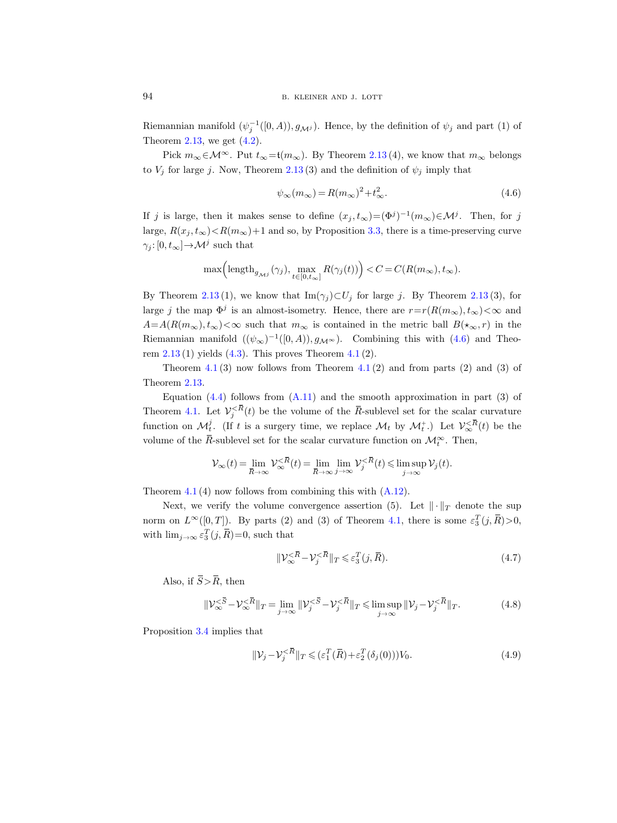Riemannian manifold  $(\psi_j^{-1}([0, A)), g_{\mathcal{M}^j})$ . Hence, by the definition of  $\psi_j$  and part (1) of Theorem [2.13,](#page-17-0) we get  $(4.2)$ .

Pick  $m_{\infty} \in \mathcal{M}^{\infty}$ . Put  $t_{\infty} = t(m_{\infty})$ . By Theorem [2.13](#page-17-0)(4), we know that  $m_{\infty}$  belongs to  $V_j$  for large j. Now, Theorem [2.13](#page-17-0) (3) and the definition of  $\psi_j$  imply that

<span id="page-29-0"></span>
$$
\psi_{\infty}(m_{\infty}) = R(m_{\infty})^2 + t_{\infty}^2. \tag{4.6}
$$

If j is large, then it makes sense to define  $(x_j, t_\infty) = (\Phi^j)^{-1}(m_\infty) \in \mathcal{M}^j$ . Then, for j large,  $R(x_j, t_{\infty}) < R(m_{\infty})+1$  and so, by Proposition [3.3,](#page-21-0) there is a time-preserving curve  $\gamma_j: [0, t_\infty] \to \mathcal{M}^j$  such that

$$
\max\Bigl(\mathrm{length}_{g_{{\mathcal M}^j}}(\gamma_j),\max_{t\in[0,t_\infty]}R(\gamma_j(t))\Bigr)
$$

By Theorem [2.13](#page-17-0) (1), we know that Im $(\gamma_j) \subset U_j$  for large j. By Theorem 2.13 (3), for large j the map  $\Phi^j$  is an almost-isometry. Hence, there are  $r=r(R(m_\infty), t_\infty)<\infty$  and  $A=A(R(m_{\infty}), t_{\infty})<\infty$  such that  $m_{\infty}$  is contained in the metric ball  $B(\star_{\infty}, r)$  in the Riemannian manifold  $((\psi_{\infty})^{-1}([0, A)), g_{\mathcal{M}^{\infty}})$ . Combining this with  $(4.6)$  and Theorem  $2.13(1)$  $2.13(1)$  yields  $(4.3)$ . This proves Theorem  $4.1(2)$  $4.1(2)$ .

Theorem  $4.1(3)$  $4.1(3)$  now follows from Theorem  $4.1(2)$  and from parts  $(2)$  and  $(3)$  of Theorem [2.13.](#page-17-0)

Equation  $(4.4)$  follows from  $(A.11)$  and the smooth approximation in part  $(3)$  of Theorem [4.1.](#page-26-1) Let  $V_j^{\langle\bar{R}}(t)$  be the volume of the  $\bar{R}$ -sublevel set for the scalar curvature function on  $\mathcal{M}_{t}^{j}$ . (If t is a surgery time, we replace  $\mathcal{M}_{t}$  by  $\mathcal{M}_{t}^{+}$ .) Let  $\mathcal{V}_{\infty}^{\leq \bar{R}}(t)$  be the volume of the  $\overline{R}$ -sublevel set for the scalar curvature function on  $\mathcal{M}_t^{\infty}$ . Then,

$$
\mathcal{V}_{\infty}(t) = \lim_{\overline{R} \to \infty} \mathcal{V}_{\infty}^{\langle \overline{R} \rangle}(t) = \lim_{\overline{R} \to \infty} \lim_{j \to \infty} \mathcal{V}_{j}^{\langle \overline{R} \rangle}(t) \leq \limsup_{j \to \infty} \mathcal{V}_{j}(t).
$$

Theorem [4.1](#page-26-1) (4) now follows from combining this with [\(A.12\)](#page-60-3).

Next, we verify the volume convergence assertion (5). Let  $\|\cdot\|_T$  denote the sup norm on  $L^{\infty}([0,T])$ . By parts (2) and (3) of Theorem [4.1,](#page-26-1) there is some  $\varepsilon_3^T(j,\bar{R})>0$ , with  $\lim_{j\to\infty} \varepsilon_3^T(j,\overline{R})=0$ , such that

<span id="page-29-3"></span>
$$
\|\mathcal{V}_{\infty}^{<\overline{R}} - \mathcal{V}_j^{<\overline{R}}\|_T \leqslant \varepsilon_3^T(j, \overline{R}).\tag{4.7}
$$

Also, if  $\overline{S} > \overline{R}$ , then

<span id="page-29-1"></span>
$$
\|\mathcal{V}_{\infty}^{\leq \bar{S}} - \mathcal{V}_{\infty}^{\leq \bar{R}}\|_{T} = \lim_{j \to \infty} \|\mathcal{V}_{j}^{\leq \bar{S}} - \mathcal{V}_{j}^{\leq \bar{R}}\|_{T} \leq \limsup_{j \to \infty} \|\mathcal{V}_{j} - \mathcal{V}_{j}^{\leq \bar{R}}\|_{T}.
$$
 (4.8)

Proposition [3.4](#page-24-2) implies that

<span id="page-29-2"></span>
$$
\|\mathcal{V}_j - \mathcal{V}_j^{\langle \bar{R}}\|_T \leq (\varepsilon_1^T(\bar{R}) + \varepsilon_2^T(\delta_j(0)))V_0.
$$
\n(4.9)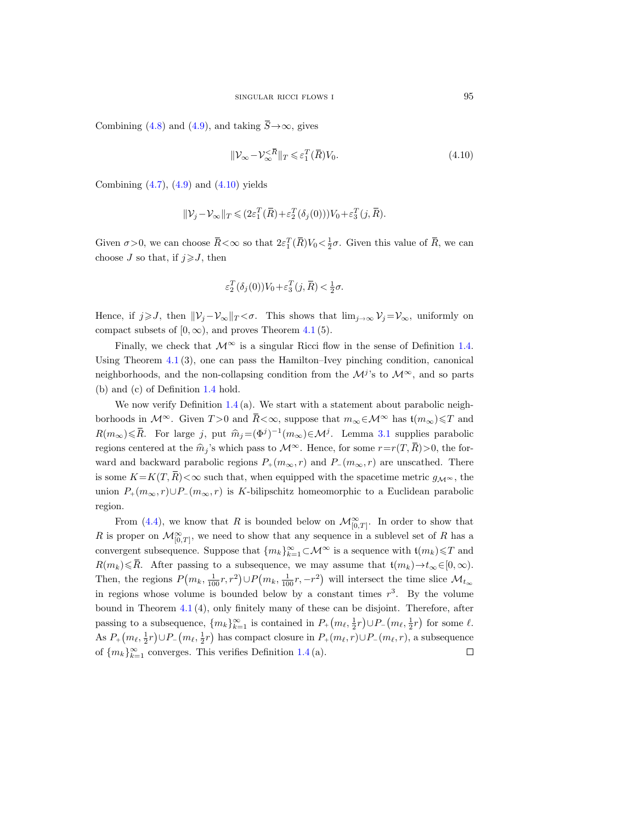Combining [\(4.8\)](#page-29-1) and [\(4.9\)](#page-29-2), and taking  $\overline{S} \rightarrow \infty$ , gives

<span id="page-30-0"></span>
$$
\|\mathcal{V}_{\infty} - \mathcal{V}_{\infty}^{<\overline{R}}\|_{T} \leqslant \varepsilon_1^T(\overline{R})V_0.
$$
\n(4.10)

Combining  $(4.7)$ ,  $(4.9)$  and  $(4.10)$  yields

$$
\|\mathcal{V}_j - \mathcal{V}_\infty\|_T \leq (2\varepsilon_1^T(\bar{R}) + \varepsilon_2^T(\delta_j(0)))V_0 + \varepsilon_3^T(j, \bar{R}).
$$

Given  $\sigma > 0$ , we can choose  $\bar{R} < \infty$  so that  $2\varepsilon_1^T(\bar{R})V_0 < \frac{1}{2}\sigma$ . Given this value of  $\bar{R}$ , we can choose J so that, if  $j \ge J$ , then

$$
\varepsilon_2^T(\delta_j(0))V_0 + \varepsilon_3^T(j, \bar{R}) < \frac{1}{2}\sigma.
$$

Hence, if  $j \geqslant J$ , then  $||\mathcal{V}_j - \mathcal{V}_\infty||_T < \sigma$ . This shows that  $\lim_{j \to \infty} \mathcal{V}_j = \mathcal{V}_\infty$ , uniformly on compact subsets of  $[0, \infty)$ , and proves Theorem [4.1](#page-26-1) (5).

Finally, we check that  $\mathcal{M}^{\infty}$  is a singular Ricci flow in the sense of Definition [1.4.](#page-5-0) Using Theorem [4.1](#page-26-1) (3), one can pass the Hamilton–Ivey pinching condition, canonical neighborhoods, and the non-collapsing condition from the  $\mathcal{M}^{j}$ 's to  $\mathcal{M}^{\infty}$ , and so parts (b) and (c) of Definition [1.4](#page-5-0) hold.

We now verify Definition  $1.4$  (a). We start with a statement about parabolic neighborhoods in  $\mathcal{M}^{\infty}$ . Given  $T > 0$  and  $\bar{R} < \infty$ , suppose that  $m_{\infty} \in \mathcal{M}^{\infty}$  has  $t(m_{\infty}) \leq T$  and  $R(m_\infty) \leq \overline{R}$ . For large j, put  $\widehat{m}_j = (\Phi^j)^{-1}(m_\infty) \in \mathcal{M}^j$ . Lemma [3.1](#page-19-0) supplies parabolic regions centered at the  $\hat{m}_j$ 's which pass to  $\mathcal{M}^{\infty}$ . Hence, for some  $r=r(T, \overline{R})>0$ , the forward and backward parabolic regions  $P_+(m_{\infty}, r)$  and  $P_-(m_{\infty}, r)$  are unscathed. There is some  $K=K(T, R)<\infty$  such that, when equipped with the spacetime metric  $g_{\mathcal{M}^{\infty}}$ , the union  $P_+(m_\infty, r) \cup P_-(m_\infty, r)$  is K-bilipschitz homeomorphic to a Euclidean parabolic region.

From [\(4.4\)](#page-27-0), we know that R is bounded below on  $\mathcal{M}_{[0,T]}^{\infty}$ . In order to show that R is proper on  $\mathcal{M}_{[0,T]}^{\infty}$ , we need to show that any sequence in a sublevel set of R has a convergent subsequence. Suppose that  ${m_k}_{k=1}^{\infty} \subset \mathcal{M}^{\infty}$  is a sequence with  $\mathfrak{t}(m_k) \leq T$  and  $R(m_k) \leq R$ . After passing to a subsequence, we may assume that  $t(m_k) \to t_\infty \in [0, \infty)$ . Then, the regions  $P(m_k, \frac{1}{100}r, r^2) \cup P(m_k, \frac{1}{100}r, -r^2)$  will intersect the time slice  $\mathcal{M}_{t_{\infty}}$ in regions whose volume is bounded below by a constant times  $r^3$ . By the volume bound in Theorem [4.1](#page-26-1) (4), only finitely many of these can be disjoint. Therefore, after passing to a subsequence,  $\{m_k\}_{k=1}^{\infty}$  is contained in  $P_+(m_\ell, \frac{1}{2}r) \cup P_-(m_\ell, \frac{1}{2}r)$  for some  $\ell$ . As  $P_+(m_\ell, \frac{1}{2}r) \cup P_-(m_\ell, \frac{1}{2}r)$  has compact closure in  $P_+(m_\ell, r) \cup P_-(m_\ell, r)$ , a subsequence of  ${m_k}_{k=1}^{\infty}$  converges. This verifies Definition [1.4](#page-5-0)(a).  $\Box$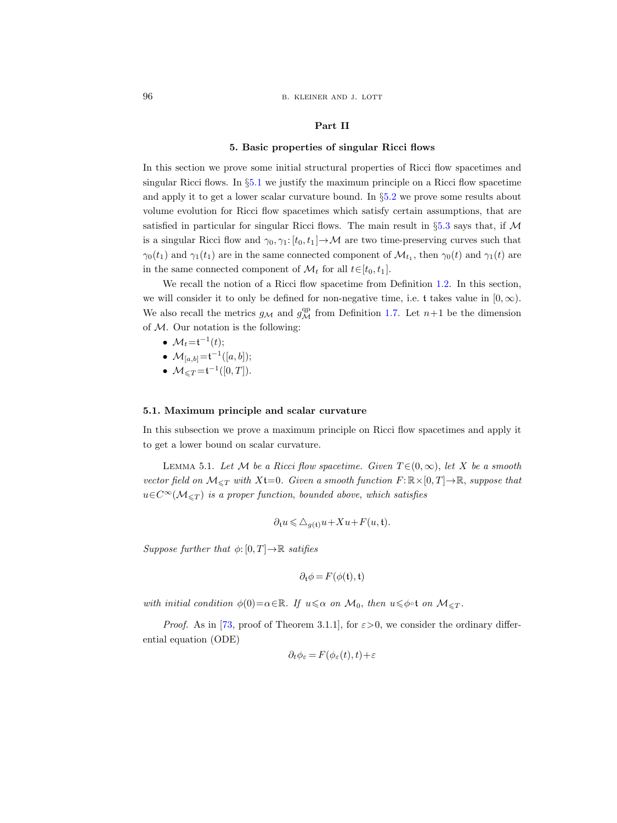#### Part II

# 5. Basic properties of singular Ricci flows

<span id="page-31-0"></span>In this section we prove some initial structural properties of Ricci flow spacetimes and singular Ricci flows. In  $\S5.1$  $\S5.1$  we justify the maximum principle on a Ricci flow spacetime and apply it to get a lower scalar curvature bound. In §[5.2](#page-32-0) we prove some results about volume evolution for Ricci flow spacetimes which satisfy certain assumptions, that are satisfied in particular for singular Ricci flows. The main result in  $\S 5.3$  $\S 5.3$  says that, if M is a singular Ricci flow and  $\gamma_0, \gamma_1: [t_0, t_1] \to \mathcal{M}$  are two time-preserving curves such that  $\gamma_0(t_1)$  and  $\gamma_1(t_1)$  are in the same connected component of  $\mathcal{M}_{t_1}$ , then  $\gamma_0(t)$  and  $\gamma_1(t)$  are in the same connected component of  $\mathcal{M}_t$  for all  $t \in [t_0, t_1]$ .

We recall the notion of a Ricci flow spacetime from Definition [1.2.](#page-4-1) In this section, we will consider it to only be defined for non-negative time, i.e. t takes value in  $[0, \infty)$ . We also recall the metrics  $g_{\mathcal{M}}$  and  $g_{\mathcal{M}}^{\text{qp}}$  from Definition [1.7.](#page-7-0) Let  $n+1$  be the dimension of  $M$ . Our notation is the following:

- $\mathcal{M}_t = t^{-1}(t);$
- $\mathcal{M}_{[a,b]} = t^{-1}([a,b])$ ;
- $\mathcal{M}_{\leq T}\mathsf{=}t^{-1}([0,T]).$

# <span id="page-31-1"></span>5.1. Maximum principle and scalar curvature

In this subsection we prove a maximum principle on Ricci flow spacetimes and apply it to get a lower bound on scalar curvature.

<span id="page-31-2"></span>LEMMA 5.1. Let M be a Ricci flow spacetime. Given  $T \in (0, \infty)$ , let X be a smooth vector field on  $\mathcal{M}_{\leq T}$  with  $Xt=0$ . Given a smooth function  $F: \mathbb{R} \times [0, T] \to \mathbb{R}$ , suppose that  $u \in C^{\infty}(\mathcal{M}_{\leq T})$  is a proper function, bounded above, which satisfies

$$
\partial_t u \leqslant \triangle_{g(\mathfrak{t})} u + Xu + F(u, \mathfrak{t}).
$$

Suppose further that  $\phi: [0, T] \to \mathbb{R}$  satifies

$$
\partial_{\mathfrak{t}} \phi = F(\phi(\mathfrak{t}), \mathfrak{t})
$$

with initial condition  $\phi(0) = \alpha \in \mathbb{R}$ . If  $u \leq \alpha$  on  $\mathcal{M}_0$ , then  $u \leq \phi \circ \mathfrak{t}$  on  $\mathcal{M}_{\leq T}$ .

*Proof.* As in [\[73,](#page-68-19) proof of Theorem 3.1.1], for  $\varepsilon > 0$ , we consider the ordinary differential equation (ODE)

$$
\partial_t \phi_\varepsilon = F(\phi_\varepsilon(t), t) + \varepsilon
$$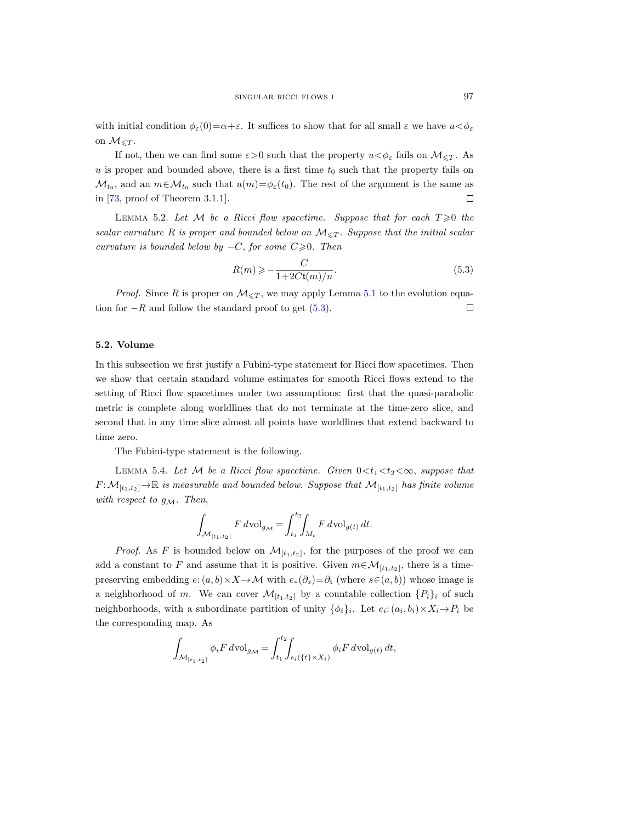with initial condition  $\phi_{\varepsilon}(0)=\alpha+\varepsilon$ . It suffices to show that for all small  $\varepsilon$  we have  $u<\phi_{\varepsilon}$ on  $\mathcal{M}_{\leq T}$ .

If not, then we can find some  $\varepsilon > 0$  such that the property  $u < \phi_{\varepsilon}$  fails on  $\mathcal{M}_{\leq T}$ . As  $u$  is proper and bounded above, there is a first time  $t_0$  such that the property fails on  $\mathcal{M}_{t_0}$ , and an  $m \in \mathcal{M}_{t_0}$  such that  $u(m) = \phi_\varepsilon(t_0)$ . The rest of the argument is the same as in [\[73,](#page-68-19) proof of Theorem 3.1.1].  $\Box$ 

<span id="page-32-3"></span>LEMMA 5.2. Let M be a Ricci flow spacetime. Suppose that for each  $T \geq 0$  the scalar curvature R is proper and bounded below on  $\mathcal{M}_{\leq T}$ . Suppose that the initial scalar curvature is bounded below by  $-C$ , for some  $C\geq 0$ . Then

<span id="page-32-1"></span>
$$
R(m) \geqslant -\frac{C}{1 + 2C\mathfrak{t}(m)/n}.\tag{5.3}
$$

*Proof.* Since R is proper on  $\mathcal{M}_{\leq T}$ , we may apply Lemma [5.1](#page-31-2) to the evolution equation for  $-R$  and follow the standard proof to get [\(5.3\)](#page-32-1).  $\Box$ 

#### <span id="page-32-0"></span>5.2. Volume

In this subsection we first justify a Fubini-type statement for Ricci flow spacetimes. Then we show that certain standard volume estimates for smooth Ricci flows extend to the setting of Ricci flow spacetimes under two assumptions: first that the quasi-parabolic metric is complete along worldlines that do not terminate at the time-zero slice, and second that in any time slice almost all points have worldlines that extend backward to time zero.

The Fubini-type statement is the following.

<span id="page-32-2"></span>LEMMA 5.4. Let M be a Ricci flow spacetime. Given  $0 < t_1 < t_2 < \infty$ , suppose that  $F:\mathcal{M}_{[t_1,t_2]}\to\mathbb{R}$  is measurable and bounded below. Suppose that  $\mathcal{M}_{[t_1,t_2]}$  has finite volume with respect to  $g_{\mathcal{M}}$ . Then,

$$
\int_{\mathcal{M}_{[t_1,t_2]}} F d\text{vol}_{g_{\mathcal{M}}} = \int_{t_1}^{t_2} \int_{M_t} F d\text{vol}_{g(t)} dt.
$$

*Proof.* As F is bounded below on  $\mathcal{M}_{[t_1,t_2]}$ , for the purposes of the proof we can add a constant to F and assume that it is positive. Given  $m \in \mathcal{M}_{[t_1,t_2]}$ , there is a timepreserving embedding  $e: (a, b) \times X \to M$  with  $e_*(\partial_s) = \partial_t$  (where  $s \in (a, b)$ ) whose image is a neighborhood of m. We can cover  $\mathcal{M}_{[t_1,t_2]}$  by a countable collection  $\{P_i\}_i$  of such neighborhoods, with a subordinate partition of unity  $\{\phi_i\}_i$ . Let  $e_i: (a_i, b_i) \times X_i \rightarrow P_i$  be the corresponding map. As

$$
\int_{\mathcal{M}_{[t_1,t_2]}} \phi_i F \, d\text{vol}_{g_{\mathcal{M}}} = \int_{t_1}^{t_2} \int_{e_i(\{t\} \times X_i)} \phi_i F \, d\text{vol}_{g(t)} \, dt,
$$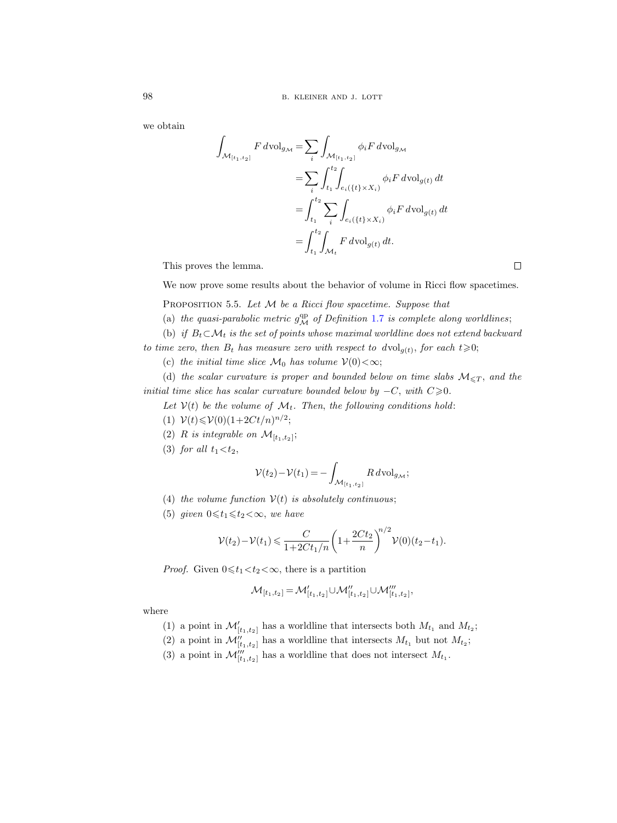we obtain

$$
\int_{\mathcal{M}_{[t_1,t_2]}} F dvol_{g_{\mathcal{M}}} = \sum_{i} \int_{\mathcal{M}_{[t_1,t_2]}} \phi_i F dvol_{g_{\mathcal{M}}}
$$
\n
$$
= \sum_{i} \int_{t_1}^{t_2} \int_{e_i(\{t\} \times X_i)} \phi_i F dvol_{g(t)} dt
$$
\n
$$
= \int_{t_1}^{t_2} \sum_{i} \int_{e_i(\{t\} \times X_i)} \phi_i F dvol_{g(t)} dt
$$
\n
$$
= \int_{t_1}^{t_2} \int_{\mathcal{M}_t} F dvol_{g(t)} dt.
$$

This proves the lemma.

We now prove some results about the behavior of volume in Ricci flow spacetimes.

<span id="page-33-0"></span>PROPOSITION 5.5. Let  $M$  be a Ricci flow spacetime. Suppose that

- (a) the quasi-parabolic metric  $g^{\text{qp}}_{\mathcal{M}}$  of Definition [1.7](#page-7-0) is complete along worldlines;
- (b) if  $B_t \subset \mathcal{M}_t$  is the set of points whose maximal worldline does not extend backward

to time zero, then  $B_t$  has measure zero with respect to  $dvol_{g(t)}$ , for each  $t\geqslant 0$ ;

(c) the initial time slice  $\mathcal{M}_0$  has volume  $\mathcal{V}(0) < \infty$ ;

(d) the scalar curvature is proper and bounded below on time slabs  $M_{\leq T}$ , and the initial time slice has scalar curvature bounded below by  $-C$ , with  $C\geq 0$ .

Let  $V(t)$  be the volume of  $\mathcal{M}_t$ . Then, the following conditions hold:

- (1)  $\mathcal{V}(t) \leq \mathcal{V}(0) (1+2Ct/n)^{n/2};$
- (2) R is integrable on  $\mathcal{M}_{[t_1,t_2]};$
- (3) for all  $t_1 < t_2$ ,

$$
\mathcal{V}(t_2) - \mathcal{V}(t_1) = -\int_{\mathcal{M}_{[t_1, t_2]}} R \, d\text{vol}_{g_{\mathcal{M}}};
$$

- (4) the volume function  $V(t)$  is absolutely continuous;
- (5) given  $0 \leq t_1 \leq t_2 < \infty$ , we have

$$
\mathcal{V}(t_2) - \mathcal{V}(t_1) \leq \frac{C}{1 + 2Ct_1/n} \left(1 + \frac{2Ct_2}{n}\right)^{n/2} \mathcal{V}(0)(t_2 - t_1).
$$

*Proof.* Given  $0 \le t_1 < t_2 < \infty$ , there is a partition

$$
\mathcal{M}_{[t_1,t_2]} = \mathcal{M}'_{[t_1,t_2]} \cup \mathcal{M}''_{[t_1,t_2]} \cup \mathcal{M}'''_{[t_1,t_2]},
$$

where

- (1) a point in  $\mathcal{M}'_{[t_1,t_2]}$  has a worldline that intersects both  $M_{t_1}$  and  $M_{t_2}$ ;
- (2) a point in  $\mathcal{M}''_{[t_1,t_2]}$  has a worldline that intersects  $M_{t_1}$  but not  $M_{t_2}$ ;
- (3) a point in  $\mathcal{M}'''_{[t_1,t_2]}$  has a worldline that does not intersect  $M_{t_1}$ .

 $\Box$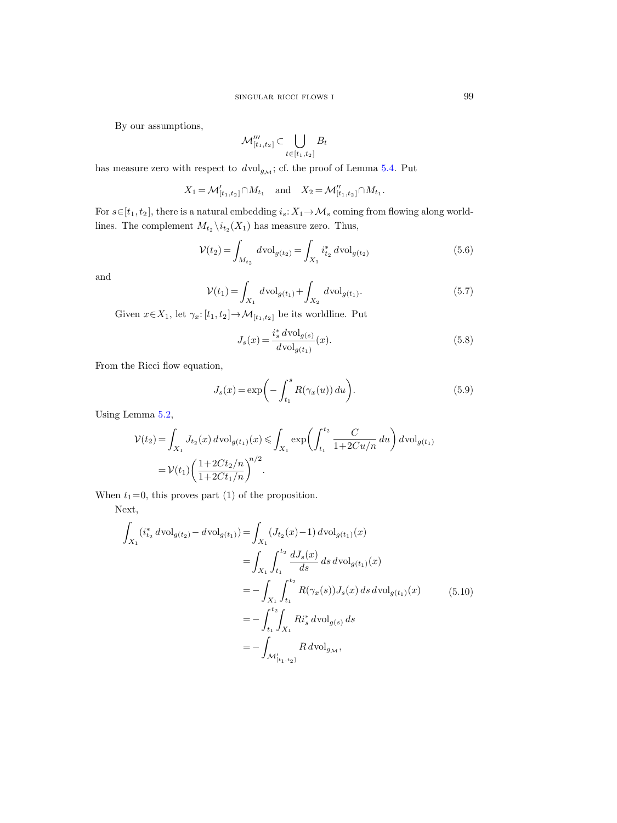By our assumptions,

$$
\mathcal{M}_{[t_1,t_2]}^{\prime \prime \prime} \subset \bigcup_{t \in [t_1,t_2]} B_t
$$

has measure zero with respect to  $dvol_{g_{\mathcal{M}}}$ ; cf. the proof of Lemma [5.4.](#page-32-2) Put

$$
X_1 = \mathcal{M}'_{[t_1, t_2]} \cap M_{t_1}
$$
 and  $X_2 = \mathcal{M}''_{[t_1, t_2]} \cap M_{t_1}$ .

For  $s \in [t_1, t_2]$ , there is a natural embedding  $i_s: X_1 \to \mathcal{M}_s$  coming from flowing along worldlines. The complement  $M_{t_2} \backslash i_{t_2}(X_1)$  has measure zero. Thus,

<span id="page-34-0"></span>
$$
\mathcal{V}(t_2) = \int_{M_{t_2}} d\text{vol}_{g(t_2)} = \int_{X_1} i_{t_2}^* d\text{vol}_{g(t_2)} \tag{5.6}
$$

and

<span id="page-34-1"></span>
$$
\mathcal{V}(t_1) = \int_{X_1} d\text{vol}_{g(t_1)} + \int_{X_2} d\text{vol}_{g(t_1)}.
$$
\n(5.7)

Given  $x\!\in\!X_1,$  let  $\gamma_x\!\!: \lbrack t_1,t_2 \rbrack \mapsto\! \mathcal{M}_{[t_1,t_2]}$  be its worldline. Put

$$
J_s(x) = \frac{i_s^* d \text{vol}_{g(s)}}{d \text{vol}_{g(t_1)}}(x).
$$
 (5.8)

From the Ricci flow equation,

$$
J_s(x) = \exp\bigg(-\int_{t_1}^s R(\gamma_x(u)) du\bigg). \tag{5.9}
$$

Using Lemma [5.2,](#page-32-3)

$$
\mathcal{V}(t_2) = \int_{X_1} J_{t_2}(x) d\text{vol}_{g(t_1)}(x) \le \int_{X_1} \exp\left(\int_{t_1}^{t_2} \frac{C}{1 + 2Cu/n} du\right) d\text{vol}_{g(t_1)}
$$
  
=  $\mathcal{V}(t_1) \left(\frac{1 + 2Ct_2/n}{1 + 2Ct_1/n}\right)^{n/2}.$ 

When  $t_1=0$ , this proves part (1) of the proposition.

Next,

<span id="page-34-2"></span>
$$
\int_{X_1} (i_{t_2}^* d\text{vol}_{g(t_2)} - d\text{vol}_{g(t_1)}) = \int_{X_1} (J_{t_2}(x) - 1) d\text{vol}_{g(t_1)}(x)
$$
\n
$$
= \int_{X_1} \int_{t_1}^{t_2} \frac{dJ_s(x)}{ds} ds d\text{vol}_{g(t_1)}(x)
$$
\n
$$
= -\int_{X_1} \int_{t_1}^{t_2} R(\gamma_x(s)) J_s(x) ds d\text{vol}_{g(t_1)}(x)
$$
\n
$$
= -\int_{t_1}^{t_2} \int_{X_1} R i_s^* d\text{vol}_{g(s)} ds
$$
\n
$$
= -\int_{\mathcal{M}'_{[t_1, t_2]}} R d\text{vol}_{g_{\mathcal{M}}},
$$
\n(5.10)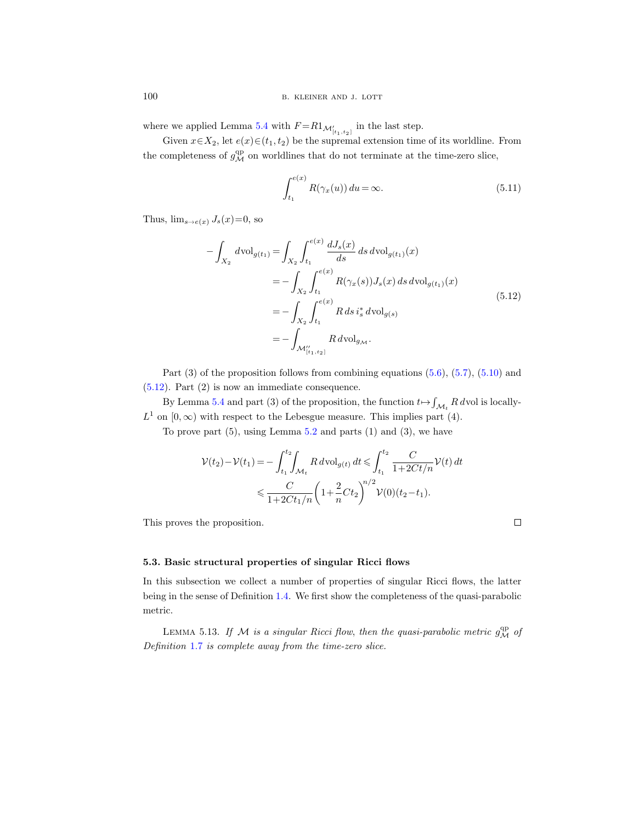where we applied Lemma [5.4](#page-32-2) with  $F = R1_{\mathcal{M}'_{[t_1,t_2]}}$  in the last step.

Given  $x \in X_2$ , let  $e(x) \in (t_1, t_2)$  be the supremal extension time of its worldline. From the completeness of  $g^{\text{qp}}_{\mathcal{M}}$  on worldlines that do not terminate at the time-zero slice,

$$
\int_{t_1}^{e(x)} R(\gamma_x(u)) du = \infty.
$$
 (5.11)

<span id="page-35-2"></span>Thus,  $\lim_{s\to e(x)} J_s(x)=0$ , so

$$
-\int_{X_2} d\text{vol}_{g(t_1)} = \int_{X_2} \int_{t_1}^{e(x)} \frac{dJ_s(x)}{ds} ds d\text{vol}_{g(t_1)}(x)
$$
  
= 
$$
-\int_{X_2} \int_{t_1}^{e(x)} R(\gamma_x(s)) J_s(x) ds d\text{vol}_{g(t_1)}(x)
$$
  
= 
$$
-\int_{X_2} \int_{t_1}^{e(x)} R ds i_s^* d\text{vol}_{g(s)}
$$
  
= 
$$
-\int_{\mathcal{M}_{[t_1,t_2]}''} R d\text{vol}_{g_{\mathcal{M}}}.
$$
 (5.12)

Part  $(3)$  of the proposition follows from combining equations  $(5.6)$ ,  $(5.7)$ ,  $(5.10)$  and [\(5.12\)](#page-35-2). Part (2) is now an immediate consequence.

By Lemma [5.4](#page-32-2) and part (3) of the proposition, the function  $t \mapsto \int_{\mathcal{M}_t} R d\text{vol}$  is locally- $L^1$  on  $[0, \infty)$  with respect to the Lebesgue measure. This implies part (4).

To prove part  $(5)$ , using Lemma  $5.2$  and parts  $(1)$  and  $(3)$ , we have

$$
\mathcal{V}(t_2) - \mathcal{V}(t_1) = -\int_{t_1}^{t_2} \int_{\mathcal{M}_t} R \, d\text{vol}_{g(t)} \, dt \le \int_{t_1}^{t_2} \frac{C}{1 + 2Ct/n} \mathcal{V}(t) \, dt
$$
  

$$
\le \frac{C}{1 + 2Ct_1/n} \left(1 + \frac{2}{n}Ct_2\right)^{n/2} \mathcal{V}(0)(t_2 - t_1).
$$

This proves the proposition.

$$
\Box
$$

#### <span id="page-35-0"></span>5.3. Basic structural properties of singular Ricci flows

In this subsection we collect a number of properties of singular Ricci flows, the latter being in the sense of Definition [1.4.](#page-5-0) We first show the completeness of the quasi-parabolic metric.

<span id="page-35-1"></span>LEMMA 5.13. If M is a singular Ricci flow, then the quasi-parabolic metric  $g^{\text{qp}}_{\mathcal{M}}$  of Definition [1.7](#page-7-0) is complete away from the time-zero slice.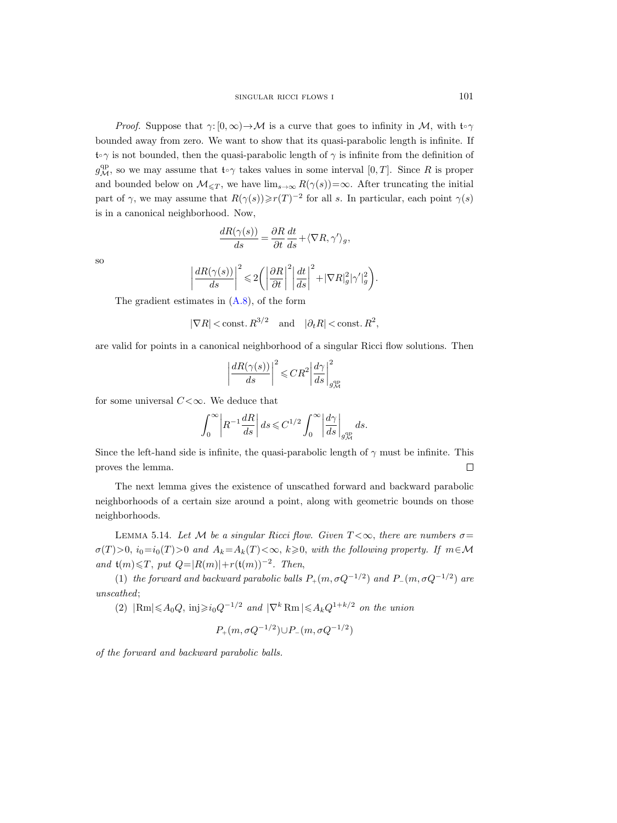*Proof.* Suppose that  $\gamma: [0, \infty) \to M$  is a curve that goes to infinity in M, with  $\mathfrak{t} \circ \gamma$ bounded away from zero. We want to show that its quasi-parabolic length is infinite. If  $\mathfrak{t} \circ \gamma$  is not bounded, then the quasi-parabolic length of  $\gamma$  is infinite from the definition of  $g^{\text{qp}}_{\mathcal{M}}$ , so we may assume that  $\mathfrak{t} \circ \gamma$  takes values in some interval  $[0,T]$ . Since R is proper and bounded below on  $\mathcal{M}_{\leq T}$ , we have  $\lim_{s\to\infty} R(\gamma(s))=\infty$ . After truncating the initial part of  $\gamma$ , we may assume that  $R(\gamma(s)) \ge r(T)^{-2}$  for all s. In particular, each point  $\gamma(s)$ is in a canonical neighborhood. Now,

$$
\frac{dR(\gamma(s))}{ds}=\frac{\partial R}{\partial t}\frac{dt}{ds}+\langle \nabla R,\gamma'\rangle_g,
$$

so

$$
\bigg|\frac{dR(\gamma(s))}{ds}\bigg|^2\leqslant 2\bigg(\bigg|\frac{\partial R}{\partial t}\bigg|^2\bigg|\frac{dt}{ds}\bigg|^2+|\nabla R|_g^2|\gamma'|_g^2\bigg).
$$

The gradient estimates in [\(A.8\)](#page-57-1), of the form

$$
|\nabla R|
$$
 < const.  $R^{3/2}$  and  $|\partial_t R|$  < const.  $R^2$ ,

are valid for points in a canonical neighborhood of a singular Ricci flow solutions. Then

$$
\left|\frac{dR(\gamma(s))}{ds}\right|^2 \leqslant CR^2 \left|\frac{d\gamma}{ds}\right|^2_{g^{\text{qp}}_{\mathcal{M}}}
$$

for some universal  $C < \infty$ . We deduce that

$$
\int_0^\infty \left| R^{-1} \frac{dR}{ds}\right| ds \leqslant C^{1/2} \int_0^\infty \left| \frac{d\gamma}{ds}\right|_{g_{\mathcal{M}}^{\rm qp}} ds.
$$

Since the left-hand side is infinite, the quasi-parabolic length of  $\gamma$  must be infinite. This proves the lemma.  $\Box$ 

The next lemma gives the existence of unscathed forward and backward parabolic neighborhoods of a certain size around a point, along with geometric bounds on those neighborhoods.

<span id="page-36-0"></span>LEMMA 5.14. Let M be a singular Ricci flow. Given  $T < \infty$ , there are numbers  $\sigma =$  $\sigma(T) > 0$ ,  $i_0=i_0(T)>0$  and  $A_k=A_k(T)<\infty$ ,  $k\geqslant 0$ , with the following property. If  $m\in\mathcal{M}$ and  $t(m) \leq T$ , put  $Q=|R(m)|+r(t(m))^{-2}$ . Then,

(1) the forward and backward parabolic balls  $P_+(m, \sigma Q^{-1/2})$  and  $P_-(m, \sigma Q^{-1/2})$  are unscathed;

(2)  $|\text{Rm}| \leq A_0 Q$ ,  $\text{inj} \geq i_0 Q^{-1/2}$  and  $|\nabla^k \text{Rm}| \leq A_k Q^{1+k/2}$  on the union

$$
P_+(m, \sigma Q^{-1/2}) \cup P_-(m, \sigma Q^{-1/2})
$$

of the forward and backward parabolic balls.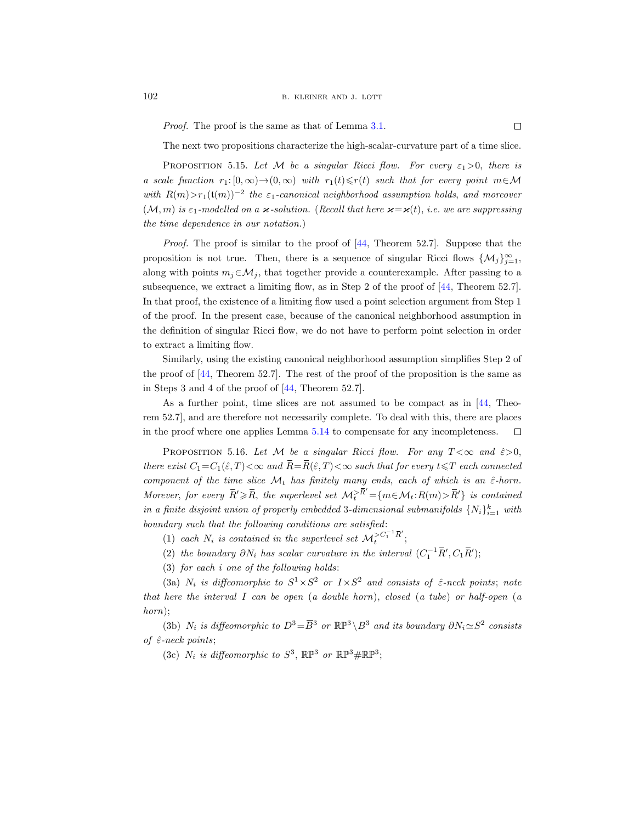Proof. The proof is the same as that of Lemma [3.1.](#page-19-0)

The next two propositions characterize the high-scalar-curvature part of a time slice.

<span id="page-37-1"></span>PROPOSITION 5.15. Let M be a singular Ricci flow. For every  $\varepsilon_1 > 0$ , there is a scale function  $r_1: [0, \infty) \rightarrow (0, \infty)$  with  $r_1(t) \le r(t)$  such that for every point  $m \in \mathcal{M}$ with  $R(m) > r_1(\mathfrak{t}(m))^{-2}$  the  $\varepsilon_1$ -canonical neighborhood assumption holds, and moreover  $(M, m)$  is  $\varepsilon_1$ -modelled on a  $\varkappa$ -solution. (Recall that here  $\varkappa = \varkappa(t)$ , i.e. we are suppressing the time dependence in our notation.)

Proof. The proof is similar to the proof of [\[44,](#page-67-10) Theorem 52.7]. Suppose that the proposition is not true. Then, there is a sequence of singular Ricci flows  $\{\mathcal{M}_j\}_{j=1}^{\infty}$ , along with points  $m_j \in \mathcal{M}_j$ , that together provide a counterexample. After passing to a subsequence, we extract a limiting flow, as in Step 2 of the proof of [\[44,](#page-67-10) Theorem 52.7]. In that proof, the existence of a limiting flow used a point selection argument from Step 1 of the proof. In the present case, because of the canonical neighborhood assumption in the definition of singular Ricci flow, we do not have to perform point selection in order to extract a limiting flow.

Similarly, using the existing canonical neighborhood assumption simplifies Step 2 of the proof of  $[44,$  Theorem 52.7. The rest of the proof of the proposition is the same as in Steps 3 and 4 of the proof of [\[44,](#page-67-10) Theorem 52.7].

As a further point, time slices are not assumed to be compact as in [\[44,](#page-67-10) Theorem 52.7], and are therefore not necessarily complete. To deal with this, there are places in the proof where one applies Lemma [5.14](#page-36-0) to compensate for any incompleteness.  $\Box$ 

<span id="page-37-0"></span>PROPOSITION 5.16. Let M be a singular Ricci flow. For any  $T < \infty$  and  $\hat{\varepsilon} > 0$ , there exist  $C_1=C_1(\hat{\varepsilon},T)<\infty$  and  $\overline{R}=\overline{R}(\hat{\varepsilon},T)<\infty$  such that for every  $t\leq T$  each connected component of the time slice  $\mathcal{M}_t$  has finitely many ends, each of which is an  $\hat{\varepsilon}$ -horn. Morever, for every  $\bar{R}' \geq \bar{R}$ , the superlevel set  $\mathcal{M}_t^{> \bar{R}'} = \{m \in \mathcal{M}_t : R(m) > \bar{R}'\}$  is contained in a finite disjoint union of properly embedded 3-dimensional submanifolds  $\{N_i\}_{i=1}^k$  with boundary such that the following conditions are satisfied:

(1) each  $N_i$  is contained in the superlevel set  $\mathcal{M}_t^{>C_1^{-1}\bar{R}'};$ 

(2) the boundary  $\partial N_i$  has scalar curvature in the interval  $(C_1^{-1} \overline{R}', C_1 \overline{R}')$ ;

(3) for each i one of the following holds:

(3a)  $N_i$  is diffeomorphic to  $S^1 \times S^2$  or  $I \times S^2$  and consists of  $\hat{\varepsilon}$ -neck points; note that here the interval I can be open (a double horn), closed (a tube) or half-open (a horn);

(3b)  $N_i$  is diffeomorphic to  $D^3 = \overline{B}^3$  or  $\mathbb{RP}^3 \setminus B^3$  and its boundary  $\partial N_i \simeq S^2$  consists of  $\hat{\varepsilon}$ -neck points;

(3c)  $N_i$  is diffeomorphic to  $S^3$ ,  $\mathbb{RP}^3$  or  $\mathbb{RP}^3 \# \mathbb{RP}^3$ ;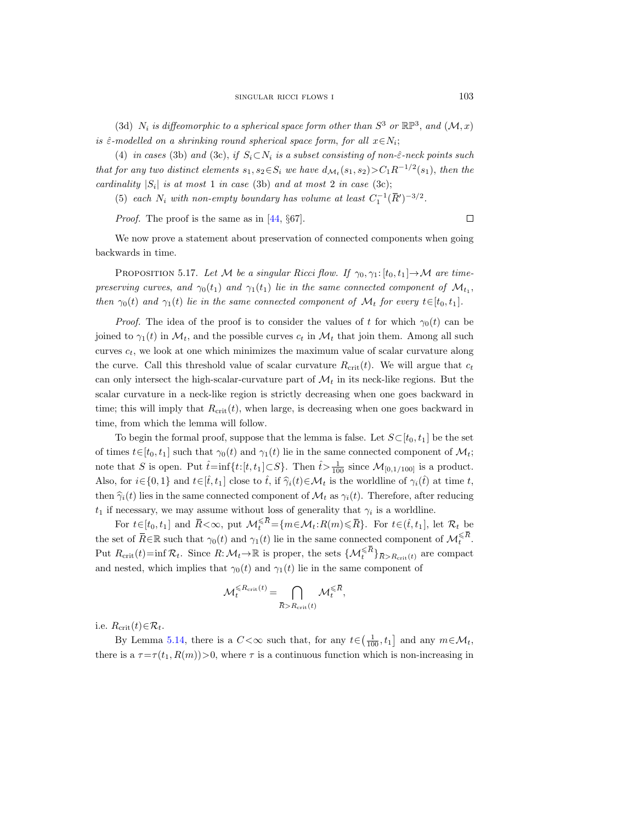(3d)  $N_i$  is diffeomorphic to a spherical space form other than  $S^3$  or  $\mathbb{RP}^3$ , and  $(\mathcal{M},x)$ is  $\hat{\varepsilon}$ -modelled on a shrinking round spherical space form, for all  $x \in N_i$ ;

(4) in cases (3b) and (3c), if  $S_i \subset N_i$  is a subset consisting of non- $\hat{\epsilon}$ -neck points such that for any two distinct elements  $s_1, s_2 \in S_i$  we have  $d_{\mathcal{M}_t}(s_1, s_2) > C_1 R^{-1/2}(s_1)$ , then the cardinality  $|S_i|$  is at most 1 in case (3b) and at most 2 in case (3c);

(5) each  $N_i$  with non-empty boundary has volume at least  $C_1^{-1}(\overline{R}')^{-3/2}$ .

Proof. The proof is the same as in [\[44,](#page-67-10) §67].

 $\Box$ 

We now prove a statement about preservation of connected components when going backwards in time.

<span id="page-38-0"></span>PROPOSITION 5.17. Let M be a singular Ricci flow. If  $\gamma_0, \gamma_1: [t_0, t_1] \rightarrow \mathcal{M}$  are timepreserving curves, and  $\gamma_0(t_1)$  and  $\gamma_1(t_1)$  lie in the same connected component of  $\mathcal{M}_{t_1}$ , then  $\gamma_0(t)$  and  $\gamma_1(t)$  lie in the same connected component of  $\mathcal{M}_t$  for every  $t \in [t_0, t_1]$ .

*Proof.* The idea of the proof is to consider the values of t for which  $\gamma_0(t)$  can be joined to  $\gamma_1(t)$  in  $\mathcal{M}_t$ , and the possible curves  $c_t$  in  $\mathcal{M}_t$  that join them. Among all such curves  $c_t$ , we look at one which minimizes the maximum value of scalar curvature along the curve. Call this threshold value of scalar curvature  $R_{\rm crit}(t)$ . We will argue that  $c_t$ can only intersect the high-scalar-curvature part of  $\mathcal{M}_t$  in its neck-like regions. But the scalar curvature in a neck-like region is strictly decreasing when one goes backward in time; this will imply that  $R_{\rm crit}(t)$ , when large, is decreasing when one goes backward in time, from which the lemma will follow.

To begin the formal proof, suppose that the lemma is false. Let  $S\subset [t_0, t_1]$  be the set of times  $t \in [t_0, t_1]$  such that  $\gamma_0(t)$  and  $\gamma_1(t)$  lie in the same connected component of  $\mathcal{M}_t$ ; note that S is open. Put  $\hat{t} = \inf\{t : [t, t_1] \subset S\}$ . Then  $\hat{t} > \frac{1}{100}$  since  $\mathcal{M}_{[0,1/100]}$  is a product. Also, for  $i \in \{0, 1\}$  and  $t \in [\hat{t}, t_1]$  close to  $\hat{t}$ , if  $\hat{\gamma}_i(t) \in \mathcal{M}_t$  is the worldline of  $\gamma_i(\hat{t})$  at time t, then  $\hat{\gamma}_i(t)$  lies in the same connected component of  $\mathcal{M}_t$  as  $\gamma_i(t)$ . Therefore, after reducing  $t_1$  if necessary, we may assume without loss of generality that  $\gamma_i$  is a worldline.

For  $t \in [t_0, t_1]$  and  $\overline{R} < \infty$ , put  $\mathcal{M}_t^{\leq \overline{R}} = \{m \in \mathcal{M}_t : R(m) \leq \overline{R}\}$ . For  $t \in (\hat{t}, t_1]$ , let  $\mathcal{R}_t$  be the set of  $\overline{R} \in \mathbb{R}$  such that  $\gamma_0(t)$  and  $\gamma_1(t)$  lie in the same connected component of  $\mathcal{M}_{t}^{\leq \overline{R}}$ . Put  $R_{\text{crit}}(t)$ =inf  $\mathcal{R}_t$ . Since  $R: \mathcal{M}_t \to \mathbb{R}$  is proper, the sets  $\{\mathcal{M}_t^{\leq \overline{R}}\}_{\overline{R}>R_{\text{crit}}(t)}$  are compact and nested, which implies that  $\gamma_0(t)$  and  $\gamma_1(t)$  lie in the same component of

$$
\mathcal{M}^{\leqslant R_{\text{crit}}(t)}_t = \bigcap_{\bar{R} > R_{\text{crit}}(t)} \mathcal{M}^{\leqslant \bar{R}}_t,
$$

i.e.  $R_{\rm crit}(t) \in \mathcal{R}_t$ .

By Lemma [5.14,](#page-36-0) there is a  $C < \infty$  such that, for any  $t \in (\frac{1}{100}, t_1]$  and any  $m \in \mathcal{M}_t$ , there is a  $\tau = \tau(t_1, R(m)) > 0$ , where  $\tau$  is a continuous function which is non-increasing in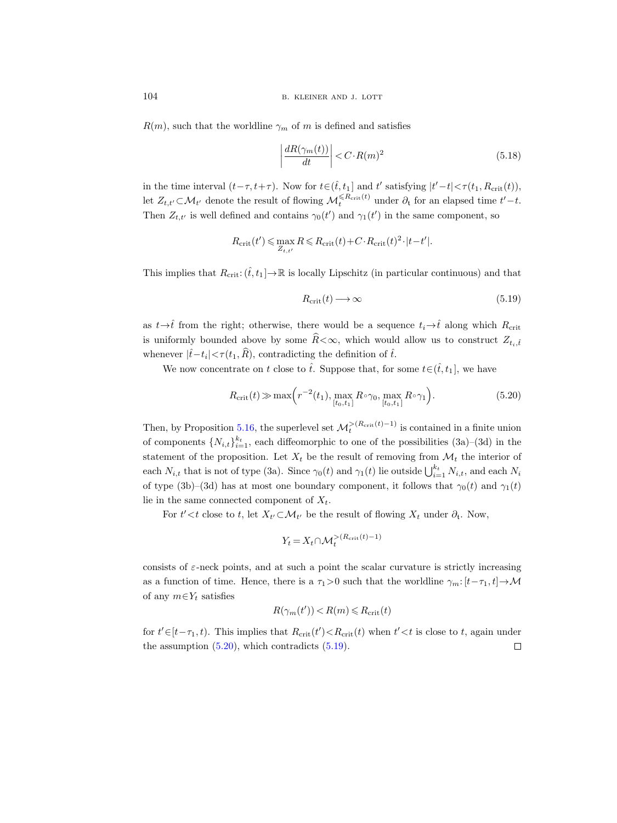$R(m)$ , such that the worldline  $\gamma_m$  of m is defined and satisfies

$$
\left| \frac{dR(\gamma_m(t))}{dt} \right| < C \cdot R(m)^2 \tag{5.18}
$$

in the time interval  $(t-\tau, t+\tau)$ . Now for  $t \in (\hat{t}, t_1]$  and  $t'$  satisfying  $|t'-t| < \tau(t_1, R_{\rm crit}(t)),$ let  $Z_{t,t'} \subset \mathcal{M}_{t'}$  denote the result of flowing  $\mathcal{M}_t^{\leq R_{\text{crit}}(t)}$  under  $\partial_t$  for an elapsed time  $t'-t$ . Then  $Z_{t,t'}$  is well defined and contains  $\gamma_0(t')$  and  $\gamma_1(t')$  in the same component, so

$$
R_{\rm crit}(t') \leqslant \max_{Z_{t,t'}} R \leqslant R_{\rm crit}(t) + C \cdot R_{\rm crit}(t)^2 \cdot |t - t'|.
$$

This implies that  $R_{\text{crit}}: (\hat{t}, t_1] \to \mathbb{R}$  is locally Lipschitz (in particular continuous) and that

<span id="page-39-1"></span>
$$
R_{\rm crit}(t) \longrightarrow \infty \tag{5.19}
$$

as  $t \rightarrow \hat{t}$  from the right; otherwise, there would be a sequence  $t_i \rightarrow \hat{t}$  along which  $R_{\text{crit}}$ is uniformly bounded above by some  $\hat{R} < \infty$ , which would allow us to construct  $Z_{t_i,\hat{t}}$ whenever  $|\hat{t} - t_i| < \tau(t_1, \widehat{R})$ , contradicting the definition of  $\hat{t}$ .

We now concentrate on t close to  $\hat{t}$ . Suppose that, for some  $t \in (\hat{t}, t_1]$ , we have

<span id="page-39-0"></span>
$$
R_{\rm crit}(t) \gg \max\left(r^{-2}(t_1), \max_{[t_0, t_1]} R \circ \gamma_0, \max_{[t_0, t_1]} R \circ \gamma_1\right).
$$
 (5.20)

Then, by Proposition [5.16,](#page-37-0) the superlevel set  $\mathcal{M}_t^{>(R_{\text{crit}}(t)-1)}$  is contained in a finite union of components  $\{N_{i,t}\}_{i=1}^{k_t}$ , each diffeomorphic to one of the possibilities  $(3a)-(3d)$  in the statement of the proposition. Let  $X_t$  be the result of removing from  $\mathcal{M}_t$  the interior of each  $N_{i,t}$  that is not of type (3a). Since  $\gamma_0(t)$  and  $\gamma_1(t)$  lie outside  $\bigcup_{i=1}^{k_t} N_{i,t}$ , and each  $N_i$ of type (3b)–(3d) has at most one boundary component, it follows that  $\gamma_0(t)$  and  $\gamma_1(t)$ lie in the same connected component of  $X_t$ .

For  $t' < t$  close to  $t$ , let  $X_{t'} \subset \mathcal{M}_{t'}$  be the result of flowing  $X_t$  under  $\partial_t$ . Now,

$$
Y_t = X_t \cap \mathcal{M}_t^{>(R_{\text{crit}}(t) - 1)}
$$

consists of  $\varepsilon$ -neck points, and at such a point the scalar curvature is strictly increasing as a function of time. Hence, there is a  $\tau_1>0$  such that the worldline  $\gamma_m:[t-\tau_1,t]\to M$ of any  $m \in Y_t$  satisfies

$$
R(\gamma_m(t')) < R(m) \le R_{\rm crit}(t)
$$

for  $t' \in [t-\tau_1, t)$ . This implies that  $R_{\rm crit}(t') < R_{\rm crit}(t)$  when  $t' < t$  is close to t, again under the assumption  $(5.20)$ , which contradicts  $(5.19)$ .  $\Box$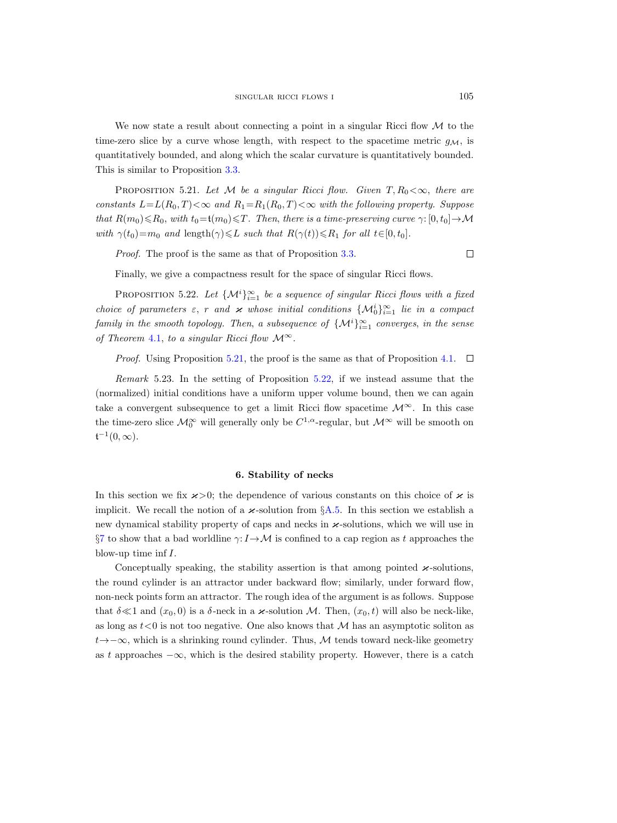We now state a result about connecting a point in a singular Ricci flow  $\mathcal M$  to the time-zero slice by a curve whose length, with respect to the spacetime metric  $g_{\mathcal{M}}$ , is quantitatively bounded, and along which the scalar curvature is quantitatively bounded. This is similar to Proposition [3.3.](#page-21-0)

<span id="page-40-2"></span>PROPOSITION 5.21. Let M be a singular Ricci flow. Given  $T, R_0 < \infty$ , there are constants  $L=L(R_0, T)<\infty$  and  $R_1=R_1(R_0, T)<\infty$  with the following property. Suppose that  $R(m_0) \le R_0$ , with  $t_0 = t(m_0) \le T$ . Then, there is a time-preserving curve  $\gamma: [0, t_0] \to \mathcal{M}$ with  $\gamma(t_0)=m_0$  and length $(\gamma)\leq L$  such that  $R(\gamma(t))\leq R_1$  for all  $t\in[0, t_0]$ .

Proof. The proof is the same as that of Proposition [3.3.](#page-21-0)

 $\Box$ 

Finally, we give a compactness result for the space of singular Ricci flows.

<span id="page-40-1"></span>PROPOSITION 5.22. Let  $\{\mathcal{M}^i\}_{i=1}^{\infty}$  be a sequence of singular Ricci flows with a fixed choice of parameters  $\varepsilon$ , r and  $\varkappa$  whose initial conditions  $\{\mathcal{M}_0^i\}_{i=1}^\infty$  lie in a compact family in the smooth topology. Then, a subsequence of  $\{M^i\}_{i=1}^{\infty}$  converges, in the sense of Theorem [4.1,](#page-26-1) to a singular Ricci flow  $\mathcal{M}^{\infty}$ .

*Proof.* Using Proposition [5.21,](#page-40-2) the proof is the same as that of Proposition [4.1.](#page-26-1)  $\Box$ 

Remark 5.23. In the setting of Proposition [5.22,](#page-40-1) if we instead assume that the (normalized) initial conditions have a uniform upper volume bound, then we can again take a convergent subsequence to get a limit Ricci flow spacetime  $\mathcal{M}^{\infty}$ . In this case the time-zero slice  $\mathcal{M}_0^{\infty}$  will generally only be  $C^{1,\alpha}$ -regular, but  $\mathcal{M}^{\infty}$  will be smooth on  $\mathfrak{t}^{-1}(0,\infty).$ 

# 6. Stability of necks

<span id="page-40-0"></span>In this section we fix  $\varkappa > 0$ ; the dependence of various constants on this choice of  $\varkappa$  is implicit. We recall the notion of a  $\varkappa$ -solution from §[A.5.](#page-54-1) In this section we establish a new dynamical stability property of caps and necks in  $\varkappa$ -solutions, which we will use in §[7](#page-46-0) to show that a bad worldline  $\gamma: I \to \mathcal{M}$  is confined to a cap region as t approaches the blow-up time inf  $I$ .

Conceptually speaking, the stability assertion is that among pointed  $\varkappa$ -solutions, the round cylinder is an attractor under backward flow; similarly, under forward flow, non-neck points form an attractor. The rough idea of the argument is as follows. Suppose that  $\delta \ll 1$  and  $(x_0, 0)$  is a  $\delta$ -neck in a  $\varkappa$ -solution M. Then,  $(x_0, t)$  will also be neck-like, as long as  $t < 0$  is not too negative. One also knows that M has an asymptotic soliton as  $t \rightarrow -\infty$ , which is a shrinking round cylinder. Thus, M tends toward neck-like geometry as t approaches  $-\infty$ , which is the desired stability property. However, there is a catch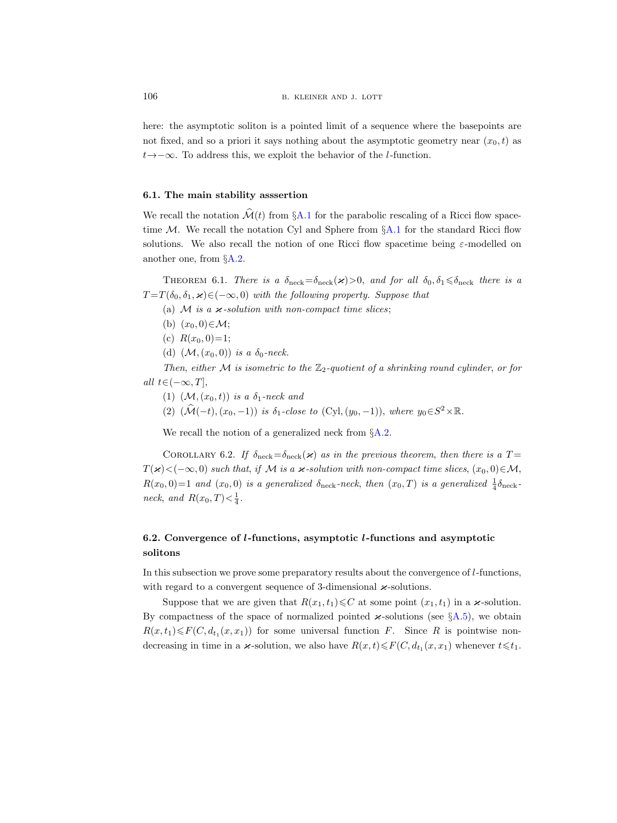here: the asymptotic soliton is a pointed limit of a sequence where the basepoints are not fixed, and so a priori it says nothing about the asymptotic geometry near  $(x_0, t)$  as  $t \rightarrow -\infty$ . To address this, we exploit the behavior of the *l*-function.

# <span id="page-41-0"></span>6.1. The main stability asssertion

We recall the notation  $\mathcal{M}(t)$  from §[A.1](#page-52-1) for the parabolic rescaling of a Ricci flow spacetime  $M$ . We recall the notation Cyl and Sphere from  $\S A.1$  $\S A.1$  for the standard Ricci flow solutions. We also recall the notion of one Ricci flow spacetime being  $\varepsilon$ -modelled on another one, from §[A.2.](#page-52-2)

<span id="page-41-2"></span>THEOREM 6.1. There is a  $\delta_{\text{neck}} = \delta_{\text{neck}}(\varkappa) > 0$ , and for all  $\delta_0, \delta_1 \leq \delta_{\text{neck}}$  there is a  $T = T(\delta_0, \delta_1, \varkappa) \in (-\infty, 0)$  with the following property. Suppose that

- (a)  $M$  is a  $\varkappa$ -solution with non-compact time slices;
- (b)  $(x_0, 0) \in \mathcal{M}$ ;
- (c)  $R(x_0, 0)=1;$
- (d)  $(\mathcal{M}, (x_0, 0))$  is a  $\delta_0$ -neck.

Then, either M is isometric to the  $\mathbb{Z}_2$ -quotient of a shrinking round cylinder, or for all  $t \in (-\infty, T]$ ,

- (1)  $(\mathcal{M}, (x_0, t))$  is a  $\delta_1$ -neck and
- (2)  $(\hat{\mathcal{M}}(-t), (x_0, -1))$  is  $\delta_1$ -close to (Cyl, $(y_0, -1)$ ), where  $y_0 \in S^2 \times \mathbb{R}$ .

We recall the notion of a generalized neck from  $\S A.2$ .

<span id="page-41-3"></span>COROLLARY 6.2. If  $\delta_{\text{neck}} = \delta_{\text{neck}}(\boldsymbol{\varkappa})$  as in the previous theorem, then there is a T =  $T(\varkappa)<(-\infty, 0)$  such that, if M is a  $\varkappa$ -solution with non-compact time slices,  $(x_0, 0) \in \mathcal{M}$ ,  $R(x_0, 0) = 1$  and  $(x_0, 0)$  is a generalized  $\delta_{\text{neck}}$ -neck, then  $(x_0, T)$  is a generalized  $\frac{1}{4}\delta_{\text{neck}}$ neck, and  $R(x_0,T) < \frac{1}{4}$ .

# <span id="page-41-1"></span>6.2. Convergence of *l*-functions, asymptotic *l*-functions and asymptotic solitons

In this subsection we prove some preparatory results about the convergence of l-functions, with regard to a convergent sequence of 3-dimensional  $\varkappa$ -solutions.

Suppose that we are given that  $R(x_1, t_1) \leq C$  at some point  $(x_1, t_1)$  in a  $\varkappa$ -solution. By compactness of the space of normalized pointed  $\varkappa$ -solutions (see §[A.5\)](#page-54-1), we obtain  $R(x,t_1)\leq F(C, d_{t_1}(x,x_1))$  for some universal function F. Since R is pointwise nondecreasing in time in a  $\varkappa$ -solution, we also have  $R(x,t) \leq F(C, d_{t_1}(x, x_1))$  whenever  $t \leq t_1$ .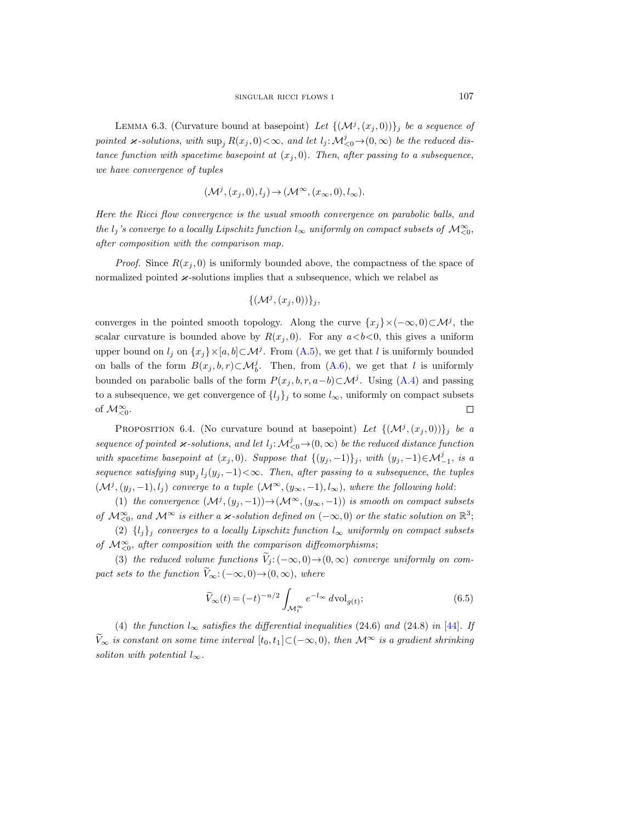<span id="page-42-0"></span>LEMMA 6.3. (Curvature bound at basepoint) Let  $\{(\mathcal{M}^j,(x_j,0))\}_j$  be a sequence of pointed  $\varkappa$ -solutions, with  $\sup_j R(x_j,0) < \infty$ , and let  $l_j \colon \mathcal{M}_{\leq 0}^j \to (0,\infty)$  be the reduced distance function with spacetime basepoint at  $(x_j, 0)$ . Then, after passing to a subsequence, we have convergence of tuples

$$
(\mathcal{M}^j,(x_j,0),l_j) \to (\mathcal{M}^\infty,(x_\infty,0),l_\infty).
$$

Here the Ricci flow convergence is the usual smooth convergence on parabolic balls, and the  $l_j$ 's converge to a locally Lipschitz function  $l_{\infty}$  uniformly on compact subsets of  $\mathcal{M}_{\leq 0}^{\infty}$ , after composition with the comparison map.

*Proof.* Since  $R(x_i, 0)$  is uniformly bounded above, the compactness of the space of normalized pointed  $\varkappa$ -solutions implies that a subsequence, which we relabel as

$$
\{(\mathcal{M}^j,(x_j,0))\}_j,
$$

converges in the pointed smooth topology. Along the curve  $\{x_j\} \times (-\infty, 0) \subset \mathcal{M}^j$ , the scalar curvature is bounded above by  $R(x_i, 0)$ . For any  $a < b < 0$ , this gives a uniform upper bound on  $l_j$  on  $\{x_j\}\times[a,b]\subset\mathcal{M}^j$ . From  $(A.5)$ , we get that l is uniformly bounded on balls of the form  $B(x_j, b, r) \subset \mathcal{M}_{b}^j$ . Then, from [\(A.6\)](#page-56-2), we get that l is uniformly bounded on parabolic balls of the form  $P(x_j, b, r, a-b) \subset \mathcal{M}^j$ . Using [\(A.4\)](#page-56-3) and passing to a subsequence, we get convergence of  $\{l_j\}_j$  to some  $l_{\infty}$ , uniformly on compact subsets of  $\mathcal{M}_{\leq 0}^{\infty}$ .  $\Box$ 

<span id="page-42-1"></span>PROPOSITION 6.4. (No curvature bound at basepoint) Let  ${(\mathcal{M}^j,(x_j,0))}_j$  be a sequence of pointed  $\varkappa$ -solutions, and let  $l_j: \mathcal{M}_{\leq 0}^j \to (0, \infty)$  be the reduced distance function with spacetime basepoint at  $(x_j, 0)$ . Suppose that  $\{(y_j, -1)\}_j$ , with  $(y_j, -1) \in \mathcal{M}_{-1}^j$ , is a sequence satisfying  $\sup_j l_j(y_j,-1) < \infty$ . Then, after passing to a subsequence, the tuples  $(\mathcal{M}^j,(y_j,-1),l_j)$  converge to a tuple  $(\mathcal{M}^{\infty},(y_{\infty},-1),l_{\infty}),$  where the following hold:

(1) the convergence  $(\mathcal{M}^j,(y_j,-1)) \to (\mathcal{M}^{\infty},(y_{\infty},-1))$  is smooth on compact subsets of  $\mathcal{M}_{\leq 0}^{\infty}$ , and  $\mathcal{M}^{\infty}$  is either a **x**-solution defined on  $(-\infty,0)$  or the static solution on  $\mathbb{R}^3$ ;

(2)  $\{l_j\}_j$  converges to a locally Lipschitz function  $l_{\infty}$  uniformly on compact subsets of  $\mathcal{M}_{\leq 0}^{\infty}$ , after composition with the comparison diffeomorphisms;

(3) the reduced volume functions  $V_j: (-\infty, 0) \to (0, \infty)$  converge uniformly on compact sets to the function  $\widetilde{V}_{\infty}$ :  $(-\infty, 0) \rightarrow (0, \infty)$ , where

<span id="page-42-2"></span>
$$
\widetilde{V}_{\infty}(t) = (-t)^{-n/2} \int_{\mathcal{M}_t^{\infty}} e^{-l_{\infty}} d\mathrm{vol}_{g(t)};
$$
\n(6.5)

(4) the function  $l_{\infty}$  satisfies the differential inequalities (24.6) and (24.8) in [\[44\]](#page-67-10). If  $\widetilde{V}_{\infty}$  is constant on some time interval  $[t_0, t_1] \subset (-\infty, 0)$ , then  $\mathcal{M}^{\infty}$  is a gradient shrinking soliton with potential  $l_{\infty}$ .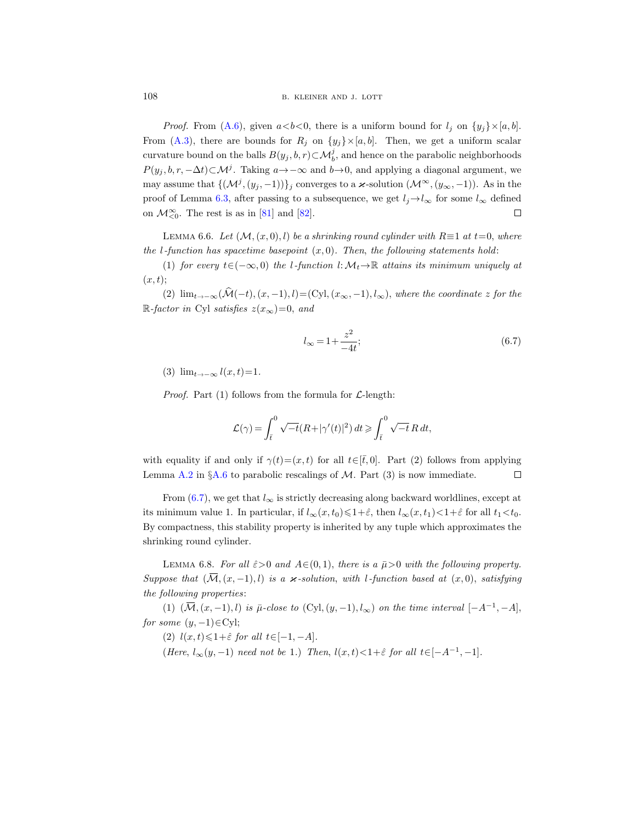*Proof.* From [\(A.6\)](#page-56-2), given  $a < b < 0$ , there is a uniform bound for  $l_j$  on  $\{y_j\} \times [a, b]$ . From [\(A.3\)](#page-56-4), there are bounds for  $R_i$  on  $\{y_i\}\times [a, b]$ . Then, we get a uniform scalar curvature bound on the balls  $B(y_j, b, r) \subset \mathcal{M}_{b}^j$ , and hence on the parabolic neighborhoods  $P(y_j, b, r, -\Delta t) \subset \mathcal{M}^j$ . Taking  $a \to -\infty$  and  $b \to 0$ , and applying a diagonal argument, we may assume that  ${(\mathcal{M}^j, (y_j, -1))}_j$  converges to a  $\varkappa$ -solution  $(\mathcal{M}^{\infty}, (y_{\infty}, -1))$ . As in the proof of Lemma [6.3,](#page-42-0) after passing to a subsequence, we get  $l_j \rightarrow l_\infty$  for some  $l_\infty$  defined on  $\mathcal{M}_{\leq 0}^{\infty}$ . The rest is as in [\[81\]](#page-68-20) and [\[82\]](#page-68-21).  $\Box$ 

<span id="page-43-2"></span>LEMMA 6.6. Let  $(M,(x,0),l)$  be a shrinking round cylinder with  $R \equiv 1$  at  $t=0$ , where the *l*-function has spacetime basepoint  $(x, 0)$ . Then, the following statements hold:

(1) for every  $t\in(-\infty,0)$  the l-function l:  $\mathcal{M}_t\to\mathbb{R}$  attains its minimum uniquely at  $(x, t)$ ;

(2)  $\lim_{t\to-\infty}(\widehat{\mathcal{M}}(-t),(x,-1), l)=\left(\mathrm{Cyl},(x_{\infty},-1), l_{\infty}\right)$ , where the coordinate z for the R-factor in Cyl satisfies  $z(x_\infty)=0$ , and

<span id="page-43-0"></span>
$$
l_{\infty} = 1 + \frac{z^2}{-4t};
$$
\n(6.7)

(3)  $\lim_{t \to -\infty} l(x, t) = 1$ .

*Proof.* Part (1) follows from the formula for  $\mathcal{L}$ -length:

$$
\mathcal{L}(\gamma) = \int_{\bar{t}}^0 \sqrt{-t} (R + |\gamma'(t)|^2) dt \geqslant \int_{\bar{t}}^0 \sqrt{-t} R dt,
$$

with equality if and only if  $\gamma(t)=(x, t)$  for all  $t\in[\bar{t},0]$ . Part (2) follows from applying Lemma [A.2](#page-55-1) in  $\S$ [A.6](#page-55-0) to parabolic rescalings of M. Part (3) is now immediate.  $\Box$ 

From [\(6.7\)](#page-43-0), we get that  $l_{\infty}$  is strictly decreasing along backward worldlines, except at its minimum value 1. In particular, if  $l_{\infty}(x, t_0) \leq 1 + \hat{\varepsilon}$ , then  $l_{\infty}(x, t_1) < 1 + \hat{\varepsilon}$  for all  $t_1 < t_0$ . By compactness, this stability property is inherited by any tuple which approximates the shrinking round cylinder.

<span id="page-43-1"></span>LEMMA 6.8. For all  $\hat{\varepsilon} > 0$  and  $A \in (0, 1)$ , there is a  $\bar{\mu} > 0$  with the following property. Suppose that  $(\overline{\mathcal{M}},(x,-1),l)$  is a  $\varkappa$ -solution, with l-function based at  $(x,0)$ , satisfying the following properties:

(1)  $(\overline{\mathcal{M}}, (x, -1), l)$  is  $\overline{\mu}$ -close to  $(Cyl, (y, -1), l_{\infty})$  on the time interval  $[-A^{-1}, -A],$ for some  $(y, -1) \in Cyl$ ;

(2)  $l(x,t) \leq 1+\hat{\varepsilon}$  for all  $t \in [-1, -A]$ .

(Here,  $l_{\infty}(y, -1)$  need not be 1.) Then,  $l(x, t) < 1+\hat{\varepsilon}$  for all  $t \in [-A^{-1}, -1]$ .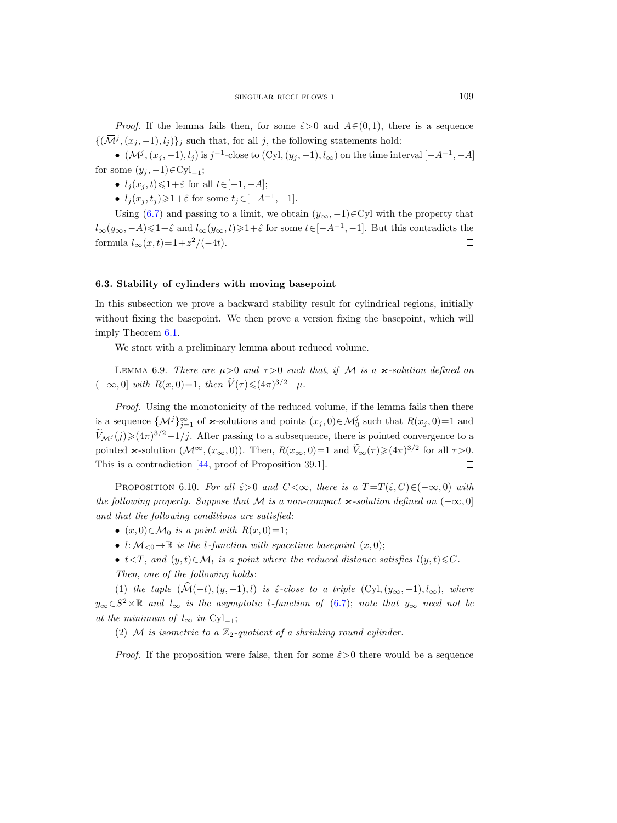*Proof.* If the lemma fails then, for some  $\hat{\varepsilon} > 0$  and  $A \in (0, 1)$ , there is a sequence  $\{(\overline{\mathcal{M}}^j,(x_j,-1),l_j)\}_j$  such that, for all j, the following statements hold:

 $\bullet$   $(\overline{\mathcal{M}}^{j}, (x_j, -1), l_j)$  is j<sup>-1</sup>-close to  $(Cyl, (y_j, -1), l_{\infty})$  on the time interval  $[-A^{-1}, -A]$ for some  $(y_j, -1) \in \text{Cyl}_{-1}$ ;

- $l_j(x_j, t) \leq 1+\hat{\varepsilon}$  for all  $t \in [-1, -A];$
- $l_j(x_j, t_j) \geq 1 + \hat{\varepsilon}$  for some  $t_j \in [-A^{-1}, -1]$ .

Using [\(6.7\)](#page-43-0) and passing to a limit, we obtain  $(y_{\infty}, -1) \in Cyl$  with the property that  $l_{\infty}(y_{\infty}, -A) \leq 1+\hat{\varepsilon}$  and  $l_{\infty}(y_{\infty}, t) \geq 1+\hat{\varepsilon}$  for some  $t \in [-A^{-1}, -1]$ . But this contradicts the formula  $l_{\infty}(x,t) = 1 + z^2/(-4t)$ .  $\Box$ 

### <span id="page-44-0"></span>6.3. Stability of cylinders with moving basepoint

In this subsection we prove a backward stability result for cylindrical regions, initially without fixing the basepoint. We then prove a version fixing the basepoint, which will imply Theorem [6.1.](#page-41-2)

We start with a preliminary lemma about reduced volume.

<span id="page-44-2"></span>LEMMA 6.9. There are  $\mu > 0$  and  $\tau > 0$  such that, if M is a  $\varkappa$ -solution defined on  $(-\infty, 0]$  with  $R(x, 0)=1$ , then  $\widetilde{V}(\tau) \leq (4\pi)^{3/2} - \mu$ .

Proof. Using the monotonicity of the reduced volume, if the lemma fails then there is a sequence  $\{\mathcal{M}^j\}_{j=1}^\infty$  of  $\varkappa$ -solutions and points  $(x_j, 0) \in \mathcal{M}_0^j$  such that  $R(x_j, 0) = 1$  and  $\widetilde{V}_{\mathcal{M}^j}(j) \geq (4\pi)^{3/2} - 1/j$ . After passing to a subsequence, there is pointed convergence to a pointed  $\varkappa$ -solution  $(\mathcal{M}^{\infty}, (x_{\infty}, 0))$ . Then,  $R(x_{\infty}, 0) = 1$  and  $\widetilde{V}_{\infty}(\tau) \geq (4\pi)^{3/2}$  for all  $\tau > 0$ . This is a contradiction [\[44,](#page-67-10) proof of Proposition 39.1].  $\Box$ 

<span id="page-44-1"></span>PROPOSITION 6.10. For all  $\hat{\varepsilon}>0$  and  $C<\infty$ , there is a  $T=T(\hat{\varepsilon},C)\in(-\infty,0)$  with the following property. Suppose that M is a non-compact  $\varkappa$ -solution defined on  $(-\infty, 0]$ and that the following conditions are satisfied:

- $(x, 0) \in \mathcal{M}_0$  is a point with  $R(x, 0) = 1$ ;
- l:  $M_{\leq 0} \to \mathbb{R}$  is the l-function with spacetime basepoint  $(x, 0)$ ;
- $t < T$ , and  $(y, t) \in \mathcal{M}_t$  is a point where the reduced distance satisfies  $l(y, t) \leq C$ . Then, one of the following holds:

(1) the tuple  $(\hat{\mathcal{M}}(-t), (y, -1), l)$  is  $\hat{\varepsilon}$ -close to a triple  $(Cyl, (y_\infty, -1), l_\infty)$ , where  $y_{\infty} \in S^2 \times \mathbb{R}$  and  $l_{\infty}$  is the asymptotic l-function of [\(6.7\)](#page-43-0); note that  $y_{\infty}$  need not be at the minimum of  $l_{\infty}$  in Cyl<sub>-1</sub>;

(2) M is isometric to a  $\mathbb{Z}_2$ -quotient of a shrinking round cylinder.

*Proof.* If the proposition were false, then for some  $\hat{\varepsilon} > 0$  there would be a sequence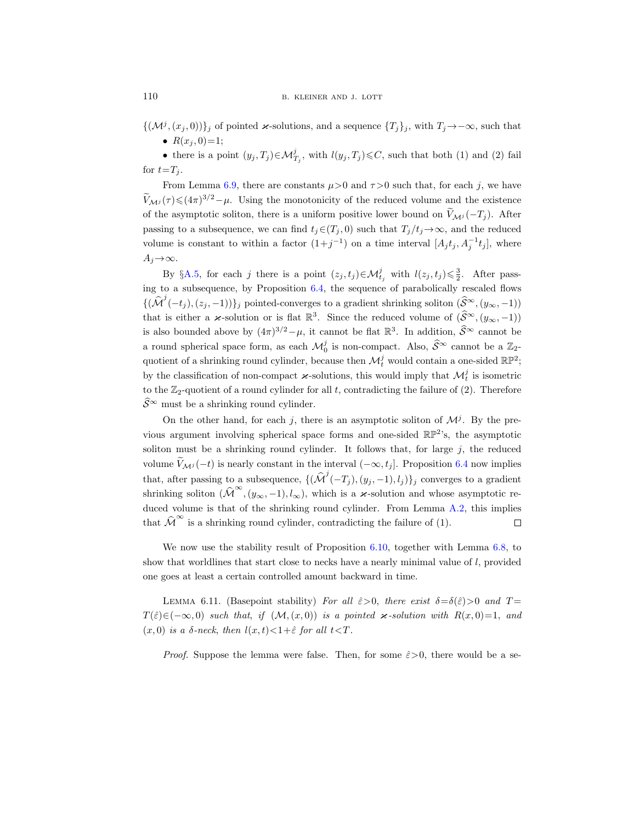$\{(\mathcal{M}^j,(x_j,0))\}_j$  of pointed  $\varkappa$ -solutions, and a sequence  $\{T_j\}_j$ , with  $T_j\to-\infty$ , such that •  $R(x_i, 0)=1;$ 

• there is a point  $(y_j, T_j) \in \mathcal{M}_{T_j}^j$ , with  $l(y_j, T_j) \leq C$ , such that both (1) and (2) fail for  $t=T_i$ .

From Lemma [6.9,](#page-44-2) there are constants  $\mu > 0$  and  $\tau > 0$  such that, for each j, we have  $\widetilde{V}_{\mathcal{M}^j}(\tau) \leq (4\pi)^{3/2}-\mu$ . Using the monotonicity of the reduced volume and the existence of the asymptotic soliton, there is a uniform positive lower bound on  $\tilde{V}_{Mj}(-T_j)$ . After passing to a subsequence, we can find  $t_i \in (T_i, 0)$  such that  $T_i/t_i \to \infty$ , and the reduced volume is constant to within a factor  $(1+j^{-1})$  on a time interval  $[A_j t_j, A_j^{-1} t_j]$ , where  $A_i \rightarrow \infty$ .

By §[A.5,](#page-54-1) for each j there is a point  $(z_j, t_j) \in \mathcal{M}_{t_j}^j$  with  $l(z_j, t_j) \leq \frac{3}{2}$ . After passing to a subsequence, by Proposition [6.4,](#page-42-1) the sequence of parabolically rescaled flows  $\{(\hat{\mathcal{M}}^{j}(-t_j),(z_j,-1))\}_j$  pointed-converges to a gradient shrinking soliton  $(\hat{\mathcal{S}}^{\infty},(y_{\infty},-1))$ that is either a  $\varkappa$ -solution or is flat  $\mathbb{R}^3$ . Since the reduced volume of  $(\widehat{\mathcal{S}}^{\infty},(y_{\infty},-1))$ is also bounded above by  $(4\pi)^{3/2} - \mu$ , it cannot be flat  $\mathbb{R}^3$ . In addition,  $\widehat{S}^{\infty}$  cannot be a round spherical space form, as each  $\mathcal{M}_0^j$  is non-compact. Also,  $\widehat{S}^{\infty}$  cannot be a  $\mathbb{Z}_2$ quotient of a shrinking round cylinder, because then  $\mathcal{M}_t^j$  would contain a one-sided  $\mathbb{RP}^2$ ; by the classification of non-compact  $\varkappa$ -solutions, this would imply that  $\mathcal{M}_t^j$  is isometric to the  $\mathbb{Z}_2$ -quotient of a round cylinder for all t, contradicting the failure of (2). Therefore  $\widehat{\mathcal{S}}^{\infty}$  must be a shrinking round cylinder.

On the other hand, for each j, there is an asymptotic soliton of  $\mathcal{M}^j$ . By the previous argument involving spherical space forms and one-sided  $\mathbb{RP}^2$ 's, the asymptotic soliton must be a shrinking round cylinder. It follows that, for large  $j$ , the reduced volume  $\widetilde{V}_{\mathcal{M}j}(-t)$  is nearly constant in the interval  $(-\infty, t_j]$ . Proposition [6.4](#page-42-1) now implies that, after passing to a subsequence,  $\{(\widehat{\mathcal{M}}^{j}(-T_j),(y_j,-1),l_j)\}_j$  converges to a gradient shrinking soliton  $(\widehat{\mathcal{M}}^{\infty},(y_{\infty},-1),l_{\infty}),$  which is a  $\varkappa$ -solution and whose asymptotic re-duced volume is that of the shrinking round cylinder. From Lemma [A.2,](#page-55-1) this implies that  $\widehat{\mathcal{M}}^{\infty}$  is a shrinking round cylinder, contradicting the failure of (1).  $\Box$ 

We now use the stability result of Proposition [6.10,](#page-44-1) together with Lemma [6.8,](#page-43-1) to show that worldlines that start close to necks have a nearly minimal value of  $l$ , provided one goes at least a certain controlled amount backward in time.

<span id="page-45-0"></span>LEMMA 6.11. (Basepoint stability) For all  $\hat{\varepsilon}>0$ , there exist  $\delta=\delta(\hat{\varepsilon})>0$  and  $T=$  $T(\hat{\varepsilon})\in(-\infty,0)$  such that, if  $(\mathcal{M},(x,0))$  is a pointed  $\varkappa$ -solution with  $R(x,0)=1$ , and (x, 0) is a  $\delta$ -neck, then  $l(x, t) < 1 + \hat{\varepsilon}$  for all  $t < T$ .

*Proof.* Suppose the lemma were false. Then, for some  $\hat{\varepsilon} > 0$ , there would be a se-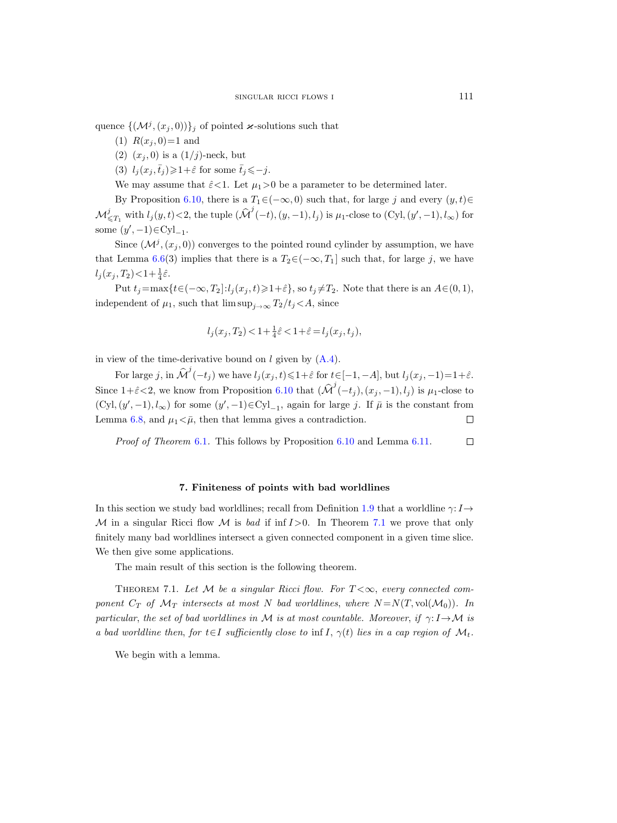quence  ${(\mathcal{M}^j,(x_j,0))}_j$  of pointed  $\varkappa$ -solutions such that

- (1)  $R(x_i, 0)=1$  and
- (2)  $(x_i, 0)$  is a  $(1/j)$ -neck, but
- (3)  $l_i(x_i, \bar{t}_i) \geq 1+\hat{\varepsilon}$  for some  $\bar{t}_i \leq -j$ .

We may assume that  $\hat{\varepsilon} < 1$ . Let  $\mu_1 > 0$  be a parameter to be determined later.

By Proposition [6.10,](#page-44-1) there is a  $T_1 \in (-\infty, 0)$  such that, for large j and every  $(y, t) \in$  $\mathcal{M}^j_{\leq T_1}$  with  $l_j(y, t) < 2$ , the tuple  $(\widehat{\mathcal{M}}^j(-t), (y, -1), l_j)$  is  $\mu_1$ -close to  $(Cyl, (y', -1), l_\infty)$  for some  $(y', -1) \in Cyl_{-1}$ .

Since  $(\mathcal{M}^j,(x_j,0))$  converges to the pointed round cylinder by assumption, we have that Lemma [6.6\(](#page-43-2)3) implies that there is a  $T_2 \in (-\infty, T_1]$  such that, for large j, we have  $l_j(x_j, T_2) < 1 + \frac{1}{4}\hat{\varepsilon}.$ 

Put  $t_j=\max\{t\in(-\infty,T_2]:l_j(x_j,t)\geqslant 1+\hat{\varepsilon}\}$ , so  $t_j\neq T_2$ . Note that there is an  $A\in(0,1),$ independent of  $\mu_1$ , such that  $\limsup_{i\to\infty} T_2/t_i < A$ , since

$$
l_j(x_j, T_2) < 1 + \frac{1}{4}\hat{\varepsilon} < 1 + \hat{\varepsilon} = l_j(x_j, t_j),
$$

in view of the time-derivative bound on  $l$  given by  $(A.4)$ .

For large j, in  $\widehat{\mathcal{M}}^{j}(-t_j)$  we have  $l_j(x_j, t) \leq 1+\hat{\varepsilon}$  for  $t \in [-1, -A]$ , but  $l_j(x_j, -1)=1+\hat{\varepsilon}$ . Since  $1+\hat{\varepsilon} < 2$ , we know from Proposition [6.10](#page-44-1) that  $(\widehat{\mathcal{M}}^j(-t_j), (x_j, -1), l_j)$  is  $\mu_1$ -close to  $(Cyl, (y', -1), l_{\infty})$  for some  $(y', -1) \in Cyl_{-1}$ , again for large j. If  $\bar{\mu}$  is the constant from Lemma [6.8,](#page-43-1) and  $\mu_1 < \bar{\mu}$ , then that lemma gives a contradiction.  $\Box$ 

Proof of Theorem [6.1](#page-41-2). This follows by Proposition [6.10](#page-44-1) and Lemma [6.11.](#page-45-0)  $\Box$ 

#### 7. Finiteness of points with bad worldlines

<span id="page-46-0"></span>In this section we study bad worldlines; recall from Definition [1.9](#page-8-2) that a worldline  $\gamma: I \rightarrow$ M in a singular Ricci flow M is bad if inf  $I > 0$ . In Theorem [7.1](#page-46-1) we prove that only finitely many bad worldlines intersect a given connected component in a given time slice. We then give some applications.

The main result of this section is the following theorem.

<span id="page-46-1"></span>THEOREM 7.1. Let M be a singular Ricci flow. For  $T < \infty$ , every connected component  $C_T$  of  $\mathcal{M}_T$  intersects at most N bad worldlines, where  $N = N(T, \text{vol}(\mathcal{M}_0))$ . In particular, the set of bad worldlines in M is at most countable. Moreover, if  $\gamma: I \rightarrow M$  is a bad worldline then, for  $t \in I$  sufficiently close to inf I,  $\gamma(t)$  lies in a cap region of  $\mathcal{M}_t$ .

We begin with a lemma.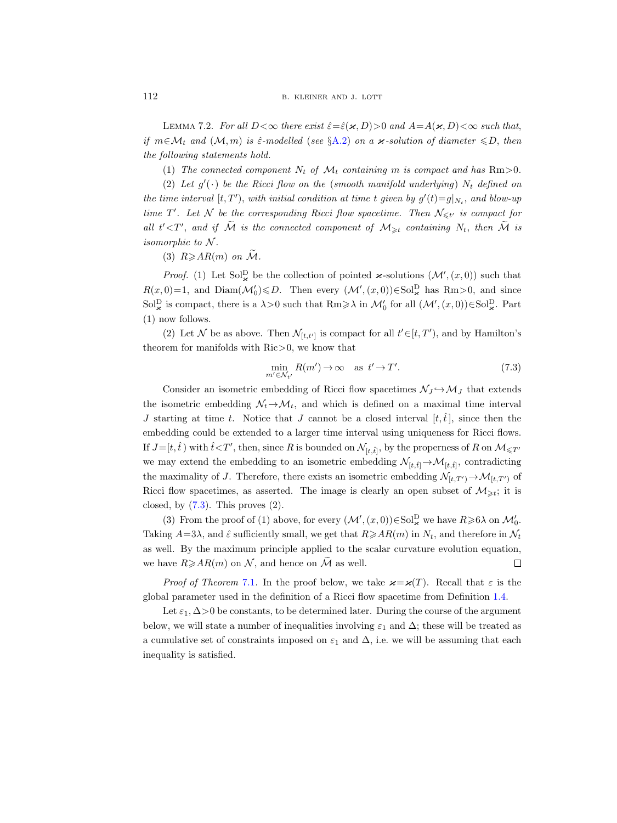<span id="page-47-1"></span>LEMMA 7.2. For all  $D<\infty$  there exist  $\hat{\epsilon}=\hat{\epsilon}(\varkappa,D)>0$  and  $A=A(\varkappa,D)<\infty$  such that, if  $m \in \mathcal{M}_t$  and  $(\mathcal{M}, m)$  is  $\hat{\varepsilon}$ -modelled (see §[A.2\)](#page-52-2) on a  $\varkappa$ -solution of diameter  $\leq D$ , then the following statements hold.

(1) The connected component  $N_t$  of  $\mathcal{M}_t$  containing m is compact and has  $Rm>0$ .

(2) Let  $g'(\cdot)$  be the Ricci flow on the (smooth manifold underlying)  $N_t$  defined on the time interval  $[t, T')$ , with initial condition at time t given by  $g'(t) = g|_{N_t}$ , and blow-up time T'. Let N be the corresponding Ricci flow spacetime. Then  $\mathcal{N}_{\leq t'}$  is compact for all  $t' < T'$ , and if  $\tilde{M}$  is the connected component of  $M_{\geq t}$  containing  $N_t$ , then  $\tilde{M}$  is isomorphic to  $N$ .

(3)  $R \geqslant AR(m)$  on  $\widetilde{\mathcal{M}}$ .

*Proof.* (1) Let Sol<sub>2</sub> be the collection of pointed  $\boldsymbol{\varkappa}$ -solutions  $(\mathcal{M}', (x, 0))$  such that  $R(x,0)=1$ , and  $Diam(M_0') \le D$ . Then every  $(M', (x, 0)) \in Sol_{\varkappa}^D$  has  $Rm>0$ , and since Sol<sup>D</sup><sub>x</sub></sub> is compact, there is a  $\lambda > 0$  such that  $\text{Rm} \geq \lambda$  in  $\mathcal{M}'_0$  for all  $(\mathcal{M}', (x, 0)) \in \text{Sol}^{\text{D}}_{\mathbf{x}}$ . Part (1) now follows.

(2) Let N be as above. Then  $\mathcal{N}_{[t,t']}$  is compact for all  $t' \in [t, T'$ , and by Hamilton's theorem for manifolds with Ric>0, we know that

<span id="page-47-0"></span>
$$
\min_{m' \in \mathcal{N}_{t'}} R(m') \to \infty \quad \text{as } t' \to T'. \tag{7.3}
$$

Consider an isometric embedding of Ricci flow spacetimes  $\mathcal{N}_J \hookrightarrow \mathcal{M}_J$  that extends the isometric embedding  $\mathcal{N}_t \rightarrow \mathcal{M}_t$ , and which is defined on a maximal time interval J starting at time t. Notice that J cannot be a closed interval  $[t, \hat{t}]$ , since then the embedding could be extended to a larger time interval using uniqueness for Ricci flows. If  $J=[t,\hat{t})$  with  $\hat{t} < T'$ , then, since R is bounded on  $\mathcal{N}_{[t,\hat{t}]}$ , by the properness of R on  $\mathcal{M}_{\leq T'}$ we may extend the embedding to an isometric embedding  $\mathcal{N}_{[t,\hat{t}]} \to \mathcal{M}_{[t,\hat{t}]}$ , contradicting the maximality of J. Therefore, there exists an isometric embedding  $\mathcal{N}_{[t,T')} \to \mathcal{M}_{[t,T']}$  of Ricci flow spacetimes, as asserted. The image is clearly an open subset of  $\mathcal{M}_{\geq t}$ ; it is closed, by  $(7.3)$ . This proves  $(2)$ .

(3) From the proof of (1) above, for every  $(\mathcal{M}', (x, 0)) \in Sol^D_{\varkappa}$  we have  $R \ge 6\lambda$  on  $\mathcal{M}'_0$ . Taking  $A=3\lambda$ , and  $\hat{\varepsilon}$  sufficiently small, we get that  $R\geqslant AR(m)$  in  $N_t$ , and therefore in  $\mathcal{N}_t$ as well. By the maximum principle applied to the scalar curvature evolution equation, we have  $R \geq A R(m)$  on N, and hence on  $\tilde{M}$  as well.  $\Box$ 

*Proof of Theorem* [7.1](#page-46-1). In the proof below, we take  $\varkappa = \varkappa(T)$ . Recall that  $\varepsilon$  is the global parameter used in the definition of a Ricci flow spacetime from Definition [1.4.](#page-5-0)

Let  $\varepsilon_1$ ,  $\Delta$  > 0 be constants, to be determined later. During the course of the argument below, we will state a number of inequalities involving  $\varepsilon_1$  and  $\Delta$ ; these will be treated as a cumulative set of constraints imposed on  $\varepsilon_1$  and  $\Delta$ , i.e. we will be assuming that each inequality is satisfied.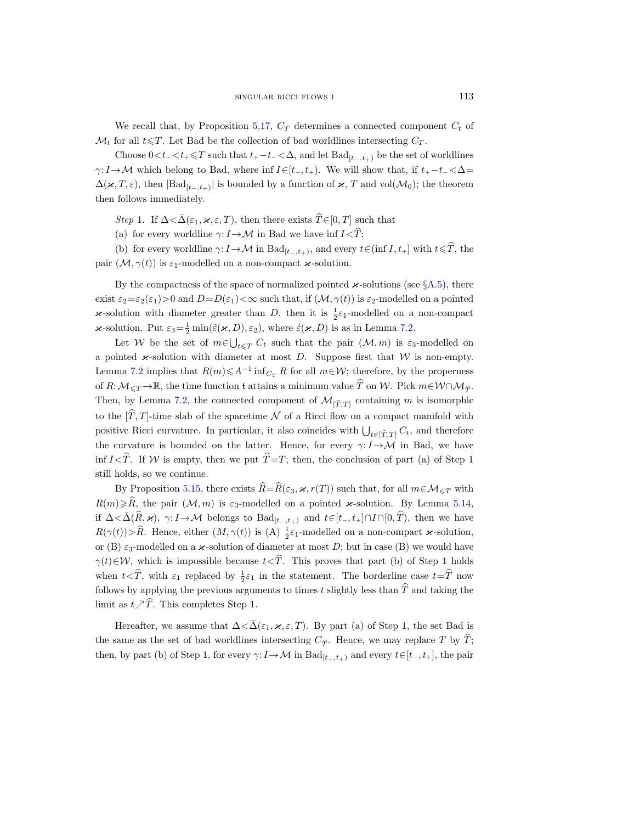We recall that, by Proposition [5.17,](#page-38-0)  $C_T$  determines a connected component  $C_t$  of  $\mathcal{M}_t$  for all  $t \leq T$ . Let Bad be the collection of bad worldlines intersecting  $C_T$ .

Choose  $0 < t_{-} < t_{+} \leq T$  such that  $t_{+} - t_{-} < \Delta$ , and let  $Bad_{[t_{-},t_{+})}$  be the set of worldlines  $\gamma: I \to M$  which belong to Bad, where inf  $I \in [t_-, t_+).$  We will show that, if  $t_+ - t_- < \Delta =$  $\Delta(\varkappa, T, \varepsilon)$ , then  $|\text{Bad}_{[t_-,t_+)}|$  is bounded by a function of  $\varkappa$ , T and vol $(\mathcal{M}_0)$ ; the theorem then follows immediately.

Step 1. If  $\Delta < \bar{\Delta}(\varepsilon_1, \varkappa, \varepsilon, T)$ , then there exists  $\widehat{T} \in [0, T]$  such that

(a) for every worldline  $\gamma: I \to \mathcal{M}$  in Bad we have inf  $I \leq \hat{T}$ ;

(b) for every worldline  $\gamma: I \to \mathcal{M}$  in  $\text{Bad}_{[t_-,t_+)}$ , and every  $t \in (\text{inf } I, t_+]$  with  $t \leq \widehat{T}$ , the pair  $(\mathcal{M}, \gamma(t))$  is  $\varepsilon_1$ -modelled on a non-compact  $\varkappa$ -solution.

By the compactness of the space of normalized pointed  $\varkappa$ -solutions (see §[A.5\)](#page-54-1), there exist  $\varepsilon_2 = \varepsilon_2(\varepsilon_1) > 0$  and  $D = D(\varepsilon_1) < \infty$  such that, if  $(M, \gamma(t))$  is  $\varepsilon_2$ -modelled on a pointed  $\varkappa$ **-solution** with diameter greater than D, then it is  $\frac{1}{2}\varepsilon_1$ -modelled on a non-compact  $\varkappa$ **-solution.** Put  $\varepsilon_3 = \frac{1}{2} \min(\hat{\varepsilon}(\varkappa, D), \varepsilon_2)$ , where  $\hat{\varepsilon}(\varkappa, D)$  is as in Lemma [7.2.](#page-47-1)

Let W be the set of  $m \in \bigcup_{t \leq T} C_t$  such that the pair  $(\mathcal{M}, m)$  is  $\varepsilon_3$ -modelled on a pointed  $\varkappa$ -solution with diameter at most D. Suppose first that W is non-empty. Lemma [7.2](#page-47-1) implies that  $R(m) \leq A^{-1} \inf_{C_T} R$  for all  $m \in W$ ; therefore, by the properness of R:  $M_{\leq T} \to \mathbb{R}$ , the time function t attains a minimum value  $\hat{T}$  on W. Pick  $m \in \mathcal{W} \cap \mathcal{M}_{\hat{T}}$ . Then, by Lemma [7.2,](#page-47-1) the connected component of  $\mathcal{M}_{[\hat{T},T]}$  containing m is isomorphic to the  $[\hat{T}, T]$ -time slab of the spacetime N of a Ricci flow on a compact manifold with positive Ricci curvature. In particular, it also coincides with  $\bigcup_{t\in[\hat{T},T]} C_t$ , and therefore the curvature is bounded on the latter. Hence, for every  $\gamma: I \rightarrow M$  in Bad, we have inf  $I \leq \hat{T}$ . If W is empty, then we put  $\hat{T}=T$ ; then, the conclusion of part (a) of Step 1 still holds, so we continue.

By Proposition [5.15,](#page-37-1) there exists  $\widehat{R}=\widehat{R}(\varepsilon_3, \varkappa, r(T))$  such that, for all  $m\in\mathcal{M}_{\leq T}$  with  $R(m)\geqslant\widehat{R}$ , the pair  $(\mathcal{M}, m)$  is  $\varepsilon_3$ -modelled on a pointed  $\varkappa$ -solution. By Lemma [5.14,](#page-36-0) if  $\Delta < \bar{\Delta}(\widehat{R}, \varkappa)$ ,  $\gamma: I \to M$  belongs to  $\text{Bad}_{[t_-, t_+)}$  and  $t \in [t_-, t_+] \cap I \cap [0, \widehat{T})$ , then we have  $R(\gamma(t)) > \widehat{R}$ . Hence, either  $(M, \gamma(t))$  is  $(A) \frac{1}{2} \varepsilon_1$ -modelled on a non-compact  $\varkappa$ -solution, or (B)  $\varepsilon_3$ -modelled on a  $\varkappa$ -solution of diameter at most D; but in case (B) we would have  $\gamma(t) \in \mathcal{W}$ , which is impossible because  $t < \hat{T}$ . This proves that part (b) of Step 1 holds when  $t < \widehat{T}$ , with  $\varepsilon_1$  replaced by  $\frac{1}{2}\varepsilon_1$  in the statement. The borderline case  $t=\widehat{T}$  now follows by applying the previous arguments to times t slightly less than  $\hat{T}$  and taking the limit as  $t \nearrow \hat{T}$ . This completes Step 1.

Hereafter, we assume that  $\Delta < \bar{\Delta}(\varepsilon_1, \varkappa, \varepsilon, T)$ . By part (a) of Step 1, the set Bad is the same as the set of bad worldlines intersecting  $C_{\hat{\tau}}$ . Hence, we may replace T by  $\hat{T}$ ; then, by part (b) of Step 1, for every  $\gamma: I \to \mathcal{M}$  in  $Bad_{[t_-, t_+)}$  and every  $t \in [t_-, t_+]$ , the pair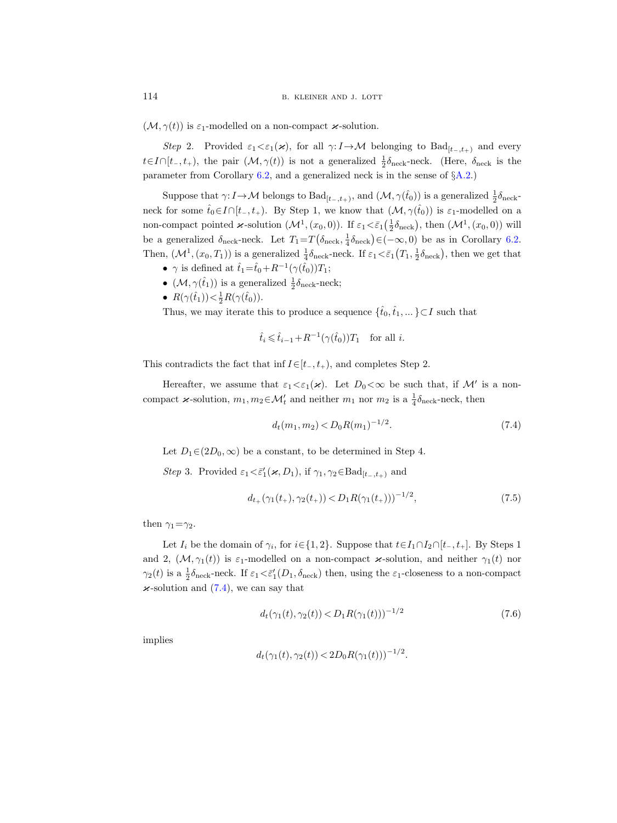$(\mathcal{M}, \gamma(t))$  is  $\varepsilon_1$ -modelled on a non-compact  $\varkappa$ -solution.

Step 2. Provided  $\varepsilon_1 < \varepsilon_1(\varkappa)$ , for all  $\gamma: I \to M$  belonging to Bad<sub>[t-,t+)</sub> and every t∈I∩[t<sub>-</sub>, t<sub>+</sub>), the pair  $(M, \gamma(t))$  is not a generalized  $\frac{1}{2}\delta_{\text{neck}}$ -neck. (Here,  $\delta_{\text{neck}}$  is the parameter from Corollary [6.2,](#page-41-3) and a generalized neck is in the sense of §[A.2.](#page-52-2))

Suppose that  $\gamma: I \to \mathcal{M}$  belongs to  $Bad_{[t_-,t_+)}$ , and  $(\mathcal{M}, \gamma(\hat{t}_0))$  is a generalized  $\frac{1}{2}\delta_{\text{neck}}$ neck for some  $\hat{t}_0 \in I \cap [t_-, t_+).$  By Step 1, we know that  $(\mathcal{M}, \gamma(\hat{t}_0))$  is  $\varepsilon_1$ -modelled on a non-compact pointed  $\varkappa$ -solution  $(\mathcal{M}^1,(x_0,0))$ . If  $\varepsilon_1 \leq \bar{\varepsilon}_1(\frac{1}{2}\delta_{\text{neck}})$ , then  $(\mathcal{M}^1,(x_0,0))$  will be a generalized  $\delta_{\text{neck}}$ -neck. Let  $T_1 = T(\delta_{\text{neck}}, \frac{1}{4}\delta_{\text{neck}}) \in (-\infty, 0)$  be as in Corollary [6.2.](#page-41-3) Then,  $(\mathcal{M}^1,(x_0,T_1))$  is a generalized  $\frac{1}{4}\delta_{\text{neck}}$ -neck. If  $\varepsilon_1 \leq \bar{\varepsilon}_1(T_1,\frac{1}{2}\delta_{\text{neck}})$ , then we get that

- $\gamma$  is defined at  $\hat{t}_1 = \hat{t}_0 + R^{-1}(\gamma(\hat{t}_0))T_1$ ;
- $(\mathcal{M}, \gamma(\hat{t}_1))$  is a generalized  $\frac{1}{2}\delta_{\text{neck}}$ -neck;
- $R(\gamma(\hat{t}_1)) < \frac{1}{2}R(\gamma(\hat{t}_0)).$

Thus, we may iterate this to produce a sequence  $\{\hat{t}_0,\hat{t}_1,\dots\}\!\subset\!I$  such that

$$
\hat{t}_i \leq \hat{t}_{i-1} + R^{-1}(\gamma(\hat{t}_0))T_1
$$
 for all *i*.

This contradicts the fact that inf  $I\in[t_-, t_+),$  and completes Step 2.

Hereafter, we assume that  $\varepsilon_1 < \varepsilon_1(\varkappa)$ . Let  $D_0 < \infty$  be such that, if M' is a noncompact  $\varkappa$ -solution,  $m_1, m_2 \in \mathcal{M}'_t$  and neither  $m_1$  nor  $m_2$  is a  $\frac{1}{4} \delta_{\text{neck}}$ -neck, then

<span id="page-49-0"></span>
$$
d_t(m_1, m_2) < D_0 R(m_1)^{-1/2}.\tag{7.4}
$$

Let  $D_1 \in (2D_0, \infty)$  be a constant, to be determined in Step 4.

Step 3. Provided  $\varepsilon_1 < \bar{\varepsilon}'_1(\varkappa, D_1)$ , if  $\gamma_1, \gamma_2 \in \text{Bad}_{[t_-,t_+)}$  and

<span id="page-49-1"></span>
$$
d_{t_{+}}(\gamma_{1}(t_{+}), \gamma_{2}(t_{+})) < D_{1}R(\gamma_{1}(t_{+})))^{-1/2}, \qquad (7.5)
$$

then  $\gamma_1 = \gamma_2$ .

Let  $I_i$  be the domain of  $\gamma_i$ , for  $i \in \{1, 2\}$ . Suppose that  $t \in I_1 \cap I_2 \cap [t_-, t_+]$ . By Steps 1 and 2,  $(M, \gamma_1(t))$  is  $\varepsilon_1$ -modelled on a non-compact  $\varkappa$ -solution, and neither  $\gamma_1(t)$  nor  $\gamma_2(t)$  is a  $\frac{1}{2}\delta_{\text{neck}}$ -neck. If  $\varepsilon_1 < \bar{\varepsilon}'_1(D_1, \delta_{\text{neck}})$  then, using the  $\varepsilon_1$ -closeness to a non-compact  $\varkappa$ -solution and [\(7.4\)](#page-49-0), we can say that

<span id="page-49-2"></span>
$$
d_t(\gamma_1(t), \gamma_2(t)) < D_1 R(\gamma_1(t)))^{-1/2} \tag{7.6}
$$

implies

$$
d_t(\gamma_1(t), \gamma_2(t)) < 2D_0 R(\gamma_1(t)))^{-1/2}.
$$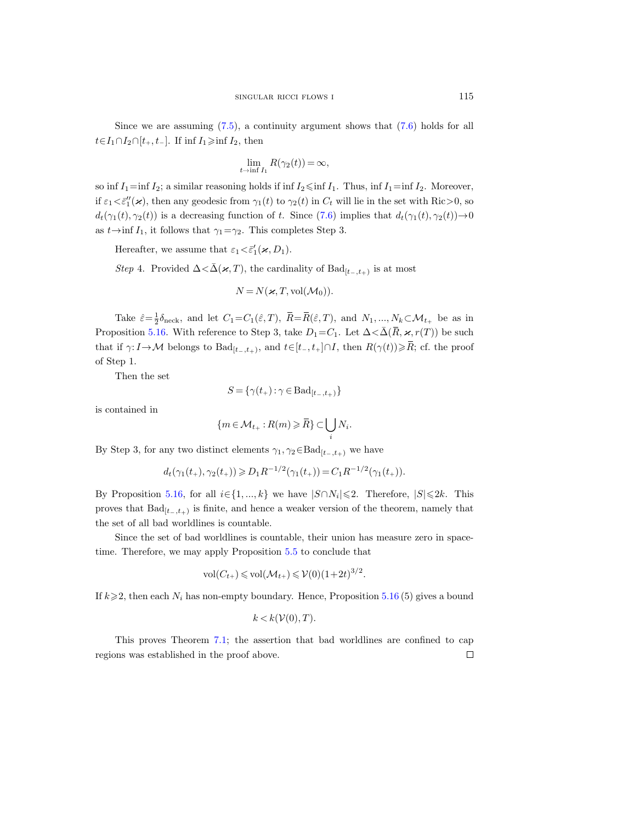Since we are assuming  $(7.5)$ , a continuity argument shows that  $(7.6)$  holds for all  $t \in I_1 \cap I_2 \cap [t_+, t_-]$ . If inf  $I_1 \ge \inf I_2$ , then

$$
\lim_{t \to \inf I_1} R(\gamma_2(t)) = \infty,
$$

so inf  $I_1$ =inf  $I_2$ ; a similar reasoning holds if inf  $I_2 \leq \inf I_1$ . Thus, inf  $I_1$ =inf  $I_2$ . Moreover, if  $\varepsilon_1 < \bar{\varepsilon}_1''(\varkappa)$ , then any geodesic from  $\gamma_1(t)$  to  $\gamma_2(t)$  in  $C_t$  will lie in the set with Ric > 0, so  $d_t(\gamma_1(t), \gamma_2(t))$  is a decreasing function of t. Since [\(7.6\)](#page-49-2) implies that  $d_t(\gamma_1(t), \gamma_2(t)) \rightarrow 0$ as  $t \rightarrow \inf I_1$ , it follows that  $\gamma_1 = \gamma_2$ . This completes Step 3.

Hereafter, we assume that  $\varepsilon_1 < \bar{\varepsilon}'_1(\varkappa, D_1)$ .

Step 4. Provided  $\Delta < \bar{\Delta}(\varkappa, T)$ , the cardinality of  $\text{Bad}_{[t_-,t_+)}$  is at most

$$
N = N(\varkappa, T, \text{vol}(\mathcal{M}_0)).
$$

Take  $\hat{\varepsilon} = \frac{1}{2} \delta_{\text{neck}}$ , and let  $C_1 = C_1(\hat{\varepsilon}, T)$ ,  $\overline{R} = \overline{R}(\hat{\varepsilon}, T)$ , and  $N_1, ..., N_k \subset \mathcal{M}_{t_+}$  be as in Proposition [5.16.](#page-37-0) With reference to Step 3, take  $D_1 = C_1$ . Let  $\Delta < \bar{\Delta}(\bar{R}, \varkappa, r(T))$  be such that if  $\gamma: I \to \mathcal{M}$  belongs to  $\text{Bad}_{[t_-,t_+)}$ , and  $t \in [t_-, t_+] \cap I$ , then  $R(\gamma(t)) \geq \overline{R}$ ; cf. the proof of Step 1.

Then the set

$$
S = \{ \gamma(t_+) : \gamma \in \text{Bad}_{[t_-,t_+)} \}
$$

is contained in

$$
\{m\,{\in}\,\mathcal{M}_{t_{+}}\,{:}\,R(m)\,{\geqslant}\,\bar{R}\}\,{\subset}\bigcup_{i}N_{i}.
$$

By Step 3, for any two distinct elements  $\gamma_1, \gamma_2 \in \text{Bad}_{[t_-,t_+)}$  we have

$$
d_t(\gamma_1(t_+), \gamma_2(t_+)) \geq D_1 R^{-1/2}(\gamma_1(t_+)) = C_1 R^{-1/2}(\gamma_1(t_+)).
$$

By Proposition [5.16,](#page-37-0) for all  $i \in \{1, ..., k\}$  we have  $|S \cap N_i| \leq 2$ . Therefore,  $|S| \leq 2k$ . This proves that  $Bad_{[t_-,t_+)}$  is finite, and hence a weaker version of the theorem, namely that the set of all bad worldlines is countable.

Since the set of bad worldlines is countable, their union has measure zero in spacetime. Therefore, we may apply Proposition [5.5](#page-33-0) to conclude that

$$
\text{vol}(C_{t+}) \leq \text{vol}(\mathcal{M}_{t+}) \leq \mathcal{V}(0)(1+2t)^{3/2}.
$$

If  $k \geqslant 2$ , then each  $N_i$  has non-empty boundary. Hence, Proposition [5.16](#page-37-0) (5) gives a bound

$$
k < k(\mathcal{V}(0), T).
$$

This proves Theorem [7.1;](#page-46-1) the assertion that bad worldlines are confined to cap regions was established in the proof above. $\Box$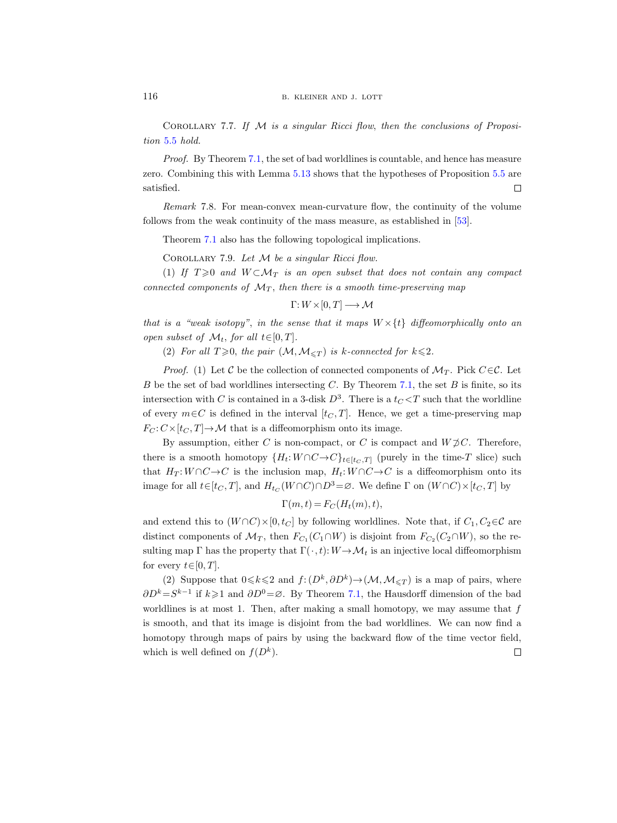<span id="page-51-0"></span>Corollary 7.7. If M is a singular Ricci flow, then the conclusions of Proposition [5.5](#page-33-0) hold.

Proof. By Theorem [7.1,](#page-46-1) the set of bad worldlines is countable, and hence has measure zero. Combining this with Lemma [5.13](#page-35-1) shows that the hypotheses of Proposition [5.5](#page-33-0) are satisfied.  $\Box$ 

Remark 7.8. For mean-convex mean-curvature flow, the continuity of the volume follows from the weak continuity of the mass measure, as established in [\[53\]](#page-67-21).

Theorem [7.1](#page-46-1) also has the following topological implications.

COROLLARY 7.9. Let  $M$  be a singular Ricci flow.

(1) If  $T \geq 0$  and  $W \subset \mathcal{M}_T$  is an open subset that does not contain any compact connected components of  $\mathcal{M}_T$ , then there is a smooth time-preserving map

$$
\Gamma: W \times [0, T] \longrightarrow \mathcal{M}
$$

that is a "weak isotopy", in the sense that it maps  $W \times \{t\}$  diffeomorphically onto an open subset of  $\mathcal{M}_t$ , for all  $t \in [0, T]$ .

(2) For all  $T \geq 0$ , the pair  $(\mathcal{M}, \mathcal{M}_{\leq T})$  is k-connected for  $k \leq 2$ .

*Proof.* (1) Let C be the collection of connected components of  $\mathcal{M}_T$ . Pick  $C \in \mathcal{C}$ . Let B be the set of bad worldlines intersecting C. By Theorem [7.1,](#page-46-1) the set B is finite, so its intersection with C is contained in a 3-disk  $D^3$ . There is a  $t<sub>C</sub> < T$  such that the worldline of every  $m \in C$  is defined in the interval  $[t<sub>C</sub>, T]$ . Hence, we get a time-preserving map  $F_C: C\times [t_C, T] \to \mathcal{M}$  that is a diffeomorphism onto its image.

By assumption, either C is non-compact, or C is compact and  $W \not\supset C$ . Therefore, there is a smooth homotopy  $\{H_t: W \cap C \to C\}_{t \in [t_C, T]}$  (purely in the time-T slice) such that  $H_T: W \cap C \to C$  is the inclusion map,  $H_t: W \cap C \to C$  is a diffeomorphism onto its image for all  $t \in [t_C, T]$ , and  $H_{t_C}(W \cap C) \cap D^3 = \varnothing$ . We define  $\Gamma$  on  $(W \cap C) \times [t_C, T]$  by

$$
\Gamma(m,t) = F_C(H_t(m),t),
$$

and extend this to  $(W \cap C) \times [0, t_C]$  by following worldlines. Note that, if  $C_1, C_2 \in \mathcal{C}$  are distinct components of  $\mathcal{M}_T$ , then  $F_{C_1}(C_1 \cap W)$  is disjoint from  $F_{C_2}(C_2 \cap W)$ , so the resulting map Γ has the property that  $\Gamma(\cdot,t): W \to \mathcal{M}_t$  is an injective local diffeomorphism for every  $t \in [0, T]$ .

(2) Suppose that  $0 \le k \le 2$  and  $f: (D^k, \partial D^k) \to (\mathcal{M}, \mathcal{M}_{\le T})$  is a map of pairs, where  $\partial D^k = S^{k-1}$  if  $k \geqslant 1$  and  $\partial D^0 = \emptyset$ . By Theorem [7.1,](#page-46-1) the Hausdorff dimension of the bad worldlines is at most 1. Then, after making a small homotopy, we may assume that  $f$ is smooth, and that its image is disjoint from the bad worldlines. We can now find a homotopy through maps of pairs by using the backward flow of the time vector field, which is well defined on  $f(D^k)$ .  $\Box$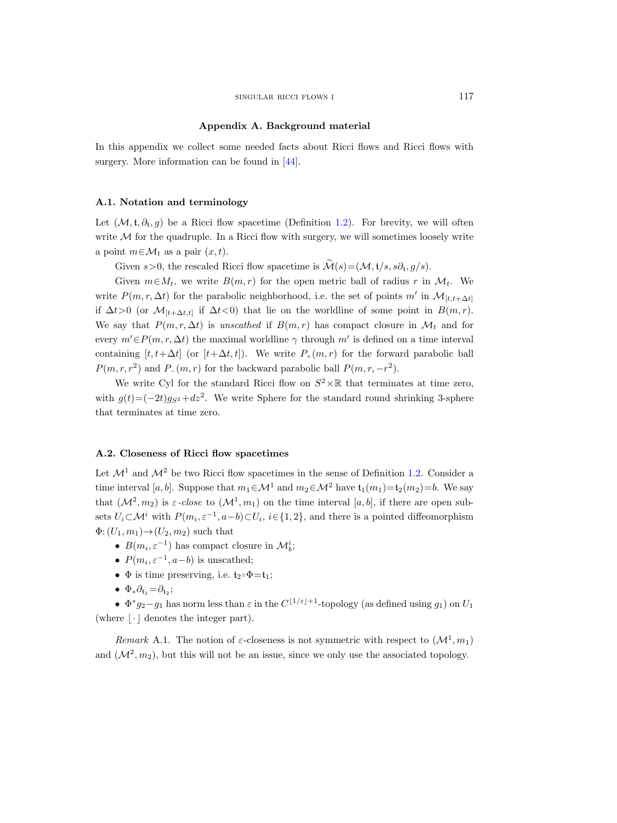#### Appendix A. Background material

<span id="page-52-0"></span>In this appendix we collect some needed facts about Ricci flows and Ricci flows with surgery. More information can be found in [\[44\]](#page-67-10).

#### <span id="page-52-1"></span>A.1. Notation and terminology

Let  $(\mathcal{M}, \mathfrak{t}, \partial_{\mathfrak{t}}, g)$  be a Ricci flow spacetime (Definition [1.2\)](#page-4-1). For brevity, we will often write  $M$  for the quadruple. In a Ricci flow with surgery, we will sometimes loosely write a point  $m \in \mathcal{M}_t$  as a pair  $(x, t)$ .

Given  $s > 0$ , the rescaled Ricci flow spacetime is  $\mathcal{M}(s) = (\mathcal{M}, t/s, s\partial_t, g/s)$ .

Given  $m \in M_t$ , we write  $B(m, r)$  for the open metric ball of radius r in  $M_t$ . We write  $P(m, r, \Delta t)$  for the parabolic neighborhood, i.e. the set of points m' in  $\mathcal{M}_{[t,t+\Delta t]}$ if  $\Delta t > 0$  (or  $\mathcal{M}_{[t+\Delta t,t]}$  if  $\Delta t < 0$ ) that lie on the worldline of some point in  $B(m,r)$ . We say that  $P(m, r, \Delta t)$  is unscathed if  $B(m, r)$  has compact closure in  $\mathcal{M}_t$  and for every  $m' \in P(m, r, \Delta t)$  the maximal worldline  $\gamma$  through m' is defined on a time interval containing  $[t, t+\Delta t]$  (or  $[t+\Delta t, t]$ ). We write  $P_+(m, r)$  for the forward parabolic ball  $P(m, r, r^2)$  and  $P_{-}(m, r)$  for the backward parabolic ball  $P(m, r, -r^2)$ .

We write Cyl for the standard Ricci flow on  $S^2 \times \mathbb{R}$  that terminates at time zero, with  $g(t) = (-2t)g_{S^2} + dz^2$ . We write Sphere for the standard round shrinking 3-sphere that terminates at time zero.

# <span id="page-52-2"></span>A.2. Closeness of Ricci flow spacetimes

Let  $\mathcal{M}^1$  and  $\mathcal{M}^2$  be two Ricci flow spacetimes in the sense of Definition [1.2.](#page-4-1) Consider a time interval [a, b]. Suppose that  $m_1 \in \mathcal{M}^1$  and  $m_2 \in \mathcal{M}^2$  have  $\mathfrak{t}_1(m_1) = \mathfrak{t}_2(m_2) = b$ . We say that  $(\mathcal{M}^2, m_2)$  is  $\varepsilon$ -close to  $(\mathcal{M}^1, m_1)$  on the time interval  $[a, b]$ , if there are open subsets  $U_i \subset \mathcal{M}^i$  with  $P(m_i, \varepsilon^{-1}, a-b) \subset U_i$ ,  $i \in \{1, 2\}$ , and there is a pointed diffeomorphism  $\Phi: (U_1, m_1) \rightarrow (U_2, m_2)$  such that

- $B(m_i, \varepsilon^{-1})$  has compact closure in  $\mathcal{M}_b^i$ ;
- $P(m_i, \varepsilon^{-1}, a-b)$  is unscathed;
- $\Phi$  is time preserving, i.e.  $t_2 \circ \Phi = t_1$ ;
- $\Phi_* \partial_{\mathfrak{t}_1} = \partial_{\mathfrak{t}_2};$

•  $\Phi^* g_2 - g_1$  has norm less than  $\varepsilon$  in the  $C^{\lfloor 1/\varepsilon \rfloor + 1}$ -topology (as defined using  $g_1$ ) on  $U_1$ (where  $|\cdot|$  denotes the integer part).

Remark A.1. The notion of  $\varepsilon$ -closeness is not symmetric with respect to  $(\mathcal{M}^1, m_1)$ and  $(\mathcal{M}^2, m_2)$ , but this will not be an issue, since we only use the associated topology.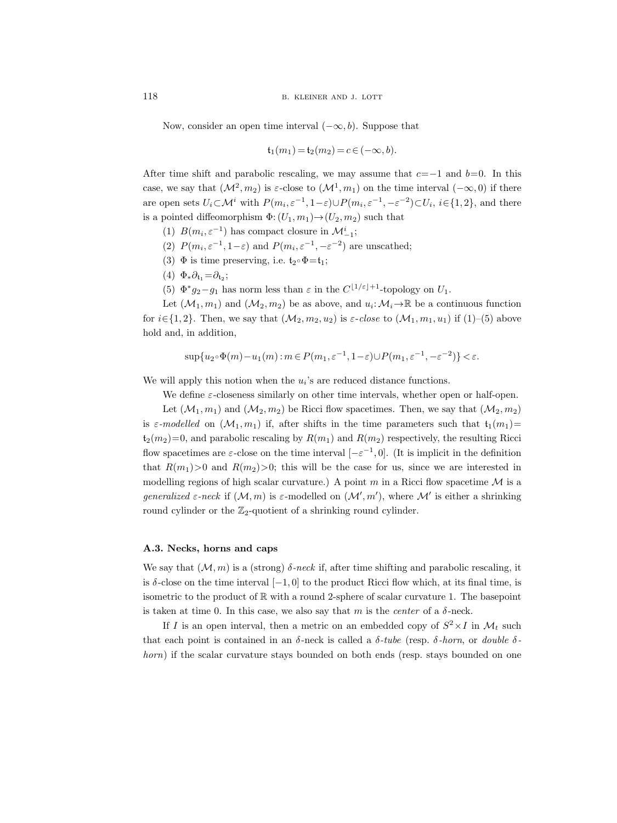Now, consider an open time interval  $(-\infty, b)$ . Suppose that

$$
\mathfrak{t}_1(m_1) = \mathfrak{t}_2(m_2) = c \in (-\infty, b).
$$

After time shift and parabolic rescaling, we may assume that  $c=-1$  and  $b=0$ . In this case, we say that  $(\mathcal{M}^2, m_2)$  is  $\varepsilon$ -close to  $(\mathcal{M}^1, m_1)$  on the time interval  $(-\infty, 0)$  if there are open sets  $U_i \subset \mathcal{M}^i$  with  $P(m_i, \varepsilon^{-1}, 1-\varepsilon) \cup P(m_i, \varepsilon^{-1}, -\varepsilon^{-2}) \subset U_i$ ,  $i \in \{1, 2\}$ , and there is a pointed diffeomorphism  $\Phi$ :  $(U_1, m_1) \rightarrow (U_2, m_2)$  such that

- (1)  $B(m_i, \varepsilon^{-1})$  has compact closure in  $\mathcal{M}_{-1}^i$ ;
- (2)  $P(m_i, \varepsilon^{-1}, 1-\varepsilon)$  and  $P(m_i, \varepsilon^{-1}, -\varepsilon^{-2})$  are unscathed;
- (3)  $\Phi$  is time preserving, i.e.  $t_2 \circ \Phi = t_1$ ;
- $(4) \Phi_* \partial_{\mathfrak{t}_1} = \partial_{\mathfrak{t}_2};$
- (5)  $\Phi^* g_2 g_1$  has norm less than  $\varepsilon$  in the  $C^{\lfloor 1/\varepsilon \rfloor + 1}$ -topology on  $U_1$ .

Let  $(\mathcal{M}_1, m_1)$  and  $(\mathcal{M}_2, m_2)$  be as above, and  $u_i: \mathcal{M}_i \to \mathbb{R}$  be a continuous function for  $i \in \{1, 2\}$ . Then, we say that  $(\mathcal{M}_2, m_2, u_2)$  is  $\varepsilon$ -close to  $(\mathcal{M}_1, m_1, u_1)$  if  $(1)$ –(5) above hold and, in addition,

$$
\sup\{u_2\circ\Phi(m)-u_1(m):m\in P(m_1,\varepsilon^{-1},1-\varepsilon)\cup P(m_1,\varepsilon^{-1},-\varepsilon^{-2})\}<\varepsilon.
$$

We will apply this notion when the  $u_i$ 's are reduced distance functions.

We define  $\varepsilon$ -closeness similarly on other time intervals, whether open or half-open.

Let  $(\mathcal{M}_1, m_1)$  and  $(\mathcal{M}_2, m_2)$  be Ricci flow spacetimes. Then, we say that  $(\mathcal{M}_2, m_2)$ is  $\varepsilon$ -modelled on  $(\mathcal{M}_1, m_1)$  if, after shifts in the time parameters such that  $\mathfrak{t}_1(m_1)=$  $t_2(m_2)=0$ , and parabolic rescaling by  $R(m_1)$  and  $R(m_2)$  respectively, the resulting Ricci flow spacetimes are  $\varepsilon$ -close on the time interval  $[-\varepsilon^{-1}, 0]$ . (It is implicit in the definition that  $R(m_1) > 0$  and  $R(m_2) > 0$ ; this will be the case for us, since we are interested in modelling regions of high scalar curvature.) A point m in a Ricci flow spacetime  $\mathcal M$  is a generalized  $\varepsilon$ -neck if  $(M, m)$  is  $\varepsilon$ -modelled on  $(M', m')$ , where M' is either a shrinking round cylinder or the  $\mathbb{Z}_2$ -quotient of a shrinking round cylinder.

# <span id="page-53-0"></span>A.3. Necks, horns and caps

We say that  $(M, m)$  is a (strong)  $\delta$ -neck if, after time shifting and parabolic rescaling, it is  $\delta$ -close on the time interval  $[-1, 0]$  to the product Ricci flow which, at its final time, is isometric to the product of  $\mathbb R$  with a round 2-sphere of scalar curvature 1. The basepoint is taken at time 0. In this case, we also say that m is the *center* of a  $\delta$ -neck.

If I is an open interval, then a metric on an embedded copy of  $S^2 \times I$  in  $\mathcal{M}_t$  such that each point is contained in an  $\delta$ -neck is called a  $\delta$ -tube (resp.  $\delta$ -horn, or double  $\delta$ horn) if the scalar curvature stays bounded on both ends (resp. stays bounded on one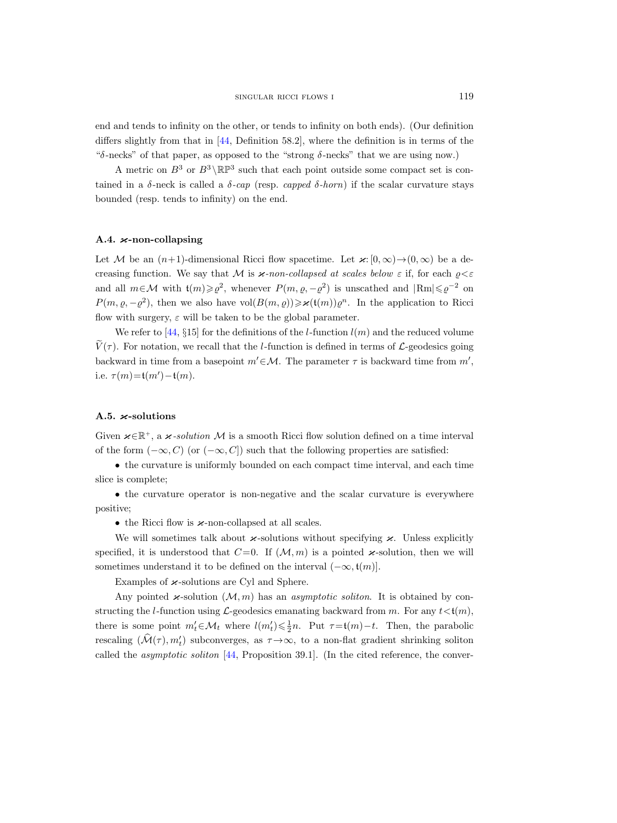end and tends to infinity on the other, or tends to infinity on both ends). (Our definition differs slightly from that in [\[44,](#page-67-10) Definition 58.2], where the definition is in terms of the "δ-necks" of that paper, as opposed to the "strong  $\delta$ -necks" that we are using now.)

A metric on  $B^3$  or  $B^3 \setminus \mathbb{RP}^3$  such that each point outside some compact set is contained in a  $\delta$ -neck is called a  $\delta$ -cap (resp. capped  $\delta$ -horn) if the scalar curvature stays bounded (resp. tends to infinity) on the end.

# <span id="page-54-0"></span>A.4.  $\varkappa$ -non-collapsing

Let M be an  $(n+1)$ -dimensional Ricci flow spacetime. Let  $\varkappa: [0, \infty) \to (0, \infty)$  be a decreasing function. We say that M is  $\varkappa$ -non-collapsed at scales below  $\varepsilon$  if, for each  $\rho \leq \varepsilon$ and all  $m \in \mathcal{M}$  with  $\mathfrak{t}(m) \geq \varrho^2$ , whenever  $P(m, \varrho, -\varrho^2)$  is unscathed and  $|\text{Rm}| \leq \varrho^{-2}$  on  $P(m, \varrho, -\varrho^2)$ , then we also have vol $(B(m, \varrho)) \ge \varkappa(\mathfrak{t}(m))\varrho^n$ . In the application to Ricci flow with surgery,  $\varepsilon$  will be taken to be the global parameter.

We refer to [\[44,](#page-67-10) §15] for the definitions of the l-function  $l(m)$  and the reduced volume  $V(\tau)$ . For notation, we recall that the l-function is defined in terms of L-geodesics going backward in time from a basepoint  $m' \in \mathcal{M}$ . The parameter  $\tau$  is backward time from  $m'$ , i.e.  $\tau(m) = t(m') - t(m)$ .

# <span id="page-54-1"></span>A.5.  $\varkappa$ -solutions

Given  $\varkappa \in \mathbb{R}^+$ , a  $\varkappa$ -solution M is a smooth Ricci flow solution defined on a time interval of the form  $(-\infty, C)$  (or  $(-\infty, C]$ ) such that the following properties are satisfied:

• the curvature is uniformly bounded on each compact time interval, and each time slice is complete;

• the curvature operator is non-negative and the scalar curvature is everywhere positive;

• the Ricci flow is  $\varkappa$ -non-collapsed at all scales.

We will sometimes talk about  $\varkappa$ -solutions without specifying  $\varkappa$ . Unless explicitly specified, it is understood that  $C=0$ . If  $(\mathcal{M}, m)$  is a pointed  $\varkappa$ -solution, then we will sometimes understand it to be defined on the interval  $(-\infty, t(m)]$ .

Examples of  $\varkappa$ -solutions are Cyl and Sphere.

Any pointed  $\varkappa$ -solution  $(M, m)$  has an *asymptotic soliton*. It is obtained by constructing the l-function using  $\mathcal{L}$ -geodesics emanating backward from m. For any  $t \lt t(m)$ , there is some point  $m'_t \in \mathcal{M}_t$  where  $l(m'_t) \leq \frac{1}{2}n$ . Put  $\tau = t(m) - t$ . Then, the parabolic rescaling  $(\hat{\mathcal{M}}(\tau), m_t')$  subconverges, as  $\tau \to \infty$ , to a non-flat gradient shrinking soliton called the asymptotic soliton [\[44,](#page-67-10) Proposition 39.1]. (In the cited reference, the conver-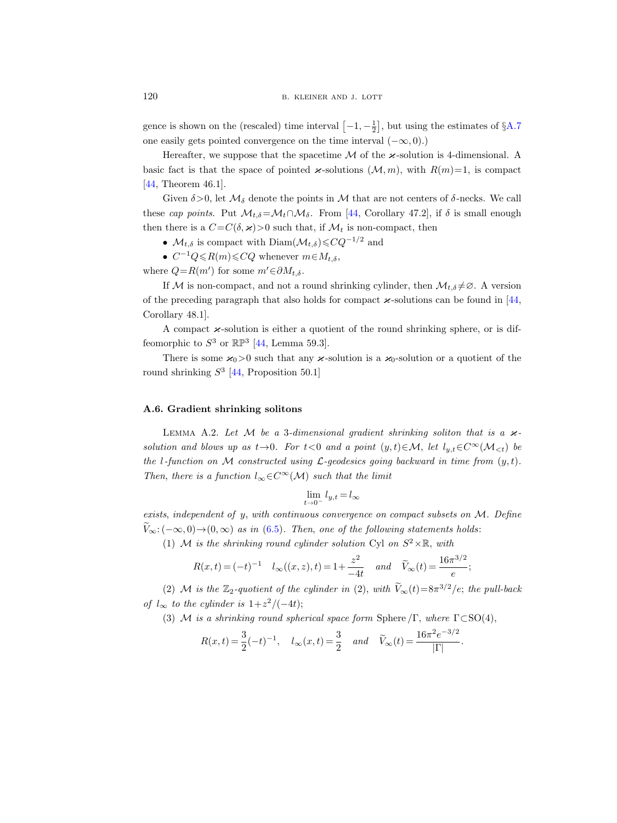gence is shown on the (rescaled) time interval  $\left[-1, -\frac{1}{2}\right]$ , but using the estimates of  $\S$ [A.7](#page-56-0) one easily gets pointed convergence on the time interval  $(-\infty, 0)$ .)

Hereafter, we suppose that the spacetime  $\mathcal M$  of the  $\varkappa$ -solution is 4-dimensional. A basic fact is that the space of pointed  $\varkappa$ -solutions  $(\mathcal{M}, m)$ , with  $R(m)=1$ , is compact [\[44,](#page-67-10) Theorem 46.1].

Given  $\delta$  >0, let  $\mathcal{M}_{\delta}$  denote the points in M that are not centers of  $\delta$ -necks. We call these cap points. Put  $\mathcal{M}_{t,\delta} = \mathcal{M}_t \cap \mathcal{M}_{\delta}$ . From [\[44,](#page-67-10) Corollary 47.2], if  $\delta$  is small enough then there is a  $C=C(\delta, \varkappa)>0$  such that, if  $\mathcal{M}_t$  is non-compact, then

- $\mathcal{M}_{t,\delta}$  is compact with Diam $(\mathcal{M}_{t,\delta})\leqslant C Q^{-1/2}$  and
- $C^{-1}Q \le R(m) \le CQ$  whenever  $m \in M_{t,\delta}$ ,

where  $Q=R(m')$  for some  $m' \in \partial M_{t,\delta}$ .

If M is non-compact, and not a round shrinking cylinder, then  $\mathcal{M}_{t,\delta} \neq \emptyset$ . A version of the preceding paragraph that also holds for compact  $\varkappa$ -solutions can be found in [\[44,](#page-67-10) Corollary 48.1].

A compact  $\varkappa$ -solution is either a quotient of the round shrinking sphere, or is diffeomorphic to  $S^3$  or  $\mathbb{RP}^3$  [\[44,](#page-67-10) Lemma 59.3].

There is some  $\varkappa_0>0$  such that any  $\varkappa$ -solution is a  $\varkappa_0$ -solution or a quotient of the round shrinking  $S^3$  [\[44,](#page-67-10) Proposition 50.1]

# <span id="page-55-0"></span>A.6. Gradient shrinking solitons

<span id="page-55-1"></span>LEMMA A.2. Let M be a 3-dimensional gradient shrinking soliton that is a  $\varkappa$ solution and blows up as  $t \rightarrow 0$ . For  $t < 0$  and a point  $(y, t) \in \mathcal{M}$ , let  $l_{y,t} \in C^{\infty}(\mathcal{M}_{< t})$  be the l-function on M constructed using  $\mathcal{L}\text{-geodesics going backward in time from } (y, t)$ . Then, there is a function  $l_{\infty} \in C^{\infty}(\mathcal{M})$  such that the limit

$$
\lim_{t\to 0^-} l_{y,t}\,{=}\, l_\infty
$$

exists, independent of y, with continuous convergence on compact subsets on M. Define  $\widetilde{V}_{\infty}:(-\infty,0) \rightarrow (0,\infty)$  as in [\(6.5\)](#page-42-2). Then, one of the following statements holds:

(1) M is the shrinking round cylinder solution Cyl on  $S^2 \times \mathbb{R}$ , with

$$
R(x,t) = (-t)^{-1} \quad l_{\infty}((x,z),t) = 1 + \frac{z^2}{-4t} \quad and \quad \widetilde{V}_{\infty}(t) = \frac{16\pi^{3/2}}{e};
$$

(2) M is the  $\mathbb{Z}_2$ -quotient of the cylinder in (2), with  $\widetilde{V}_{\infty}(t) = 8\pi^{3/2}/e$ ; the pull-back of  $l_{\infty}$  to the cylinder is  $1+z^2/(-4t)$ ;

(3) M is a shrinking round spherical space form Sphere  $/\Gamma$ , where  $\Gamma \subset SO(4)$ ,

$$
R(x,t) = \frac{3}{2}(-t)^{-1}, \quad l_{\infty}(x,t) = \frac{3}{2} \quad and \quad \widetilde{V}_{\infty}(t) = \frac{16\pi^2 e^{-3/2}}{|\Gamma|}.
$$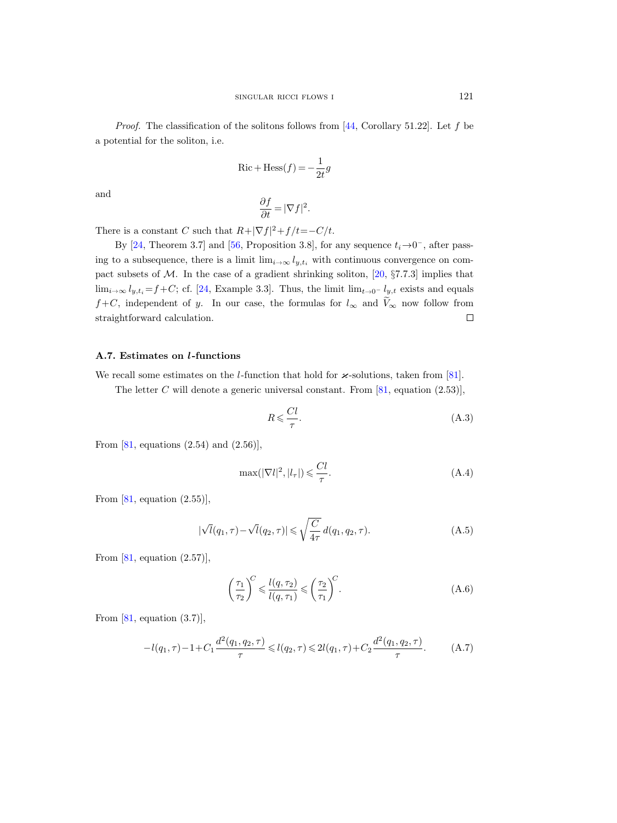*Proof.* The classification of the solitons follows from [\[44,](#page-67-10) Corollary 51.22]. Let f be a potential for the soliton, i.e.

$$
Ric + Hess(f) = -\frac{1}{2t}g
$$

and

$$
\frac{\partial f}{\partial t} = |\nabla f|^2.
$$

There is a constant C such that  $R + |\nabla f|^2 + f/t = -C/t$ .

By [\[24,](#page-66-19) Theorem 3.7] and [\[56,](#page-67-22) Proposition 3.8], for any sequence  $t_i \rightarrow 0^-$ , after passing to a subsequence, there is a limit  $\lim_{i\to\infty} l_{y,t_i}$  with continuous convergence on compact subsets of  $M$ . In the case of a gradient shrinking soliton,  $[20, §7.7.3]$  implies that lim<sub>i→∞</sub>  $l_{y,t_i} = f + C$ ; cf. [\[24,](#page-66-19) Example 3.3]. Thus, the limit lim<sub>t→0</sub>-  $l_{y,t}$  exists and equals  $f+C$ , independent of y. In our case, the formulas for  $l_{\infty}$  and  $\widetilde{V}_{\infty}$  now follow from straightforward calculation. □ straightforward calculation.

# <span id="page-56-0"></span>A.7. Estimates on l-functions

We recall some estimates on the *l*-function that hold for  $\varkappa$ -solutions, taken from [\[81\]](#page-68-20).

The letter C will denote a generic universal constant. From  $[81, \text{ equation } (2.53)],$ 

<span id="page-56-4"></span>
$$
R \leqslant \frac{Cl}{\tau}.\tag{A.3}
$$

From  $[81, \text{ equations } (2.54) \text{ and } (2.56)],$ 

<span id="page-56-3"></span>
$$
\max(|\nabla l|^2, |l_\tau|) \leqslant \frac{Cl}{\tau}.\tag{A.4}
$$

From  $[81, \text{ equation } (2.55)],$ 

<span id="page-56-1"></span>
$$
|\sqrt{l}(q_1,\tau)-\sqrt{l}(q_2,\tau)| \leq \sqrt{\frac{C}{4\tau}}d(q_1,q_2,\tau).
$$
 (A.5)

From  $[81, \text{ equation } (2.57)],$ 

<span id="page-56-2"></span>
$$
\left(\frac{\tau_1}{\tau_2}\right)^C \leqslant \frac{l(q,\tau_2)}{l(q,\tau_1)} \leqslant \left(\frac{\tau_2}{\tau_1}\right)^C.
$$
\n(A.6)

From  $[81, \text{ equation } (3.7)],$ 

$$
-l(q_1, \tau) - 1 + C_1 \frac{d^2(q_1, q_2, \tau)}{\tau} \leq l(q_2, \tau) \leq 2l(q_1, \tau) + C_2 \frac{d^2(q_1, q_2, \tau)}{\tau}.
$$
 (A.7)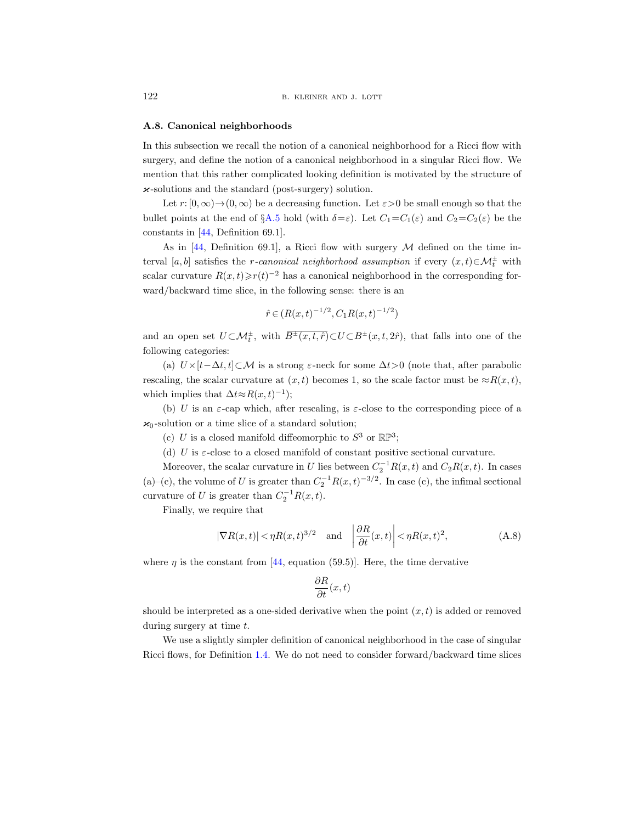#### <span id="page-57-0"></span>A.8. Canonical neighborhoods

In this subsection we recall the notion of a canonical neighborhood for a Ricci flow with surgery, and define the notion of a canonical neighborhood in a singular Ricci flow. We mention that this rather complicated looking definition is motivated by the structure of  $\varkappa$ -solutions and the standard (post-surgery) solution.

Let  $r: [0, \infty) \to (0, \infty)$  be a decreasing function. Let  $\varepsilon > 0$  be small enough so that the bullet points at the end of §[A.5](#page-54-1) hold (with  $\delta = \varepsilon$ ). Let  $C_1 = C_1(\varepsilon)$  and  $C_2 = C_2(\varepsilon)$  be the constants in [\[44,](#page-67-10) Definition 69.1].

As in [\[44,](#page-67-10) Definition 69.1], a Ricci flow with surgery  $\mathcal M$  defined on the time interval [a, b] satisfies the r-canonical neighborhood assumption if every  $(x,t) \in \mathcal{M}_t^{\pm}$  with scalar curvature  $R(x,t) \ge r(t)^{-2}$  has a canonical neighborhood in the corresponding forward/backward time slice, in the following sense: there is an

$$
\hat{r} \in (R(x,t)^{-1/2}, C_1 R(x,t)^{-1/2})
$$

and an open set  $U \subset \mathcal{M}_t^{\pm}$ , with  $B^{\pm}(x,t,\hat{r}) \subset U \subset B^{\pm}(x,t,2\hat{r})$ , that falls into one of the following categories:

(a)  $U \times [t-\Delta t, t] \subset M$  is a strong  $\varepsilon$ -neck for some  $\Delta t > 0$  (note that, after parabolic rescaling, the scalar curvature at  $(x, t)$  becomes 1, so the scale factor must be  $\approx R(x, t)$ , which implies that  $\Delta t \approx R(x, t)^{-1}$ ;

(b) U is an  $\varepsilon$ -cap which, after rescaling, is  $\varepsilon$ -close to the corresponding piece of a  $x_0$ -solution or a time slice of a standard solution;

(c) U is a closed manifold diffeomorphic to  $S^3$  or  $\mathbb{RP}^3$ ;

(d) U is  $\varepsilon$ -close to a closed manifold of constant positive sectional curvature.

Moreover, the scalar curvature in U lies between  $C_2^{-1}R(x,t)$  and  $C_2R(x,t)$ . In cases (a)–(c), the volume of U is greater than  $C_2^{-1}R(x,t)^{-3/2}$ . In case (c), the infimal sectional curvature of U is greater than  $C_2^{-1}R(x,t)$ .

Finally, we require that

<span id="page-57-1"></span>
$$
|\nabla R(x,t)| < \eta R(x,t)^{3/2} \quad \text{and} \quad \left| \frac{\partial R}{\partial t}(x,t) \right| < \eta R(x,t)^2,
$$
 (A.8)

where  $\eta$  is the constant from [\[44,](#page-67-10) equation (59.5)]. Here, the time dervative

$$
\frac{\partial R}{\partial t}(x,t)
$$

should be interpreted as a one-sided derivative when the point  $(x, t)$  is added or removed during surgery at time  $t$ .

We use a slightly simpler definition of canonical neighborhood in the case of singular Ricci flows, for Definition [1.4.](#page-5-0) We do not need to consider forward/backward time slices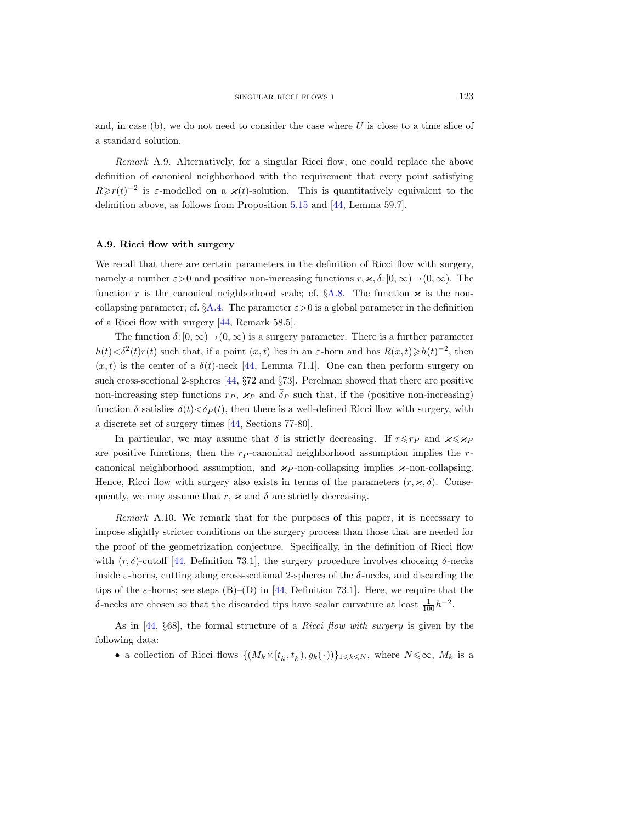and, in case (b), we do not need to consider the case where  $U$  is close to a time slice of a standard solution.

Remark A.9. Alternatively, for a singular Ricci flow, one could replace the above definition of canonical neighborhood with the requirement that every point satisfying  $R \ge r(t)^{-2}$  is  $\varepsilon$ -modelled on a  $\varkappa(t)$ -solution. This is quantitatively equivalent to the definition above, as follows from Proposition [5.15](#page-37-1) and [\[44,](#page-67-10) Lemma 59.7].

# <span id="page-58-0"></span>A.9. Ricci flow with surgery

We recall that there are certain parameters in the definition of Ricci flow with surgery, namely a number  $\varepsilon > 0$  and positive non-increasing functions  $r, \varkappa, \delta : [0, \infty) \to (0, \infty)$ . The function r is the canonical neighborhood scale; cf.  $\S A.8$ . The function  $\varkappa$  is the noncollapsing parameter; cf.  $\S$ [A.4.](#page-54-0) The parameter  $\varepsilon > 0$  is a global parameter in the definition of a Ricci flow with surgery [\[44,](#page-67-10) Remark 58.5].

The function  $\delta: [0, \infty) \to (0, \infty)$  is a surgery parameter. There is a further parameter  $h(t) < \delta^2(t)r(t)$  such that, if a point  $(x, t)$  lies in an  $\varepsilon$ -horn and has  $R(x, t) \geq h(t)^{-2}$ , then  $(x, t)$  is the center of a  $\delta(t)$ -neck [\[44,](#page-67-10) Lemma 71.1]. One can then perform surgery on such cross-sectional 2-spheres [\[44,](#page-67-10) §72 and §73]. Perelman showed that there are positive non-increasing step functions  $r_P$ ,  $\varkappa_P$  and  $\delta_P$  such that, if the (positive non-increasing) function  $\delta$  satisfies  $\delta(t) < \bar{\delta}_P(t)$ , then there is a well-defined Ricci flow with surgery, with a discrete set of surgery times [\[44,](#page-67-10) Sections 77-80].

In particular, we may assume that  $\delta$  is strictly decreasing. If  $r \leq r_P$  and  $\varkappa \leq \varkappa_P$ are positive functions, then the  $r_{P}$ -canonical neighborhood assumption implies the  $r$ canonical neighborhood assumption, and  $\varkappa_P$ -non-collapsing implies  $\varkappa$ -non-collapsing. Hence, Ricci flow with surgery also exists in terms of the parameters  $(r, \varkappa, \delta)$ . Consequently, we may assume that r,  $\varkappa$  and  $\delta$  are strictly decreasing.

<span id="page-58-1"></span>Remark A.10. We remark that for the purposes of this paper, it is necessary to impose slightly stricter conditions on the surgery process than those that are needed for the proof of the geometrization conjecture. Specifically, in the definition of Ricci flow with  $(r, \delta)$ -cutoff [\[44,](#page-67-10) Definition 73.1], the surgery procedure involves choosing  $\delta$ -necks inside  $\varepsilon$ -horns, cutting along cross-sectional 2-spheres of the  $\delta$ -necks, and discarding the tips of the  $\varepsilon$ -horns; see steps (B)–(D) in [\[44,](#page-67-10) Definition 73.1]. Here, we require that the δ-necks are chosen so that the discarded tips have scalar curvature at least  $\frac{1}{100}h^{-2}$ .

As in [\[44,](#page-67-10) §68], the formal structure of a Ricci flow with surgery is given by the following data:

• a collection of Ricci flows  $\{(M_k\times [t_k^-, t_k^+), g_k(\cdot))\}_{1\leq k\leq N}$ , where  $N\leq\infty$ ,  $M_k$  is a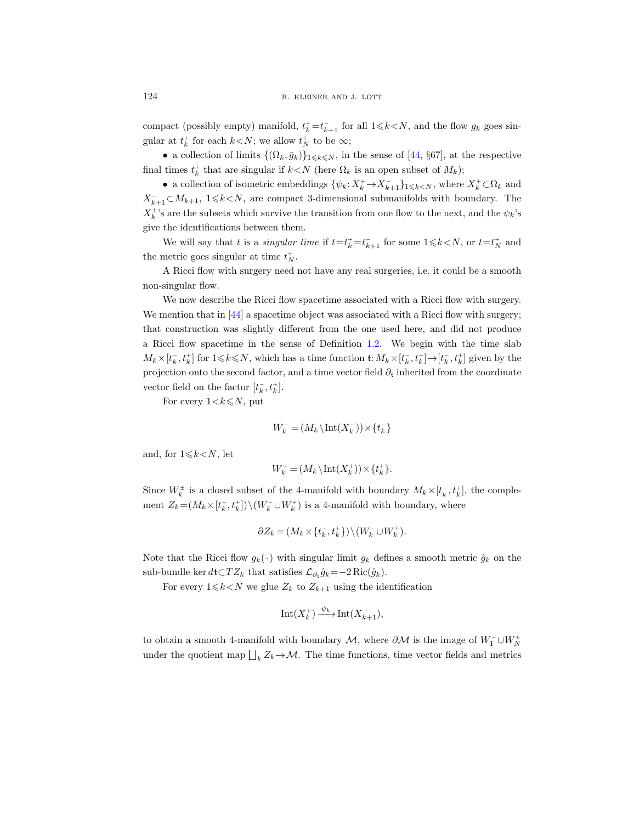compact (possibly empty) manifold,  $t_k^+ = t_{k+1}^-$  for all  $1 \le k \le N$ , and the flow  $g_k$  goes singular at  $t_k^+$  for each  $k < N$ ; we allow  $t_N^+$  to be  $\infty$ ;

• a collection of limits  $\{(\Omega_k, \bar{g}_k)\}_{1\leq k\leq N}$ , in the sense of [\[44,](#page-67-10) §67], at the respective final times  $t_k^+$  that are singular if  $k < N$  (here  $\Omega_k$  is an open subset of  $M_k$ );

• a collection of isometric embeddings  $\{\psi_k: X_k^+\to X_{k+1}^-\}_{1\leq k\leq N}$ , where  $X_k^+\subset\Omega_k$  and  $X_{k+1}^- \subset M_{k+1}$ ,  $1 \le k \le N$ , are compact 3-dimensional submanifolds with boundary. The  $X_k^{\pm}$ 's are the subsets which survive the transition from one flow to the next, and the  $\psi_k$ 's give the identifications between them.

We will say that t is a *singular time* if  $t=t_k^+ = t_{k+1}^-$  for some  $1 \le k \le N$ , or  $t=t_N^+$  and the metric goes singular at time  $t_N^+$ .

A Ricci flow with surgery need not have any real surgeries, i.e. it could be a smooth non-singular flow.

We now describe the Ricci flow spacetime associated with a Ricci flow with surgery. We mention that in  $[44]$  a spacetime object was associated with a Ricci flow with surgery; that construction was slightly different from the one used here, and did not produce a Ricci flow spacetime in the sense of Definition [1.2.](#page-4-1) We begin with the time slab  $M_k\times [t_k^-, t_k^+]$  for  $1\leq k\leq N$ , which has a time function  $\mathfrak{t}: M_k\times [t_k^-, t_k^+] \to [t_k^-, t_k^+]$  given by the projection onto the second factor, and a time vector field  $\partial_t$  inherited from the coordinate vector field on the factor  $[t_k^-, t_k^+]$ .

For every  $1 \lt k \leq N$ , put

$$
W_k^- = (M_k \backslash \text{Int}(X_k^-)) \times \{t_k^-\}
$$

and, for  $1 \le k \le N$ , let

$$
W_k^+ = (M_k \backslash \text{Int}(X_k^+)) \times \{t_k^+\}.
$$

Since  $W_k^{\pm}$  is a closed subset of the 4-manifold with boundary  $M_k \times [t_k^-, t_k^+]$ , the complement  $Z_k = (M_k \times [t_k^-, t_k^+]) \setminus (W_k^- \cup W_k^+)$  is a 4-manifold with boundary, where

$$
\partial Z_k = (M_k \times \{t_k^-, t_k^+\}) \setminus (W_k^- \cup W_k^+).
$$

Note that the Ricci flow  $g_k(\cdot)$  with singular limit  $\bar{g}_k$  defines a smooth metric  $\hat{g}_k$  on the sub-bundle ker  $d$ t $\subset TZ_k$  that satisfies  $\mathcal{L}_{\partial_t} \hat{g}_k = -2 \text{Ric}(\hat{g}_k)$ .

For every  $1 \le k \le N$  we glue  $Z_k$  to  $Z_{k+1}$  using the identification

$$
\mathrm{Int}(X_k^+) \xrightarrow{\psi_k} \mathrm{Int}(X_{k+1}^-),
$$

to obtain a smooth 4-manifold with boundary  $M$ , where  $\partial M$  is the image of  $W_1^- \cup W_N^+$ under the quotient map  $\bigsqcup_k Z_k \to \mathcal{M}$ . The time functions, time vector fields and metrics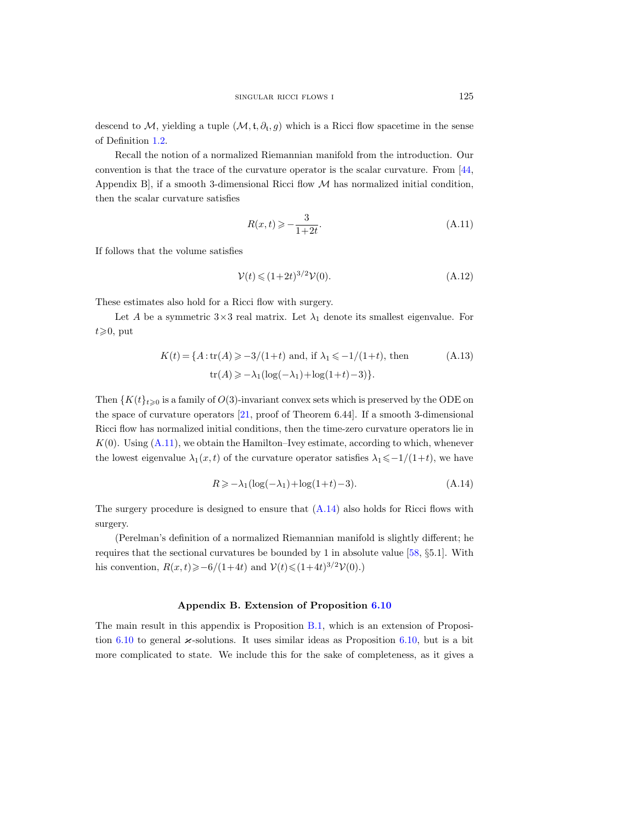descend to M, yielding a tuple  $(M, \mathfrak{t}, \partial_{\mathfrak{t}}, g)$  which is a Ricci flow spacetime in the sense of Definition [1.2.](#page-4-1)

Recall the notion of a normalized Riemannian manifold from the introduction. Our convention is that the trace of the curvature operator is the scalar curvature. From [\[44,](#page-67-10) Appendix B, if a smooth 3-dimensional Ricci flow  $M$  has normalized initial condition, then the scalar curvature satisfies

<span id="page-60-2"></span>
$$
R(x,t) \geqslant -\frac{3}{1+2t}.\tag{A.11}
$$

If follows that the volume satisfies

<span id="page-60-3"></span>
$$
\mathcal{V}(t) \leqslant (1+2t)^{3/2} \mathcal{V}(0). \tag{A.12}
$$

These estimates also hold for a Ricci flow with surgery.

Let A be a symmetric  $3\times 3$  real matrix. Let  $\lambda_1$  denote its smallest eigenvalue. For  $t \geqslant 0$ , put

$$
K(t) = \{A : \text{tr}(A) \ge -3/(1+t) \text{ and, if } \lambda_1 \le -1/(1+t), \text{ then}
$$
  
\n
$$
\text{tr}(A) \ge -\lambda_1(\log(-\lambda_1) + \log(1+t) - 3)\}.
$$
 (A.13)

Then  $\{K(t)\}_{t\geqslant0}$  is a family of  $O(3)$ -invariant convex sets which is preserved by the ODE on the space of curvature operators [\[21,](#page-66-21) proof of Theorem 6.44]. If a smooth 3-dimensional Ricci flow has normalized initial conditions, then the time-zero curvature operators lie in  $K(0)$ . Using  $(A.11)$ , we obtain the Hamilton–Ivey estimate, according to which, whenever the lowest eigenvalue  $\lambda_1(x,t)$  of the curvature operator satisfies  $\lambda_1\leq -1/(1+t)$ , we have

<span id="page-60-1"></span>
$$
R \ge -\lambda_1 (\log(-\lambda_1) + \log(1+t) - 3). \tag{A.14}
$$

The surgery procedure is designed to ensure that  $(A.14)$  also holds for Ricci flows with surgery.

(Perelman's definition of a normalized Riemannian manifold is slightly different; he requires that the sectional curvatures be bounded by 1 in absolute value [\[58,](#page-67-8) §5.1]. With his convention,  $R(x,t) \ge -6/(1+4t)$  and  $V(t) \le (1+4t)^{3/2}V(0)$ .

#### Appendix B. Extension of Proposition [6.10](#page-44-1)

<span id="page-60-0"></span>The main result in this appendix is Proposition [B.1,](#page-61-0) which is an extension of Proposi-tion [6.10](#page-44-1) to general  $\varkappa$ -solutions. It uses similar ideas as Proposition [6.10,](#page-44-1) but is a bit more complicated to state. We include this for the sake of completeness, as it gives a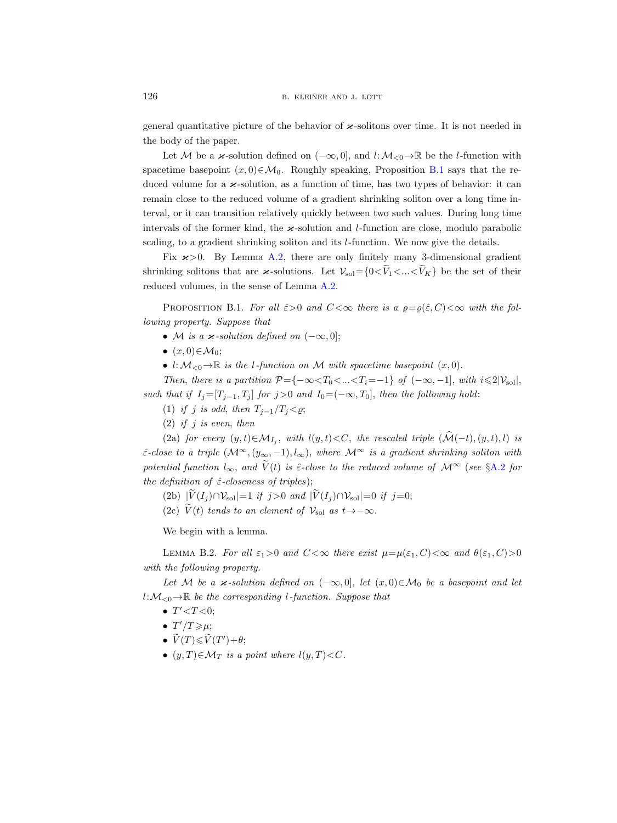general quantitative picture of the behavior of  $\varkappa$ -solitons over time. It is not needed in the body of the paper.

Let M be a  $\varkappa$ -solution defined on  $(-\infty, 0]$ , and  $l: \mathcal{M}_{\leq 0} \to \mathbb{R}$  be the l-function with spacetime basepoint  $(x, 0) \in \mathcal{M}_0$ . Roughly speaking, Proposition [B.1](#page-61-0) says that the reduced volume for a  $\varkappa$ -solution, as a function of time, has two types of behavior: it can remain close to the reduced volume of a gradient shrinking soliton over a long time interval, or it can transition relatively quickly between two such values. During long time intervals of the former kind, the  $\varkappa$ -solution and *l*-function are close, modulo parabolic scaling, to a gradient shrinking soliton and its l-function. We now give the details.

Fix  $x>0$ . By Lemma [A.2,](#page-55-1) there are only finitely many 3-dimensional gradient shrinking solitons that are  $\varkappa$ -solutions. Let  $\mathcal{V}_{sol} = \{0 \le \tilde{V}_1 \le ... \le \tilde{V}_K\}$  be the set of their reduced volumes, in the sense of Lemma [A.2.](#page-55-1)

<span id="page-61-0"></span>PROPOSITION B.1. For all  $\hat{\varepsilon}>0$  and  $C<\infty$  there is a  $\rho=\rho(\hat{\varepsilon},C)<\infty$  with the following property. Suppose that

- M is a  $\varkappa$ -solution defined on  $(-\infty,0]$ ;
- $(x, 0) \in \mathcal{M}_0$ ;
- l:  $M_{\leq 0} \to \mathbb{R}$  is the l-function on M with spacetime basepoint  $(x, 0)$ .

Then, there is a partition  $\mathcal{P} = \{-\infty < T_0 < ... < T_i = -1\}$  of  $(-\infty, -1]$ , with  $i \leq 2|\mathcal{V}_{\text{sol}}|$ , such that if  $I_j=[T_{j-1}, T_j]$  for j>0 and  $I_0=(-\infty, T_0]$ , then the following hold:

- (1) if j is odd, then  $T_{i-1}/T_i < \varrho$ ;
- (2) if j is even, then

(2a) for every  $(y,t) \in \mathcal{M}_{I_j}$ , with  $l(y,t) < C$ , the rescaled triple  $(\mathcal{M}(-t), (y, t), l)$  is  $\hat{\varepsilon}$ -close to a triple  $(\mathcal{M}^{\infty}, (y_{\infty}, -1), l_{\infty})$ , where  $\mathcal{M}^{\infty}$  is a gradient shrinking soliton with potential function  $l_{\infty}$ , and  $\tilde{V}(t)$  is  $\hat{\varepsilon}$ -close to the reduced volume of  $\mathcal{M}^{\infty}$  (see §[A.2](#page-52-2) for the definition of  $\hat{\varepsilon}$ -closeness of triples);

(2b)  $|\widetilde{V}(I_i) \cap \mathcal{V}_{\text{sol}}| = 1$  if j>0 and  $|\widetilde{V}(I_i) \cap \mathcal{V}_{\text{sol}}| = 0$  if j=0;

(2c)  $\widetilde{V}(t)$  tends to an element of  $\mathcal{V}_{\text{sol}}$  as  $t \rightarrow -\infty$ .

We begin with a lemma.

<span id="page-61-1"></span>LEMMA B.2. For all  $\varepsilon_1>0$  and  $C<\infty$  there exist  $\mu=\mu(\varepsilon_1, C)<\infty$  and  $\theta(\varepsilon_1, C)>0$ with the following property.

Let M be a  $\kappa$ -solution defined on  $(-\infty, 0]$ , let  $(x, 0) \in \mathcal{M}_0$  be a basepoint and let  $l:\mathcal{M}_{<0}\to\mathbb{R}$  be the corresponding l-function. Suppose that

- $T' < T < 0;$
- $T'/T \geq \mu$ ;
- $\widetilde{V}(T) \leqslant \widetilde{V}(T') + \theta;$
- $(y, T) \in \mathcal{M}_T$  is a point where  $l(y, T) < C$ .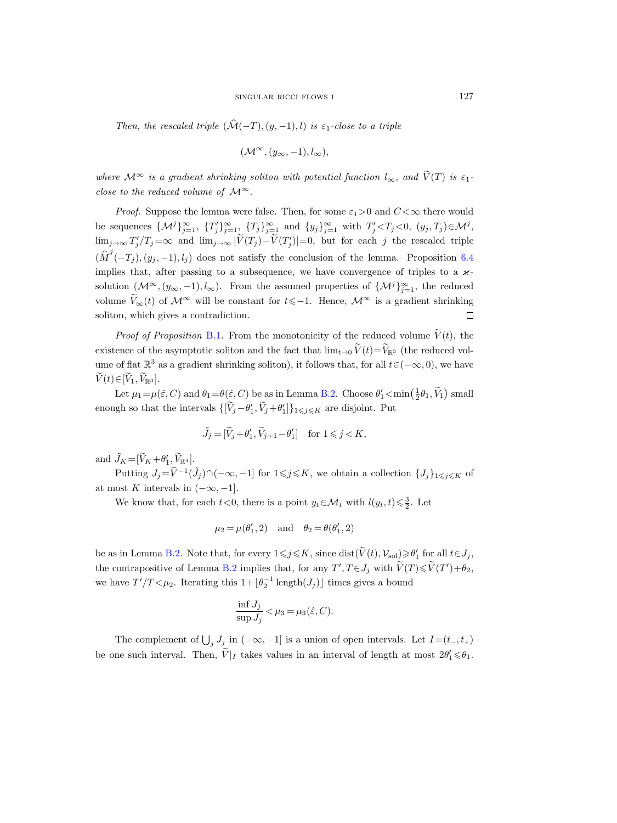Then, the rescaled triple  $(\widehat{\mathcal{M}}(-T), (y, -1), l)$  is  $\varepsilon_1$ -close to a triple

$$
(\mathcal{M}^{\infty}, (y_{\infty}, -1), l_{\infty}),
$$

where  $\mathcal{M}^{\infty}$  is a gradient shrinking soliton with potential function  $l_{\infty}$ , and  $\widetilde{V}(T)$  is  $\varepsilon_1$ close to the reduced volume of  $\mathcal{M}^{\infty}$ .

*Proof.* Suppose the lemma were false. Then, for some  $\varepsilon_1>0$  and  $C<\infty$  there would be sequences  $\{\mathcal{M}^j\}_{j=1}^{\infty}$ ,  $\{T_j'\}_{j=1}^{\infty}$ ,  $\{T_j\}_{j=1}^{\infty}$  and  $\{y_j\}_{j=1}^{\infty}$  with  $T_j' < T_j < 0$ ,  $(y_j, T_j) \in \mathcal{M}^j$ ,  $\lim_{j\to\infty} T'_j/T_j = \infty$  and  $\lim_{j\to\infty} |\tilde{V}(T_j) - \tilde{V}(T'_j)| = 0$ , but for each j the rescaled triple  $(\widehat{M}^j(-T_j), (y_j, -1), l_j)$  does not satisfy the conclusion of the lemma. Proposition [6.4](#page-42-1) implies that, after passing to a subsequence, we have convergence of triples to a  $\varkappa$ solution  $(\mathcal{M}^{\infty}, (y_{\infty}, -1), l_{\infty})$ . From the assumed properties of  $\{\mathcal{M}^{j}\}_{j=1}^{\infty}$ , the reduced volume  $\widetilde{V}_{\infty}(t)$  of  $\mathcal{M}^{\infty}$  will be constant for  $t\leq -1$ . Hence,  $\mathcal{M}^{\infty}$  is a gradient shrinking soliton, which gives a contradiction. soliton, which gives a contradiction.

*Proof of Proposition [B.1](#page-61-0).* From the monotonicity of the reduced volume  $\tilde{V}(t)$ , the existence of the asymptotic soliton and the fact that  $\lim_{t\to 0} V(t)=V_{\mathbb{R}^3}$  (the reduced volume of flat  $\mathbb{R}^3$  as a gradient shrinking soliton), it follows that, for all  $t\in(-\infty,0)$ , we have  $V(t) \in [V_1, V_{\mathbb{R}^3}].$ 

Let  $\mu_1 = \mu(\hat{\varepsilon}, C)$  and  $\theta_1 = \theta(\hat{\varepsilon}, C)$  be as in Lemma [B.2.](#page-61-1) Choose  $\theta'_1 < \min(\frac{1}{2}\theta_1, \tilde{V}_1)$  small enough so that the intervals  $\{[\tilde{V}_j - \theta'_1, \tilde{V}_j + \theta'_1]\}_{1 \leq j \leq K}$  are disjoint. Put

$$
\tilde{J}_j = [\tilde{V}_j + \theta'_1, \tilde{V}_{j+1} - \theta'_1] \quad \text{for } 1 \leq j < K,
$$

and  $\tilde{J}_K = [\tilde{V}_K + \theta'_1, \tilde{V}_{\mathbb{R}^3}].$ 

Putting  $J_j = \widetilde{V}^{-1}(\widetilde{J}_j) \cap (-\infty, -1]$  for  $1 \leq j \leq K$ , we obtain a collection  $\{J_j\}_{1 \leq j \leq K}$  of at most K intervals in  $(-\infty, -1]$ .

We know that, for each  $t < 0$ , there is a point  $y_t \in \mathcal{M}_t$  with  $l(y_t, t) \leq \frac{3}{2}$ . Let

$$
\mu_2\,{=}\,\mu(\theta_1',2)\quad\text{and}\quad\theta_2\,{=}\,\theta(\theta_1',2)
$$

be as in Lemma [B.2.](#page-61-1) Note that, for every  $1 \leq j \leq K$ , since  $dist(\widetilde{V}(t), V_{sol}) \geq \theta'_1$  for all  $t \in J_j$ , the contrapositive of Lemma [B.2](#page-61-1) implies that, for any  $T', T \in J_j$  with  $\widetilde{V}(T) \le \widetilde{V}(T') + \theta_2$ , we have  $T'/T < \mu_2$ . Iterating this  $1 + \lfloor \theta_2^{-1} \text{ length}(J_j) \rfloor$  times gives a bound

$$
\frac{\inf J_j}{\sup J_j} < \mu_3 = \mu_3(\hat{\varepsilon}, C).
$$

The complement of  $\bigcup_j J_j$  in  $(-\infty, -1]$  is a union of open intervals. Let  $I=(t_-, t_+)$ be one such interval. Then,  $\tilde{V}|_I$  takes values in an interval of length at most  $2\theta'_1 \le \theta_1$ .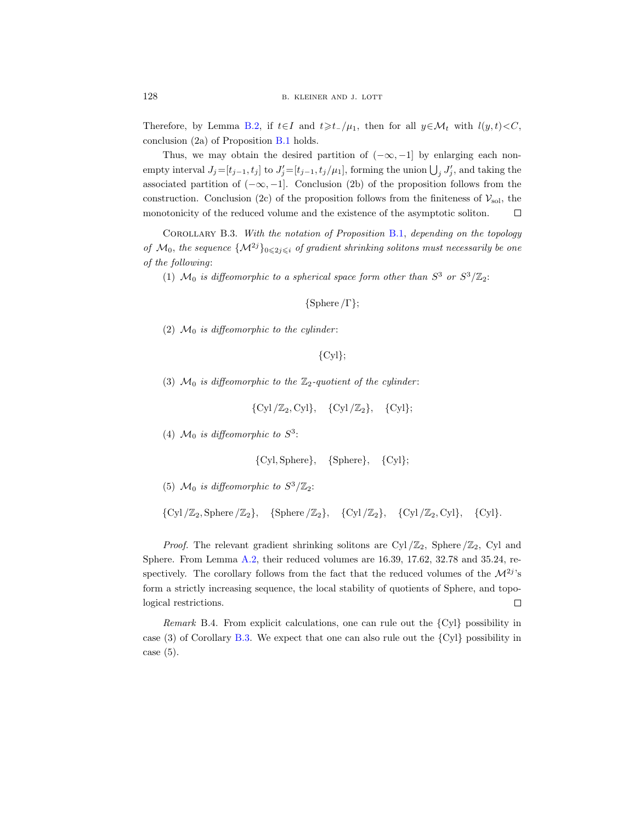Therefore, by Lemma [B.2,](#page-61-1) if  $t \in I$  and  $t \geq t_{-}/\mu_{1}$ , then for all  $y \in \mathcal{M}_{t}$  with  $l(y, t) < C$ , conclusion (2a) of Proposition [B.1](#page-61-0) holds.

Thus, we may obtain the desired partition of  $(-\infty, -1]$  by enlarging each nonempty interval  $J_j = [t_{j-1}, t_j]$  to  $J'_j = [t_{j-1}, t_j/\mu_1]$ , forming the union  $\bigcup_j J'_j$ , and taking the associated partition of  $(-\infty, -1]$ . Conclusion (2b) of the proposition follows from the construction. Conclusion (2c) of the proposition follows from the finiteness of  $\mathcal{V}_{sol}$ , the monotonicity of the reduced volume and the existence of the asymptotic soliton.  $\Box$ 

<span id="page-63-0"></span>COROLLARY B.3. With the notation of Proposition [B.1,](#page-61-0) depending on the topology of  $\mathcal{M}_0$ , the sequence  $\{\mathcal{M}^{2j}\}_{0\leqslant 2j\leqslant i}$  of gradient shrinking solitons must necessarily be one of the following:

(1)  $\mathcal{M}_0$  is diffeomorphic to a spherical space form other than  $S^3$  or  $S^3/\mathbb{Z}_2$ :

{Sphere /Γ};

(2)  $\mathcal{M}_0$  is diffeomorphic to the cylinder:

```
{Cyl};
```
(3)  $\mathcal{M}_0$  is diffeomorphic to the  $\mathbb{Z}_2$ -quotient of the cylinder:

$$
\{\operatorname{Cyl}/\mathbb{Z}_2,\operatorname{Cyl}\},\quad \{\operatorname{Cyl}/\mathbb{Z}_2\},\quad \{\operatorname{Cyl}\};
$$

(4)  $\mathcal{M}_0$  is diffeomorphic to  $S^3$ :

$$
{\{Cyl, Sphere\}}, \quad {\{Sphere\}}, \quad {\{Cyl\}};
$$

- (5)  $\mathcal{M}_0$  is diffeomorphic to  $S^3/\mathbb{Z}_2$ :
- ${Cyl}/\mathbb{Z}_2$ , Sphere  $/\mathbb{Z}_2$ ,  ${Sphere}/\mathbb{Z}_2$ ,  ${Cyl}/\mathbb{Z}_2$ ,  ${Cyl}/\mathbb{Z}_2$ ,  ${Cyl}$ ,  ${Cyl}/\mathbb{Z}_2$

*Proof.* The relevant gradient shrinking solitons are Cyl  $\mathbb{Z}_2$ , Sphere  $\mathbb{Z}_2$ , Cyl and Sphere. From Lemma [A.2,](#page-55-1) their reduced volumes are 16.39, 17.62, 32.78 and 35.24, respectively. The corollary follows from the fact that the reduced volumes of the  $\mathcal{M}^{2j}$ 's form a strictly increasing sequence, the local stability of quotients of Sphere, and topological restrictions.  $\Box$ 

Remark B.4. From explicit calculations, one can rule out the  $\{Cyl\}$  possibility in case (3) of Corollary [B.3.](#page-63-0) We expect that one can also rule out the {Cyl} possibility in case  $(5)$ .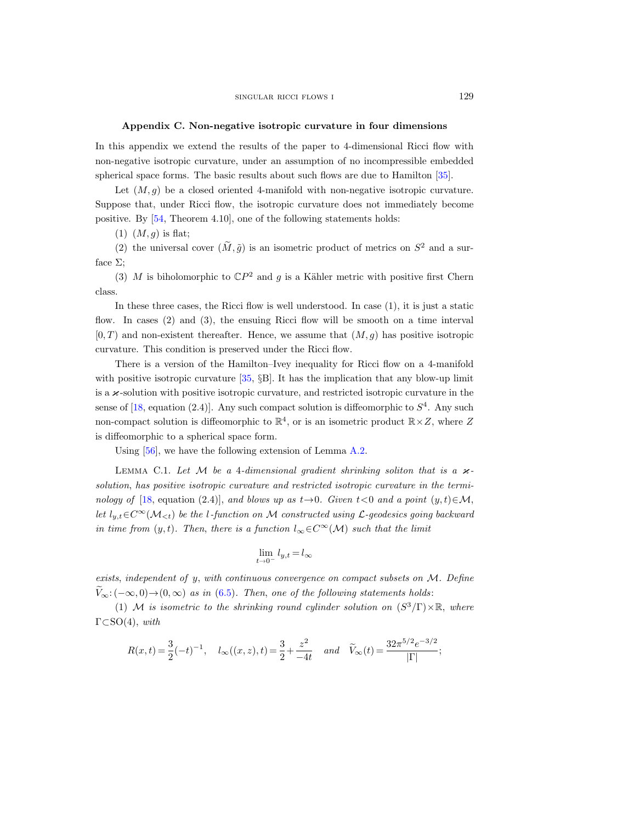# Appendix C. Non-negative isotropic curvature in four dimensions

<span id="page-64-0"></span>In this appendix we extend the results of the paper to 4-dimensional Ricci flow with non-negative isotropic curvature, under an assumption of no incompressible embedded spherical space forms. The basic results about such flows are due to Hamilton [\[35\]](#page-67-7).

Let  $(M, g)$  be a closed oriented 4-manifold with non-negative isotropic curvature. Suppose that, under Ricci flow, the isotropic curvature does not immediately become positive. By [\[54,](#page-67-23) Theorem 4.10], one of the following statements holds:

 $(1)$   $(M, q)$  is flat;

(2) the universal cover  $(\tilde{M}, \tilde{g})$  is an isometric product of metrics on  $S^2$  and a surface  $\Sigma$ :

(3) M is biholomorphic to  $\mathbb{C}P^2$  and g is a Kähler metric with positive first Chern class.

In these three cases, the Ricci flow is well understood. In case  $(1)$ , it is just a static flow. In cases (2) and (3), the ensuing Ricci flow will be smooth on a time interval  $[0, T)$  and non-existent thereafter. Hence, we assume that  $(M, g)$  has positive isotropic curvature. This condition is preserved under the Ricci flow.

There is a version of the Hamilton–Ivey inequality for Ricci flow on a 4-manifold with positive isotropic curvature [\[35,](#page-67-7) §B]. It has the implication that any blow-up limit is a  $\varkappa$ -solution with positive isotropic curvature, and restricted isotropic curvature in the sense of [\[18,](#page-66-22) equation (2.4)]. Any such compact solution is diffeomorphic to  $S<sup>4</sup>$ . Any such non-compact solution is diffeomorphic to  $\mathbb{R}^4$ , or is an isometric product  $\mathbb{R} \times Z$ , where Z is diffeomorphic to a spherical space form.

Using [\[56\]](#page-67-22), we have the following extension of Lemma [A.2.](#page-55-1)

<span id="page-64-1"></span>LEMMA C.1. Let M be a 4-dimensional gradient shrinking soliton that is a  $\varkappa$ solution, has positive isotropic curvature and restricted isotropic curvature in the termi-nology of [\[18,](#page-66-22) equation (2.4)], and blows up as  $t \rightarrow 0$ . Given  $t < 0$  and a point  $(y, t) \in M$ , let l<sub>y,t</sub>∈C<sup>∞</sup>( $\mathcal{M}_{< t}$ ) be the l-function on M constructed using L-geodesics going backward in time from  $(y, t)$ . Then, there is a function  $l_{\infty} \in C^{\infty}(\mathcal{M})$  such that the limit

$$
\lim_{t\to 0^-} l_{y,t}\!=\!l_\infty
$$

exists, independent of y, with continuous convergence on compact subsets on M. Define  $V_{\infty}: (-\infty, 0) \rightarrow (0, \infty)$  as in [\(6.5\)](#page-42-2). Then, one of the following statements holds:

(1) M is isometric to the shrinking round cylinder solution on  $(S^3/\Gamma) \times \mathbb{R}$ , where  $\Gamma \subset SO(4)$ , with

$$
R(x,t) = \frac{3}{2}(-t)^{-1}, \quad l_{\infty}((x,z),t) = \frac{3}{2} + \frac{z^2}{-4t} \quad and \quad \tilde{V}_{\infty}(t) = \frac{32\pi^{5/2}e^{-3/2}}{|\Gamma|};
$$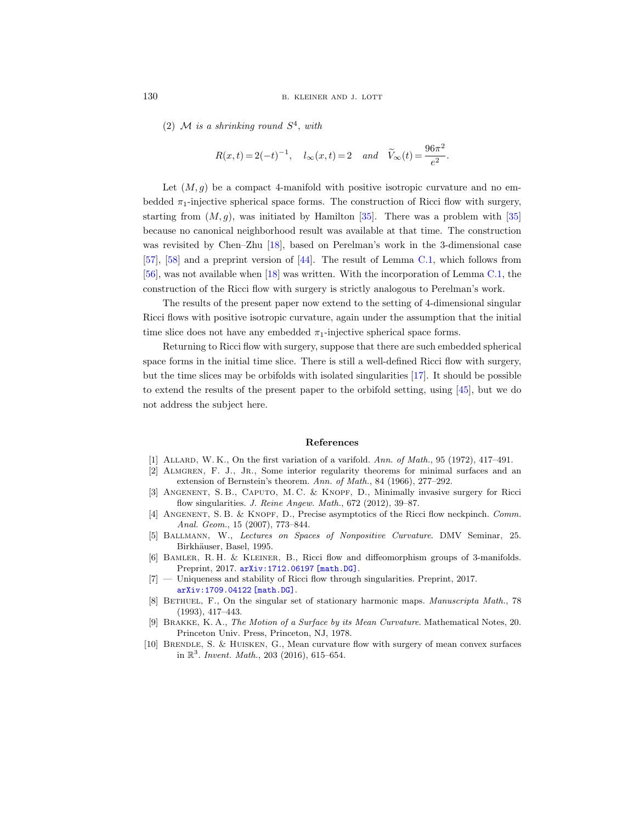(2) M is a shrinking round  $S^4$ , with

$$
R(x,t) = 2(-t)^{-1}
$$
,  $l_{\infty}(x,t) = 2$  and  $\widetilde{V}_{\infty}(t) = \frac{96\pi^2}{e^2}$ .

Let  $(M, g)$  be a compact 4-manifold with positive isotropic curvature and no embedded  $\pi_1$ -injective spherical space forms. The construction of Ricci flow with surgery, starting from  $(M, g)$ , was initiated by Hamilton [\[35\]](#page-67-7). There was a problem with [35] because no canonical neighborhood result was available at that time. The construction was revisited by Chen–Zhu [\[18\]](#page-66-22), based on Perelman's work in the 3-dimensional case [\[57\]](#page-67-0), [\[58\]](#page-67-8) and a preprint version of [\[44\]](#page-67-10). The result of Lemma [C.1,](#page-64-1) which follows from [\[56\]](#page-67-22), was not available when [\[18\]](#page-66-22) was written. With the incorporation of Lemma [C.1,](#page-64-1) the construction of the Ricci flow with surgery is strictly analogous to Perelman's work.

The results of the present paper now extend to the setting of 4-dimensional singular Ricci flows with positive isotropic curvature, again under the assumption that the initial time slice does not have any embedded  $\pi_1$ -injective spherical space forms.

Returning to Ricci flow with surgery, suppose that there are such embedded spherical space forms in the initial time slice. There is still a well-defined Ricci flow with surgery, but the time slices may be orbifolds with isolated singularities [\[17\]](#page-66-14). It should be possible to extend the results of the present paper to the orbifold setting, using [\[45\]](#page-67-16), but we do not address the subject here.

#### References

- <span id="page-65-1"></span>[1] Allard, W. K., On the first variation of a varifold. Ann. of Math., 95 (1972), 417–491.
- <span id="page-65-2"></span>[2] Almgren, F. J., Jr., Some interior regularity theorems for minimal surfaces and an extension of Bernstein's theorem. Ann. of Math., 84 (1966), 277–292.
- <span id="page-65-7"></span>[3] Angenent, S. B., Caputo, M. C. & Knopf, D., Minimally invasive surgery for Ricci flow singularities. J. Reine Angew. Math., 672 (2012), 39-87.
- <span id="page-65-8"></span>[4] ANGENENT, S.B. & KNOPF, D., Precise asymptotics of the Ricci flow neckpinch. Comm. Anal. Geom., 15 (2007), 773–844.
- <span id="page-65-9"></span>[5] Ballmann, W., Lectures on Spaces of Nonpositive Curvature. DMV Seminar, 25. Birkhäuser, Basel, 1995.
- <span id="page-65-5"></span>[6] Bamler, R. H. & Kleiner, B., Ricci flow and diffeomorphism groups of 3-manifolds. Preprint, 2017. [arXiv:1712.06197 \[math.DG\]](http://arxiv.org/abs/1712.06197).
- <span id="page-65-4"></span>[7] — Uniqueness and stability of Ricci flow through singularities. Preprint, 2017. [arXiv:1709.04122 \[math.DG\]](http://arxiv.org/abs/1709.04122).
- <span id="page-65-3"></span>[8] BETHUEL, F., On the singular set of stationary harmonic maps. Manuscripta Math., 78 (1993), 417–443.
- <span id="page-65-0"></span>[9] Brakke, K. A., The Motion of a Surface by its Mean Curvature. Mathematical Notes, 20. Princeton Univ. Press, Princeton, NJ, 1978.
- <span id="page-65-6"></span>[10] Brendle, S. & Huisken, G., Mean curvature flow with surgery of mean convex surfaces in  $\mathbb{R}^3$ . Invent. Math., 203 (2016), 615–654.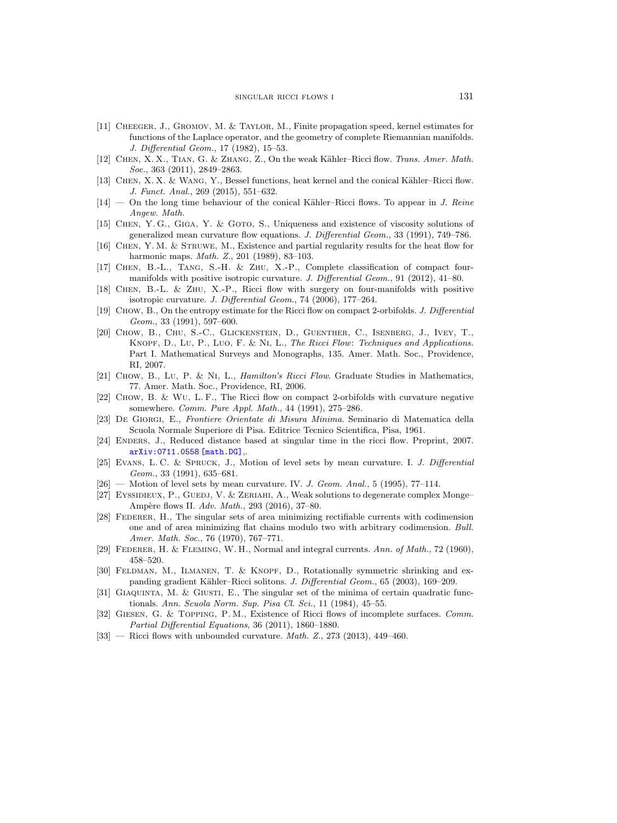- <span id="page-66-18"></span>[11] Cheeger, J., Gromov, M. & Taylor, M., Finite propagation speed, kernel estimates for functions of the Laplace operator, and the geometry of complete Riemannian manifolds. J. Differential Geom., 17 (1982), 15–53.
- <span id="page-66-9"></span>[12] CHEN, X. X., TIAN, G. & ZHANG, Z., On the weak Kähler–Ricci flow. Trans. Amer. Math. Soc., 363 (2011), 2849-2863.
- <span id="page-66-12"></span>[13] CHEN, X. X. & WANG, Y., Bessel functions, heat kernel and the conical Kähler–Ricci flow. J. Funct. Anal., 269 (2015), 551–632.
- <span id="page-66-13"></span> $[14]$  — On the long time behaviour of the conical Kähler–Ricci flows. To appear in J. Reine Angew. Math.
- <span id="page-66-1"></span>[15] Chen, Y. G., Giga, Y. & Goto, S., Uniqueness and existence of viscosity solutions of generalized mean curvature flow equations. J. Differential Geom., 33 (1991), 749–786.
- <span id="page-66-8"></span>[16] Chen, Y. M. & Struwe, M., Existence and partial regularity results for the heat flow for harmonic maps. *Math. Z.*, 201 (1989), 83-103.
- <span id="page-66-14"></span>[17] Chen, B.-L., Tang, S.-H. & Zhu, X.-P., Complete classification of compact fourmanifolds with positive isotropic curvature. J. Differential Geom., 91 (2012), 41-80.
- <span id="page-66-22"></span>[18] Chen, B.-L. & Zhu, X.-P., Ricci flow with surgery on four-manifolds with positive isotropic curvature. J. Differential Geom., 74 (2006), 177–264.
- <span id="page-66-15"></span>[19] Chow, B., On the entropy estimate for the Ricci flow on compact 2-orbifolds. J. Differential Geom., 33 (1991), 597–600.
- <span id="page-66-20"></span>[20] Chow, B., Chu, S.-C., Glickenstein, D., Guenther, C., Isenberg, J., Ivey, T., Knopf, D., Lu, P., Luo, F. & Ni, L., The Ricci Flow: Techniques and Applications. Part I. Mathematical Surveys and Monographs, 135. Amer. Math. Soc., Providence, RI, 2007.
- <span id="page-66-21"></span>[21] Chow, B., Lu, P. & Ni, L., Hamilton's Ricci Flow. Graduate Studies in Mathematics, 77. Amer. Math. Soc., Providence, RI, 2006.
- <span id="page-66-16"></span>[22] Chow, B. & Wu, L. F., The Ricci flow on compact 2-orbifolds with curvature negative somewhere. Comm. Pure Appl. Math., 44 (1991), 275–286.
- <span id="page-66-4"></span>[23] De Giorgi, E., Frontiere Orientate di Misura Minima. Seminario di Matematica della Scuola Normale Superiore di Pisa. Editrice Tecnico Scientifica, Pisa, 1961.
- <span id="page-66-19"></span>[24] ENDERS, J., Reduced distance based at singular time in the ricci flow. Preprint, 2007. [arXiv:0711.0558 \[math.DG\]](http://arxiv.org/abs/0711.0558),.
- <span id="page-66-2"></span>[25] Evans, L. C. & Spruck, J., Motion of level sets by mean curvature. I. J. Differential Geom., 33 (1991), 635–681.
- <span id="page-66-3"></span> $[26]$  — Motion of level sets by mean curvature. IV. J. Geom. Anal., 5 (1995), 77-114.
- <span id="page-66-17"></span>[27] EYSSIDIEUX, P., GUEDJ, V. & ZERIAHI, A., Weak solutions to degenerate complex Monge– Ampère flows II. Adv. Math., 293 (2016), 37-80.
- <span id="page-66-5"></span>[28] FEDERER, H., The singular sets of area minimizing rectifiable currents with codimension one and of area minimizing flat chains modulo two with arbitrary codimension. Bull. Amer. Math. Soc., 76 (1970), 767–771.
- <span id="page-66-6"></span>[29] FEDERER, H. & FLEMING, W. H., Normal and integral currents. Ann. of Math., 72 (1960), 458–520.
- <span id="page-66-0"></span>[30] Feldman, M., Ilmanen, T. & Knopf, D., Rotationally symmetric shrinking and expanding gradient Kähler–Ricci solitons. J. Differential Geom., 65 (2003), 169–209.
- <span id="page-66-7"></span>[31] GIAQUINTA, M. & GIUSTI, E., The singular set of the minima of certain quadratic functionals. Ann. Scuola Norm. Sup. Pisa Cl. Sci., 11 (1984), 45–55.
- <span id="page-66-10"></span>[32] Giesen, G. & Topping, P. M., Existence of Ricci flows of incomplete surfaces. Comm. Partial Differential Equations, 36 (2011), 1860–1880.
- <span id="page-66-11"></span>[33] — Ricci flows with unbounded curvature. *Math. Z.*, 273 (2013), 449-460.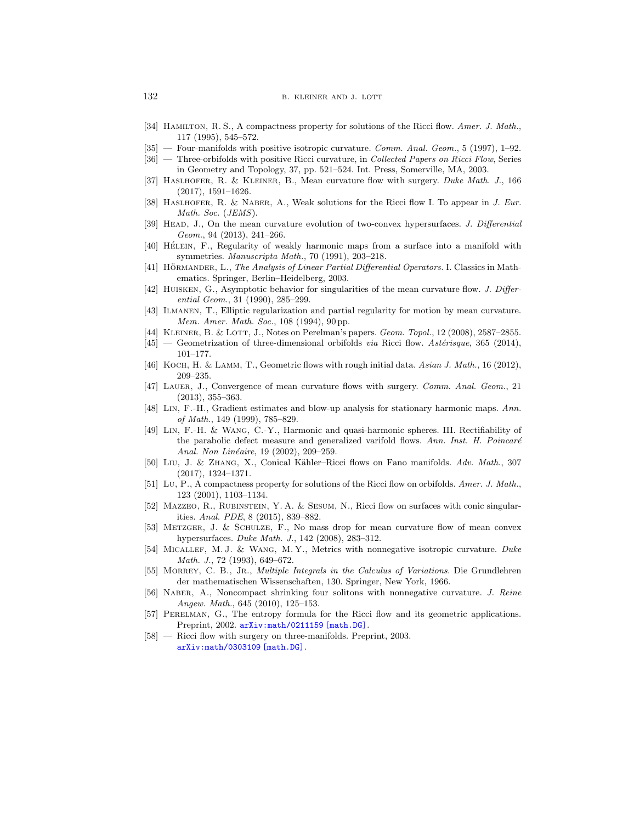# 132 b. kleiner and j. lott

- <span id="page-67-9"></span>[34] HAMILTON, R. S., A compactness property for solutions of the Ricci flow. Amer. J. Math., 117 (1995), 545–572.
- <span id="page-67-7"></span>[35] — Four-manifolds with positive isotropic curvature. Comm. Anal. Geom., 5 (1997), 1–92.
- <span id="page-67-15"></span>[36] — Three-orbifolds with positive Ricci curvature, in Collected Papers on Ricci Flow, Series in Geometry and Topology, 37, pp. 521–524. Int. Press, Somerville, MA, 2003.
- <span id="page-67-11"></span>[37] Haslhofer, R. & Kleiner, B., Mean curvature flow with surgery. Duke Math. J., 166 (2017), 1591–1626.
- <span id="page-67-19"></span>[38] HASLHOFER, R. & NABER, A., Weak solutions for the Ricci flow I. To appear in J. Eur. Math. Soc. (JEMS).
- <span id="page-67-12"></span>[39] HEAD, J., On the mean curvature evolution of two-convex hypersurfaces. J. Differential Geom., 94 (2013), 241–266.
- <span id="page-67-3"></span>[40] HÉLEIN, F., Regularity of weakly harmonic maps from a surface into a manifold with symmetries. Manuscripta Math., 70 (1991), 203–218.
- <span id="page-67-20"></span>[41] HÖRMANDER, L., The Analysis of Linear Partial Differential Operators. I. Classics in Mathematics. Springer, Berlin–Heidelberg, 2003.
- <span id="page-67-1"></span>[42] Huisken, G., Asymptotic behavior for singularities of the mean curvature flow. J. Differential Geom., 31 (1990), 285–299.
- <span id="page-67-2"></span>[43] Ilmanen, T., Elliptic regularization and partial regularity for motion by mean curvature. Mem. Amer. Math. Soc., 108 (1994), 90 pp.
- <span id="page-67-10"></span>[44] KLEINER, B. & LOTT, J., Notes on Perelman's papers. Geom. Topol., 12 (2008), 2587–2855.
- <span id="page-67-16"></span> $[45]$  — Geometrization of three-dimensional orbifolds via Ricci flow. Astérisque, 365 (2014), 101–177.
- <span id="page-67-14"></span>[46] KOCH, H. & LAMM, T., Geometric flows with rough initial data. Asian J. Math., 16 (2012), 209–235.
- <span id="page-67-13"></span>[47] LAUER, J., Convergence of mean curvature flows with surgery. Comm. Anal. Geom., 21 (2013), 355–363.
- <span id="page-67-4"></span>[48] Lin, F.-H., Gradient estimates and blow-up analysis for stationary harmonic maps. Ann. of Math., 149 (1999), 785–829.
- <span id="page-67-6"></span>[49] Lin, F.-H. & Wang, C.-Y., Harmonic and quasi-harmonic spheres. III. Rectifiability of the parabolic defect measure and generalized varifold flows. Ann. Inst. H. Poincaré Anal. Non Linéaire, 19 (2002), 209-259.
- <span id="page-67-17"></span>[50] Liu, J. & ZHANG, X., Conical Kähler–Ricci flows on Fano manifolds. Adv. Math., 307 (2017), 1324–1371.
- [51] Lu, P., A compactness property for solutions of the Ricci flow on orbifolds. Amer. J. Math., 123 (2001), 1103–1134.
- <span id="page-67-18"></span>[52] MAZZEO, R., RUBINSTEIN, Y. A. & SESUM, N., Ricci flow on surfaces with conic singularities. Anal. PDE, 8 (2015), 839–882.
- <span id="page-67-21"></span>[53] Metzger, J. & Schulze, F., No mass drop for mean curvature flow of mean convex hypersurfaces. Duke Math. J., 142 (2008), 283–312.
- <span id="page-67-23"></span>[54] MICALLEF, M. J. & WANG, M. Y., Metrics with nonnegative isotropic curvature. Duke Math. J., 72 (1993), 649–672.
- <span id="page-67-5"></span>[55] MORREY, C. B., JR., *Multiple Integrals in the Calculus of Variations*. Die Grundlehren der mathematischen Wissenschaften, 130. Springer, New York, 1966.
- <span id="page-67-22"></span>[56] Naber, A., Noncompact shrinking four solitons with nonnegative curvature. J. Reine Angew. Math., 645 (2010), 125–153.
- <span id="page-67-0"></span>[57] PERELMAN, G., The entropy formula for the Ricci flow and its geometric applications. Preprint, 2002. [arXiv:math/0211159 \[math.DG\]](http://arxiv.org/abs/math/0211159).
- <span id="page-67-8"></span>[58] — Ricci flow with surgery on three-manifolds. Preprint, 2003. [arXiv:math/0303109 \[math.DG\]](http://arxiv.org/abs/math/0303109).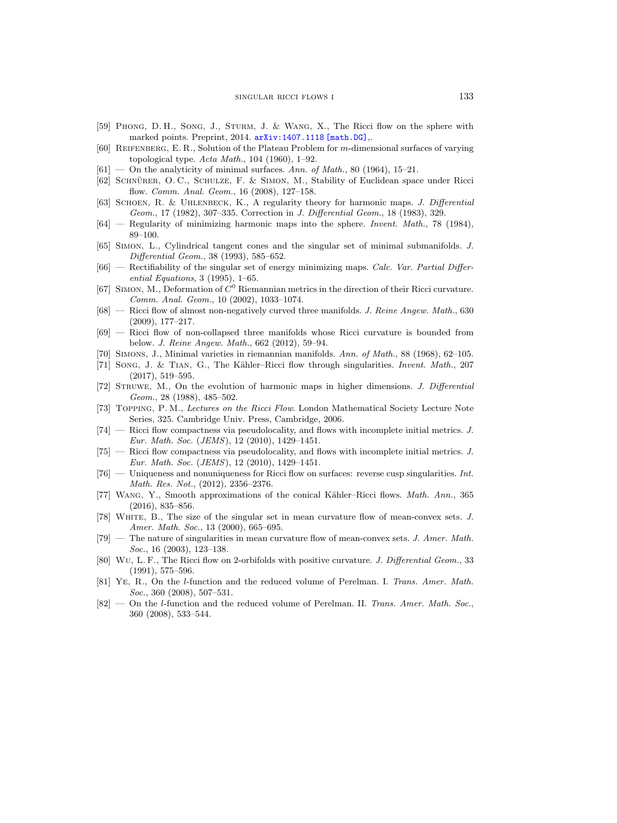- <span id="page-68-15"></span>[59] Phong, D. H., Song, J., Sturm, J. & Wang, X., The Ricci flow on the sphere with marked points. Preprint, 2014. [arXiv:1407.1118 \[math.DG\]](http://arxiv.org/abs/1407.1118).
- <span id="page-68-2"></span>[60] Reifenberg, E. R., Solution of the Plateau Problem for m-dimensional surfaces of varying topological type.  $Acta Math., 104 (1960), 1-92.$
- <span id="page-68-3"></span> $[61]$  — On the analyticity of minimal surfaces. Ann. of Math., 80 (1964), 15–21.
- <span id="page-68-10"></span>[62] SCHNÜRER, O. C., SCHULZE, F. & SIMON, M., Stability of Euclidean space under Ricci flow. Comm. Anal. Geom., 16 (2008), 127–158.
- <span id="page-68-6"></span>[63] SCHOEN, R. & UHLENBECK, K., A regularity theory for harmonic maps. J. Differential Geom., 17 (1982), 307–335. Correction in J. Differential Geom., 18 (1983), 329.
- <span id="page-68-7"></span> $[64]$  — Regularity of minimizing harmonic maps into the sphere. Invent. Math., 78 (1984), 89–100.
- <span id="page-68-4"></span>[65] Simon, L., Cylindrical tangent cones and the singular set of minimal submanifolds. J. Differential Geom., 38 (1993), 585–652.
- <span id="page-68-8"></span>[66] — Rectifiability of the singular set of energy minimizing maps. Calc. Var. Partial Differential Equations, 3 (1995), 1–65.
- <span id="page-68-11"></span>[67] SIMON, M., Deformation of  $C^0$  Riemannian metrics in the direction of their Ricci curvature. Comm. Anal. Geom., 10 (2002), 1033–1074.
- [68] Ricci flow of almost non-negatively curved three manifolds. J. Reine Angew. Math., 630 (2009), 177–217.
- <span id="page-68-12"></span>[69] — Ricci flow of non-collapsed three manifolds whose Ricci curvature is bounded from below. J. Reine Angew. Math., 662 (2012), 59–94.
- <span id="page-68-5"></span>[70] SIMONS, J., Minimal varieties in riemannian manifolds. Ann. of Math., 88 (1968), 62–105.
- <span id="page-68-18"></span>[71] Song, J. & Tian, G., The Kähler–Ricci flow through singularities. *Invent. Math.*, 207 (2017), 519–595.
- <span id="page-68-9"></span>[72] Struwe, M., On the evolution of harmonic maps in higher dimensions. J. Differential Geom., 28 (1988), 485–502.
- <span id="page-68-19"></span>[73] Topping, P. M., Lectures on the Ricci Flow. London Mathematical Society Lecture Note Series, 325. Cambridge Univ. Press, Cambridge, 2006.
- Ricci flow compactness via pseudolocality, and flows with incomplete initial metrics. J. Eur. Math. Soc. (JEMS), 12 (2010), 1429–1451.
- <span id="page-68-13"></span>[75] — Ricci flow compactness via pseudolocality, and flows with incomplete initial metrics. J. Eur. Math. Soc. (JEMS), 12 (2010), 1429–1451.
- <span id="page-68-14"></span> $[76]$  — Uniqueness and nonuniqueness for Ricci flow on surfaces: reverse cusp singularities. Int. Math. Res. Not., (2012), 2356–2376.
- <span id="page-68-16"></span>[77] WANG, Y., Smooth approximations of the conical Kähler–Ricci flows. *Math. Ann.*, 365 (2016), 835–856.
- <span id="page-68-0"></span>[78] White, B., The size of the singular set in mean curvature flow of mean-convex sets. J. Amer. Math. Soc., 13 (2000), 665-695.
- <span id="page-68-1"></span>[79] — The nature of singularities in mean curvature flow of mean-convex sets. J. Amer. Math. Soc., 16 (2003), 123–138.
- <span id="page-68-17"></span>[80] Wu, L. F., The Ricci flow on 2-orbifolds with positive curvature. J. Differential Geom., 33 (1991), 575–596.
- <span id="page-68-20"></span>[81] Ye, R., On the l-function and the reduced volume of Perelman. I. Trans. Amer. Math. Soc., 360 (2008), 507–531.
- <span id="page-68-21"></span>[82] — On the l-function and the reduced volume of Perelman. II. Trans. Amer. Math. Soc., 360 (2008), 533–544.